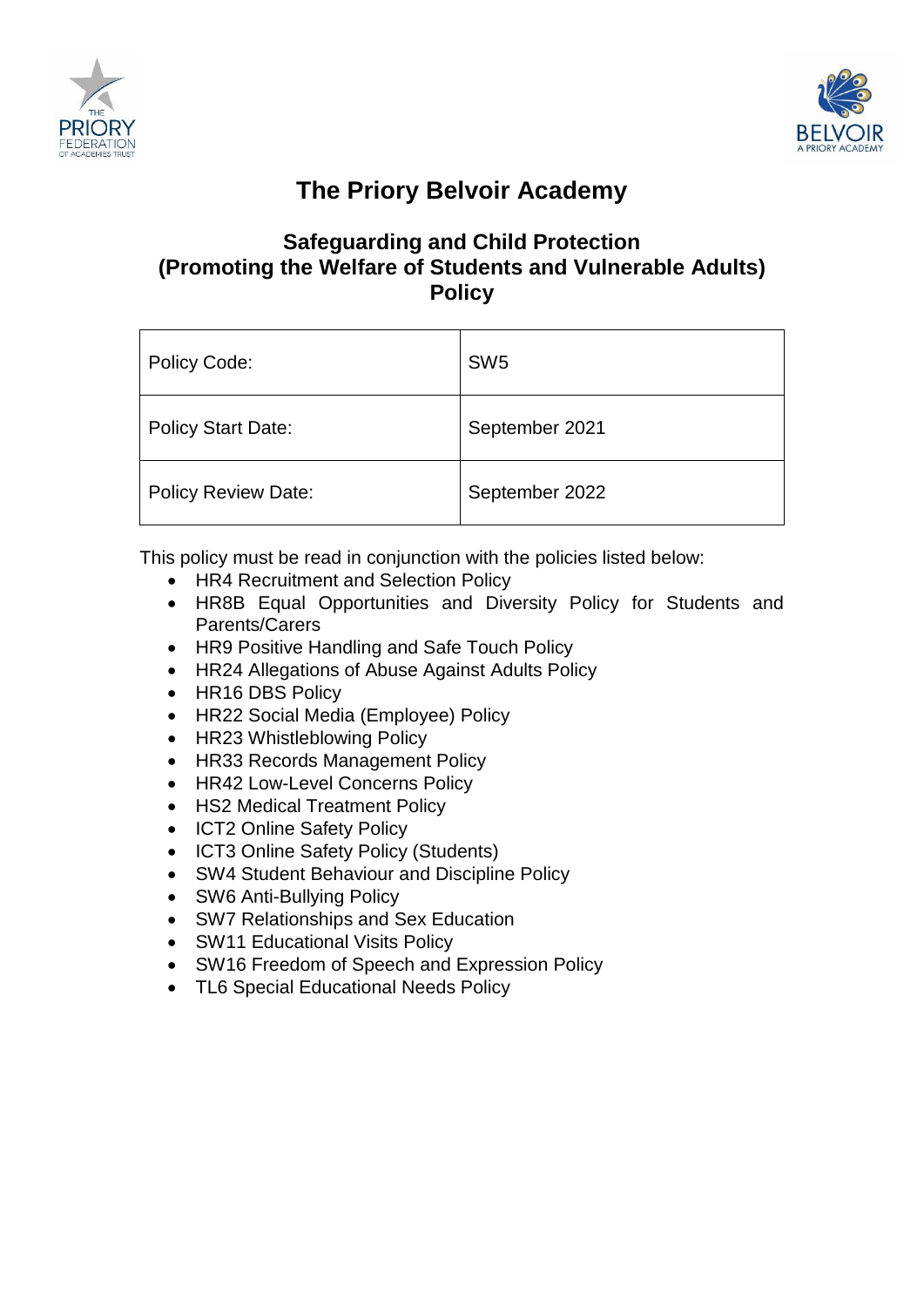



# **The Priory Belvoir Academy**

# **Safeguarding and Child Protection (Promoting the Welfare of Students and Vulnerable Adults) Policy**

| Policy Code:               | SW <sub>5</sub> |
|----------------------------|-----------------|
| <b>Policy Start Date:</b>  | September 2021  |
| <b>Policy Review Date:</b> | September 2022  |

This policy must be read in conjunction with the policies listed below:

- HR4 Recruitment and Selection Policy
- HR8B Equal Opportunities and Diversity Policy for Students and Parents/Carers
- HR9 Positive Handling and Safe Touch Policy
- HR24 Allegations of Abuse Against Adults Policy
- HR16 DBS Policy
- HR22 Social Media (Employee) Policy
- HR23 Whistleblowing Policy
- HR33 Records Management Policy
- HR42 Low-Level Concerns Policy
- HS2 Medical Treatment Policy
- ICT2 Online Safety Policy
- ICT3 Online Safety Policy (Students)
- SW4 Student Behaviour and Discipline Policy
- SW6 Anti-Bullying Policy
- SW7 Relationships and Sex Education
- SW11 Educational Visits Policy
- SW16 Freedom of Speech and Expression Policy
- TL6 Special Educational Needs Policy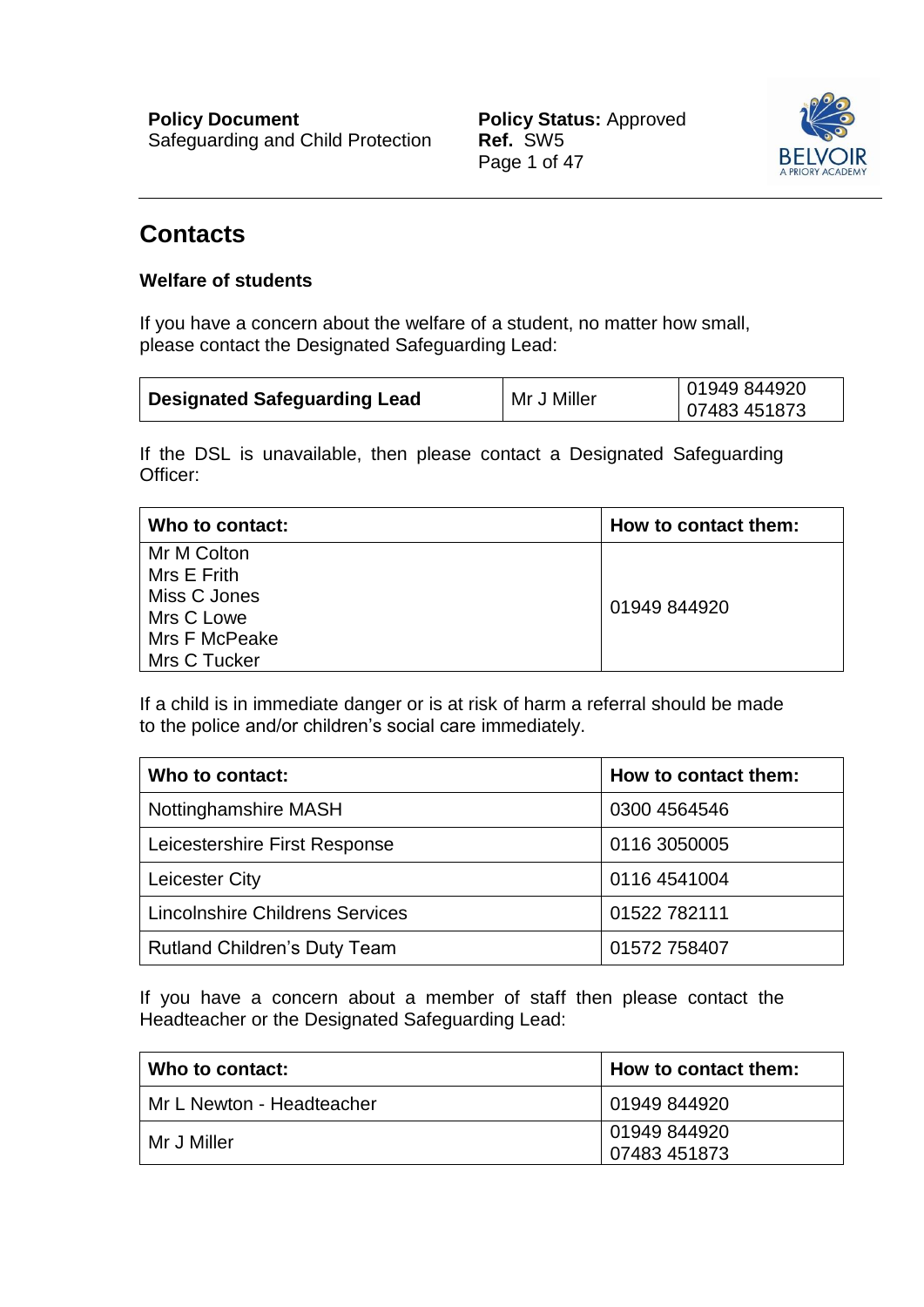

# <span id="page-1-0"></span>**Contacts**

# **Welfare of students**

If you have a concern about the welfare of a student, no matter how small, please contact the Designated Safeguarding Lead:

| <b>Designated Safeguarding Lead</b> | Mr J Miller | 01949 844920 |
|-------------------------------------|-------------|--------------|
|                                     |             | 07483 451873 |

If the DSL is unavailable, then please contact a Designated Safeguarding Officer:

| Who to contact: | How to contact them: |
|-----------------|----------------------|
| Mr M Colton     |                      |
| Mrs E Frith     |                      |
| Miss C Jones    | 01949 844920         |
| Mrs C Lowe      |                      |
| Mrs F McPeake   |                      |
| Mrs C Tucker    |                      |

If a child is in immediate danger or is at risk of harm a referral should be made to the police and/or children's social care immediately.

| Who to contact:                        | How to contact them: |
|----------------------------------------|----------------------|
| Nottinghamshire MASH                   | 0300 4564546         |
| Leicestershire First Response          | 0116 3050005         |
| Leicester City                         | 0116 4541004         |
| <b>Lincolnshire Childrens Services</b> | 01522 782111         |
| <b>Rutland Children's Duty Team</b>    | 01572 758407         |

If you have a concern about a member of staff then please contact the Headteacher or the Designated Safeguarding Lead:

| Who to contact:           | How to contact them: |
|---------------------------|----------------------|
| Mr L Newton - Headteacher | 01949 844920         |
| Mr J Miller               | 01949 844920         |
|                           | 07483 451873         |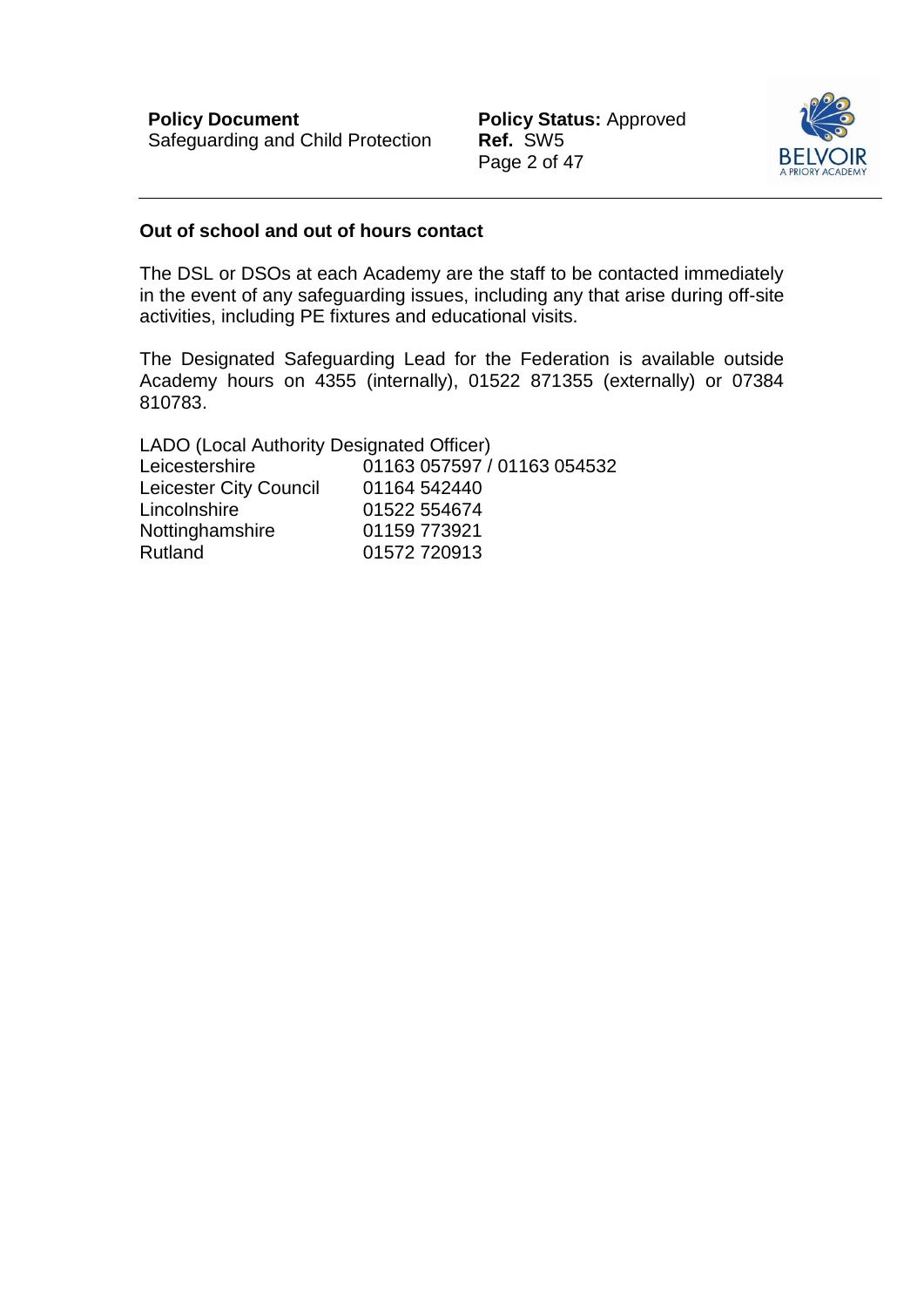Page 2 of 47



#### **Out of school and out of hours contact**

The DSL or DSOs at each Academy are the staff to be contacted immediately in the event of any safeguarding issues, including any that arise during off-site activities, including PE fixtures and educational visits.

The Designated Safeguarding Lead for the Federation is available outside Academy hours on 4355 (internally), 01522 871355 (externally) or 07384 810783.

LADO (Local Authority Designated Officer) Leicestershire 01163 057597 / 01163 054532 Leicester City Council 01164 542440 Lincolnshire 01522 554674 Nottinghamshire 01159 773921 Rutland 01572 720913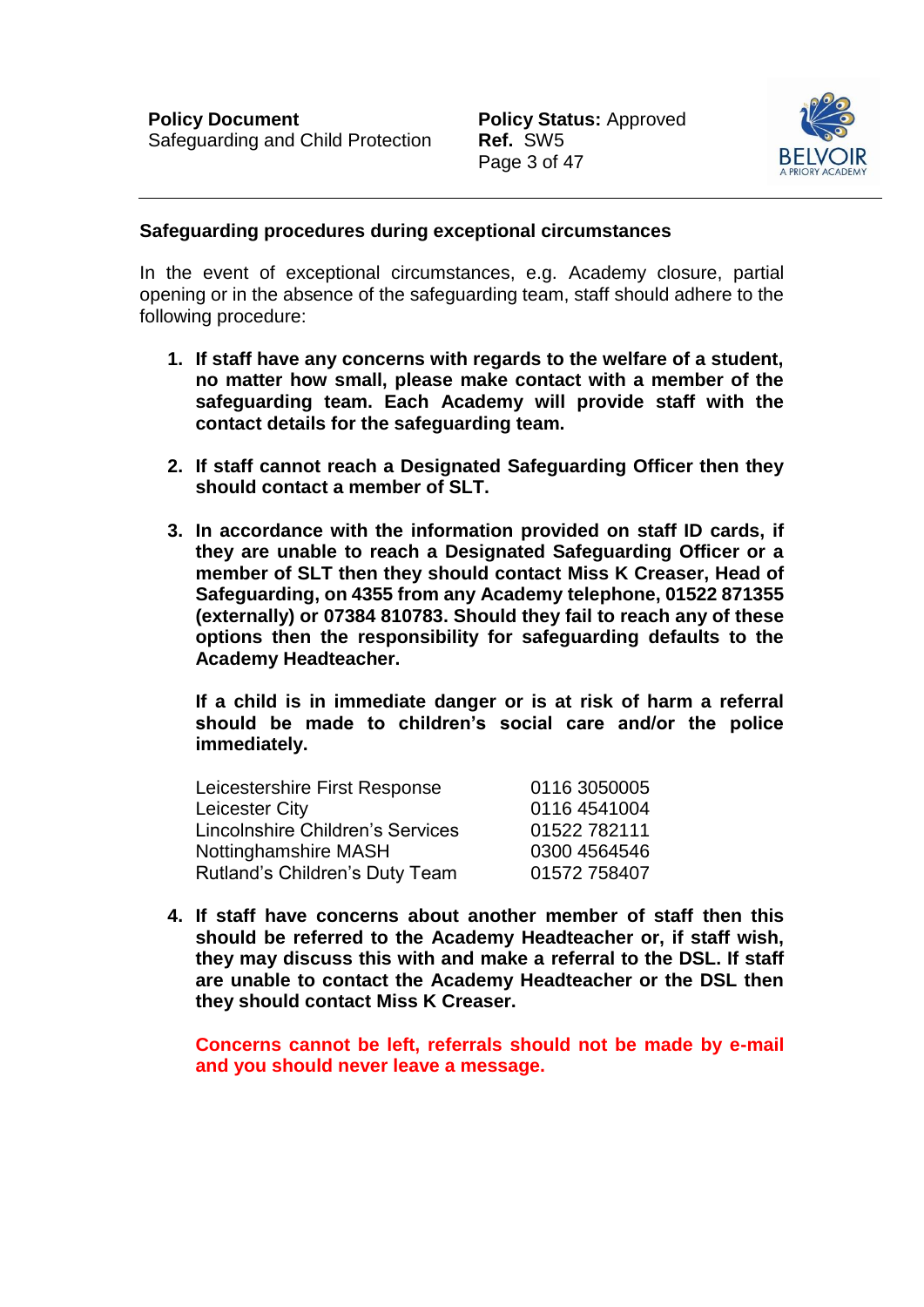

#### **Safeguarding procedures during exceptional circumstances**

In the event of exceptional circumstances, e.g. Academy closure, partial opening or in the absence of the safeguarding team, staff should adhere to the following procedure:

- **1. If staff have any concerns with regards to the welfare of a student, no matter how small, please make contact with a member of the safeguarding team. Each Academy will provide staff with the contact details for the safeguarding team.**
- **2. If staff cannot reach a Designated Safeguarding Officer then they should contact a member of SLT.**
- **3. In accordance with the information provided on staff ID cards, if they are unable to reach a Designated Safeguarding Officer or a member of SLT then they should contact Miss K Creaser, Head of Safeguarding, on 4355 from any Academy telephone, 01522 871355 (externally) or 07384 810783. Should they fail to reach any of these options then the responsibility for safeguarding defaults to the Academy Headteacher.**

**If a child is in immediate danger or is at risk of harm a referral should be made to children's social care and/or the police immediately.** 

| Leicestershire First Response    | 0116 3050005 |
|----------------------------------|--------------|
| Leicester City                   | 0116 4541004 |
| Lincolnshire Children's Services | 01522 782111 |
| Nottinghamshire MASH             | 0300 4564546 |
| Rutland's Children's Duty Team   | 01572 758407 |

**4. If staff have concerns about another member of staff then this should be referred to the Academy Headteacher or, if staff wish, they may discuss this with and make a referral to the DSL. If staff are unable to contact the Academy Headteacher or the DSL then they should contact Miss K Creaser.** 

**Concerns cannot be left, referrals should not be made by e-mail and you should never leave a message.**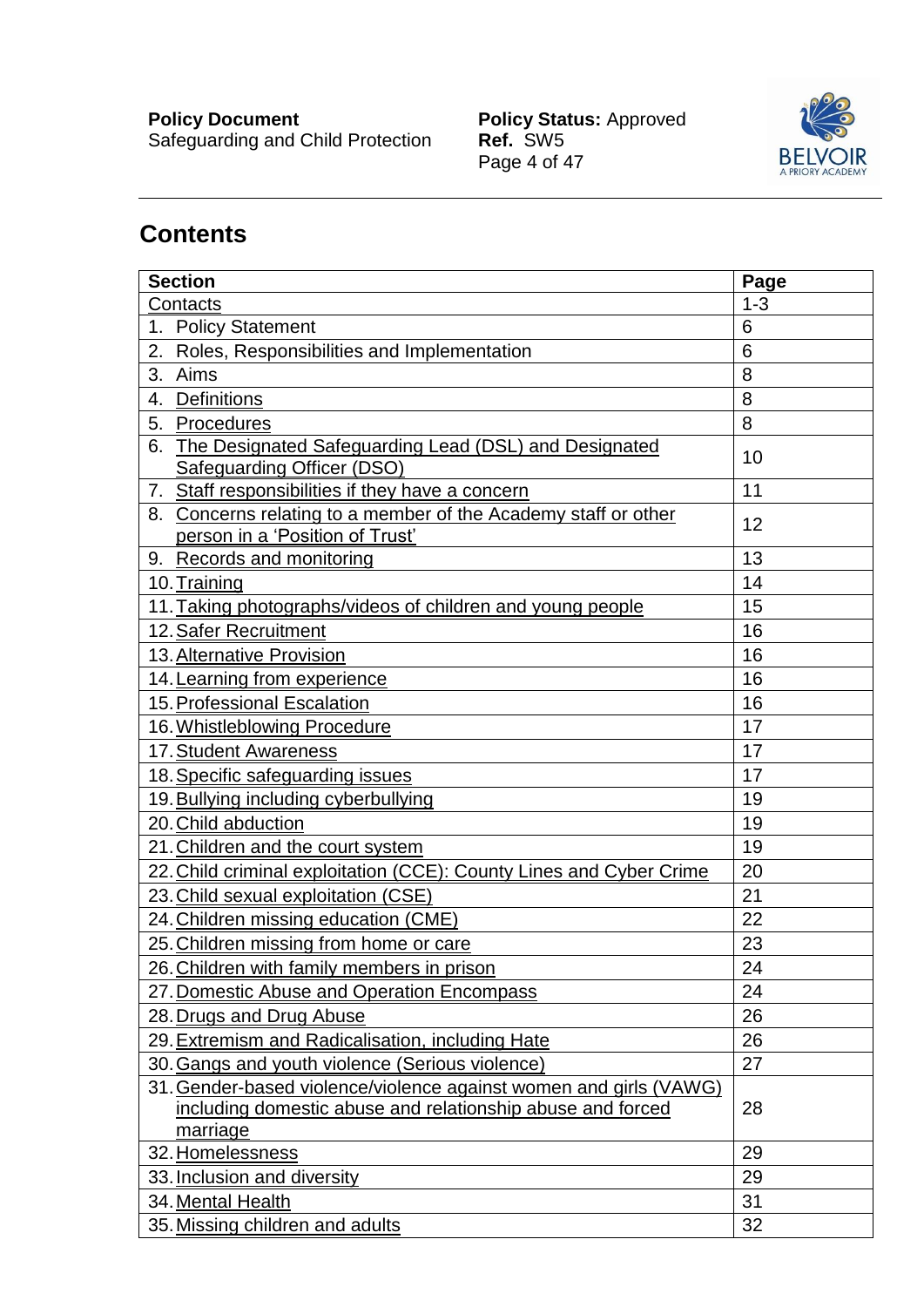Safeguarding and Child Protection **Ref.** SW5

**Policy Document Contract Policy Status:** Approved Policy Status: Approved<br>Ref. SW5<br>Page 4 of 47



# **Contents**

| <b>Section</b>                                                                                                                              | Page    |
|---------------------------------------------------------------------------------------------------------------------------------------------|---------|
| Contacts                                                                                                                                    | $1 - 3$ |
| 1. Policy Statement                                                                                                                         | 6       |
| Roles, Responsibilities and Implementation<br>2.                                                                                            | 6       |
| Aims<br>3.                                                                                                                                  | 8       |
| <b>Definitions</b><br>4.                                                                                                                    | 8       |
| 5.<br>Procedures                                                                                                                            | 8       |
| The Designated Safeguarding Lead (DSL) and Designated<br>6.<br><b>Safeguarding Officer (DSO)</b>                                            | 10      |
| 7. Staff responsibilities if they have a concern                                                                                            | 11      |
| 8. Concerns relating to a member of the Academy staff or other<br>person in a 'Position of Trust'                                           | 12      |
| 9. Records and monitoring                                                                                                                   | 13      |
| 10. Training                                                                                                                                | 14      |
| 11. Taking photographs/videos of children and young people                                                                                  | 15      |
| 12. Safer Recruitment                                                                                                                       | 16      |
| 13. Alternative Provision                                                                                                                   | 16      |
| 14. Learning from experience                                                                                                                | 16      |
| 15. Professional Escalation                                                                                                                 | 16      |
| 16. Whistleblowing Procedure                                                                                                                | 17      |
| 17. Student Awareness                                                                                                                       | 17      |
| 18. Specific safeguarding issues                                                                                                            | 17      |
| 19. Bullying including cyberbullying                                                                                                        | 19      |
| 20. Child abduction                                                                                                                         | 19      |
| 21. Children and the court system                                                                                                           | 19      |
| 22. Child criminal exploitation (CCE): County Lines and Cyber Crime                                                                         | 20      |
| 23. Child sexual exploitation (CSE)                                                                                                         | 21      |
| 24. Children missing education (CME)                                                                                                        | 22      |
| 25. Children missing from home or care                                                                                                      | 23      |
| 26. Children with family members in prison                                                                                                  | 24      |
| 27. Domestic Abuse and Operation Encompass                                                                                                  | 24      |
| 28. Drugs and Drug Abuse                                                                                                                    | 26      |
| 29. Extremism and Radicalisation, including Hate                                                                                            | 26      |
| 30. Gangs and youth violence (Serious violence)                                                                                             | 27      |
| 31. Gender-based violence/violence against women and girls (VAWG)<br>including domestic abuse and relationship abuse and forced<br>marriage | 28      |
| 32. Homelessness                                                                                                                            | 29      |
| 33. Inclusion and diversity                                                                                                                 | 29      |
| 34. Mental Health                                                                                                                           | 31      |
| 35. Missing children and adults                                                                                                             | 32      |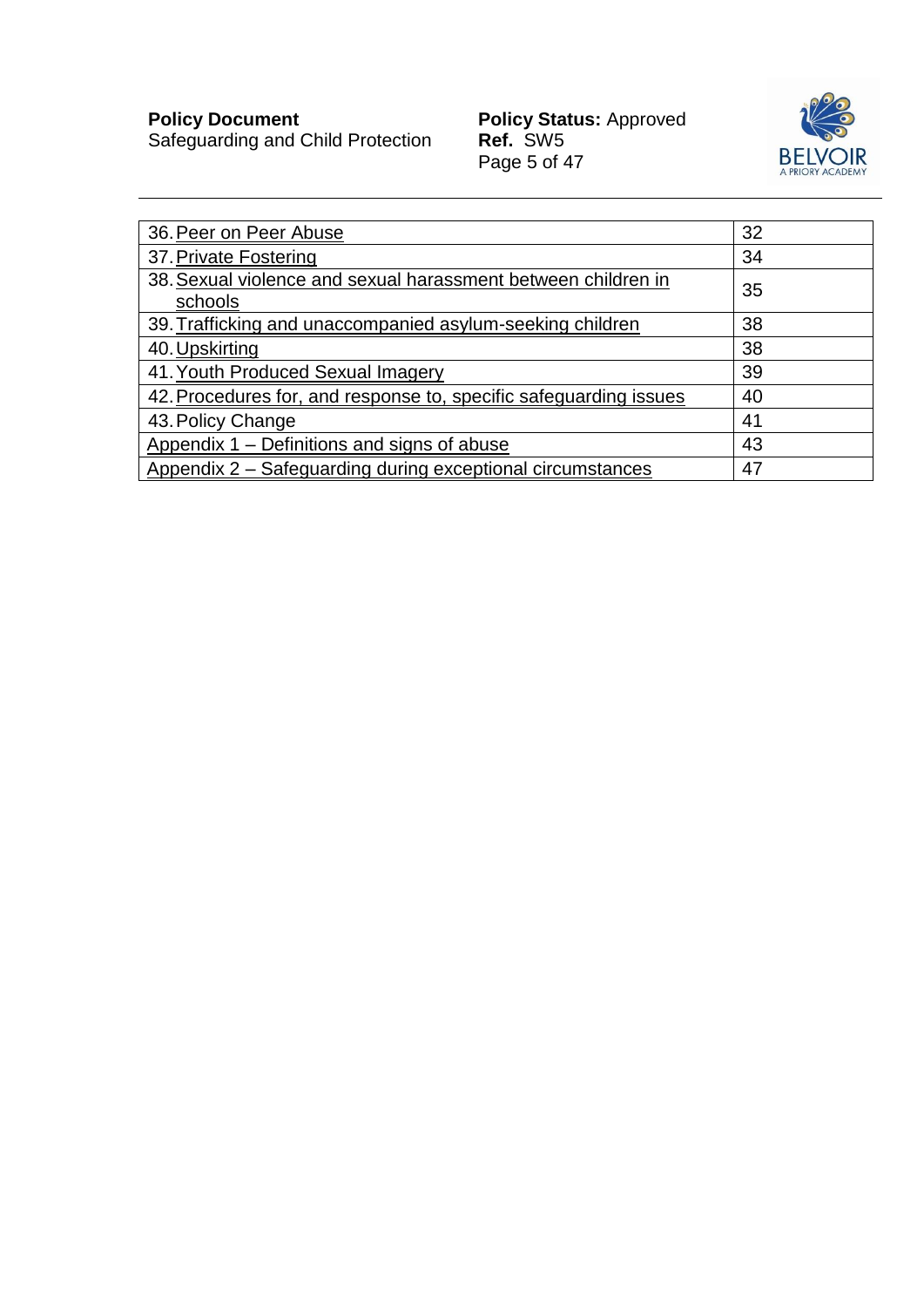Safeguarding and Child Protection **Ref.** SW5

**Policy Document Contract Policy Status:** Approved Policy Status: Approved<br>Ref. SW5<br>Page 5 of 47



| 36. Peer on Peer Abuse                                                   | 32 |
|--------------------------------------------------------------------------|----|
| 37. Private Fostering                                                    | 34 |
| 38. Sexual violence and sexual harassment between children in<br>schools | 35 |
| 39. Trafficking and unaccompanied asylum-seeking children                | 38 |
| 40. Upskirting                                                           | 38 |
| 41. Youth Produced Sexual Imagery                                        | 39 |
| 42. Procedures for, and response to, specific safeguarding issues        | 40 |
| 43. Policy Change                                                        | 41 |
| Appendix 1 – Definitions and signs of abuse                              | 43 |
| Appendix 2 – Safeguarding during exceptional circumstances               | 47 |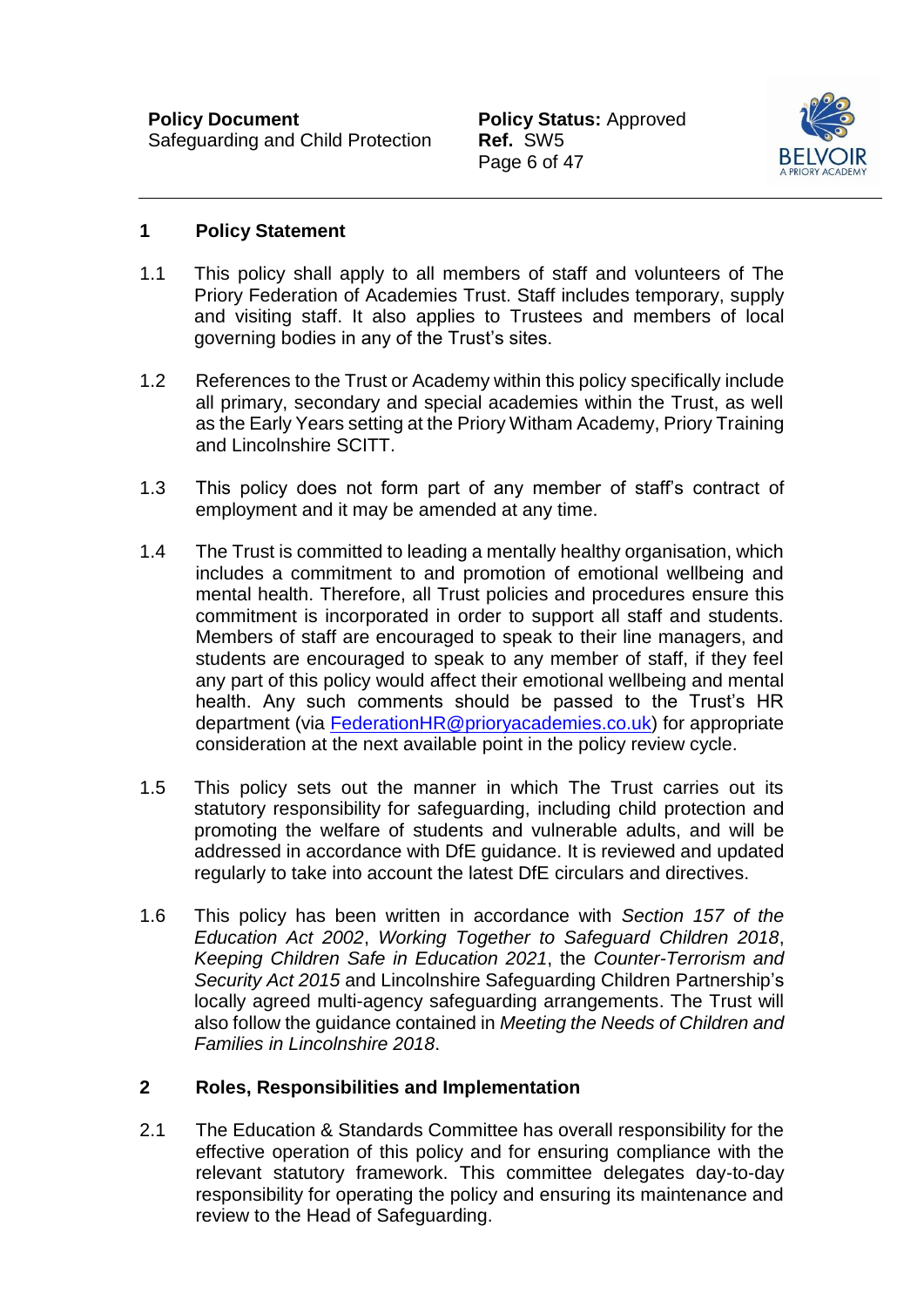

#### **1 Policy Statement**

- 1.1 This policy shall apply to all members of staff and volunteers of The Priory Federation of Academies Trust. Staff includes temporary, supply and visiting staff. It also applies to Trustees and members of local governing bodies in any of the Trust's sites.
- 1.2 References to the Trust or Academy within this policy specifically include all primary, secondary and special academies within the Trust, as well as the Early Years setting at the Priory Witham Academy, Priory Training and Lincolnshire SCITT.
- 1.3 This policy does not form part of any member of staff's contract of employment and it may be amended at any time.
- 1.4 The Trust is committed to leading a mentally healthy organisation, which includes a commitment to and promotion of emotional wellbeing and mental health. Therefore, all Trust policies and procedures ensure this commitment is incorporated in order to support all staff and students. Members of staff are encouraged to speak to their line managers, and students are encouraged to speak to any member of staff, if they feel any part of this policy would affect their emotional wellbeing and mental health. Any such comments should be passed to the Trust's HR department (via [FederationHR@prioryacademies.co.uk\)](mailto:FederationHR@prioryacademies.co.uk) for appropriate consideration at the next available point in the policy review cycle.
- 1.5 This policy sets out the manner in which The Trust carries out its statutory responsibility for safeguarding, including child protection and promoting the welfare of students and vulnerable adults, and will be addressed in accordance with DfE guidance. It is reviewed and updated regularly to take into account the latest DfE circulars and directives.
- 1.6 This policy has been written in accordance with *Section 157 of the Education Act 2002*, *Working Together to Safeguard Children 2018*, *Keeping Children Safe in Education 2021*, the *Counter-Terrorism and Security Act 2015* and Lincolnshire Safeguarding Children Partnership's locally agreed multi-agency safeguarding arrangements. The Trust will also follow the guidance contained in *Meeting the Needs of Children and Families in Lincolnshire 2018*.

# **2 Roles, Responsibilities and Implementation**

2.1 The Education & Standards Committee has overall responsibility for the effective operation of this policy and for ensuring compliance with the relevant statutory framework. This committee delegates day-to-day responsibility for operating the policy and ensuring its maintenance and review to the Head of Safeguarding.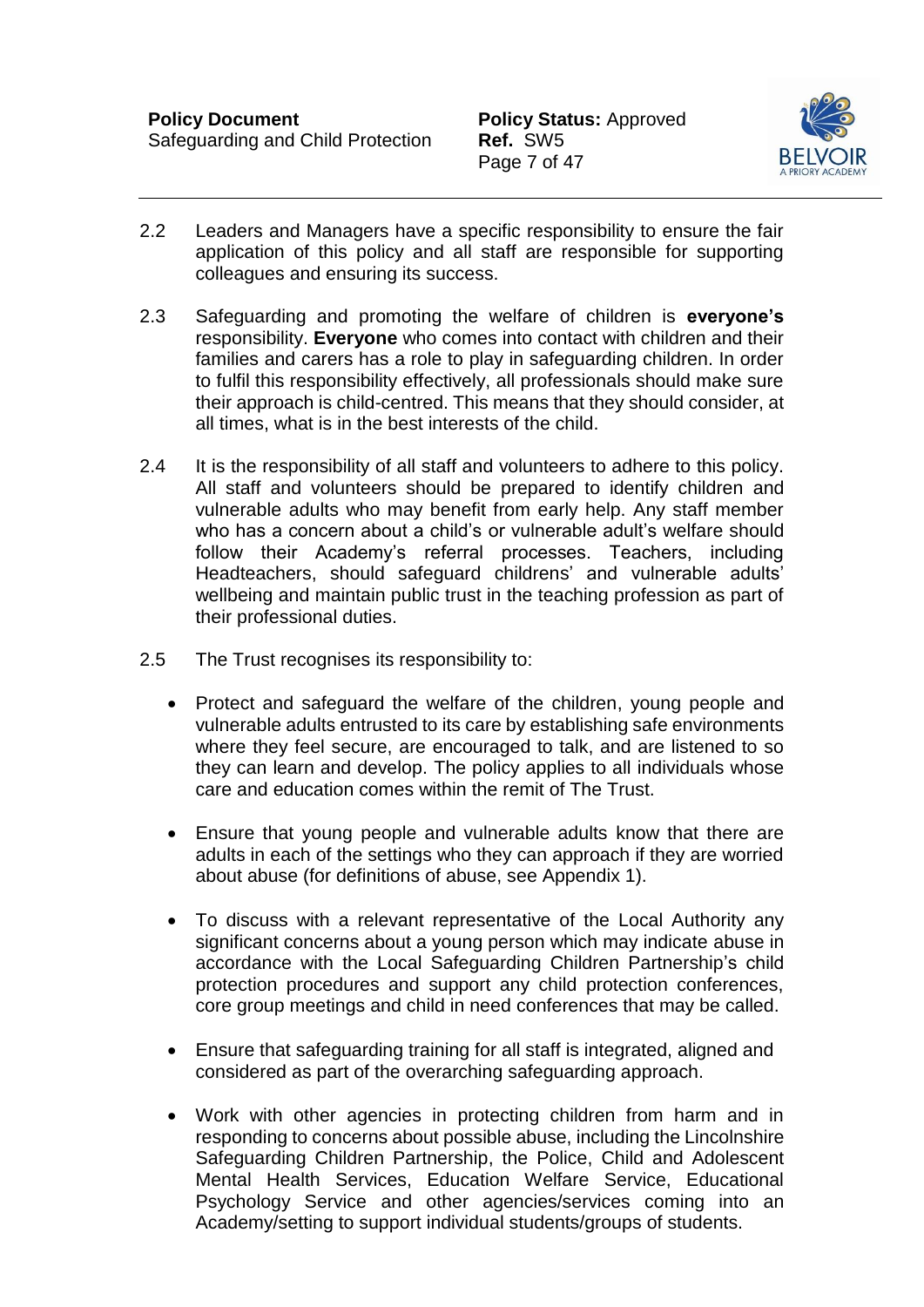

- 2.2 Leaders and Managers have a specific responsibility to ensure the fair application of this policy and all staff are responsible for supporting colleagues and ensuring its success.
- 2.3 Safeguarding and promoting the welfare of children is **everyone's**  responsibility. **Everyone** who comes into contact with children and their families and carers has a role to play in safeguarding children. In order to fulfil this responsibility effectively, all professionals should make sure their approach is child-centred. This means that they should consider, at all times, what is in the best interests of the child.
- 2.4 It is the responsibility of all staff and volunteers to adhere to this policy. All staff and volunteers should be prepared to identify children and vulnerable adults who may benefit from early help. Any staff member who has a concern about a child's or vulnerable adult's welfare should follow their Academy's referral processes. Teachers, including Headteachers, should safeguard childrens' and vulnerable adults' wellbeing and maintain public trust in the teaching profession as part of their professional duties.
- 2.5 The Trust recognises its responsibility to:
	- Protect and safeguard the welfare of the children, young people and vulnerable adults entrusted to its care by establishing safe environments where they feel secure, are encouraged to talk, and are listened to so they can learn and develop. The policy applies to all individuals whose care and education comes within the remit of The Trust.
	- Ensure that young people and vulnerable adults know that there are adults in each of the settings who they can approach if they are worried about abuse (for definitions of abuse, see Appendix 1).
	- To discuss with a relevant representative of the Local Authority any significant concerns about a young person which may indicate abuse in accordance with the Local Safeguarding Children Partnership's child protection procedures and support any child protection conferences, core group meetings and child in need conferences that may be called.
	- Ensure that safeguarding training for all staff is integrated, aligned and considered as part of the overarching safeguarding approach.
	- Work with other agencies in protecting children from harm and in responding to concerns about possible abuse, including the Lincolnshire Safeguarding Children Partnership, the Police, Child and Adolescent Mental Health Services, Education Welfare Service, Educational Psychology Service and other agencies/services coming into an Academy/setting to support individual students/groups of students.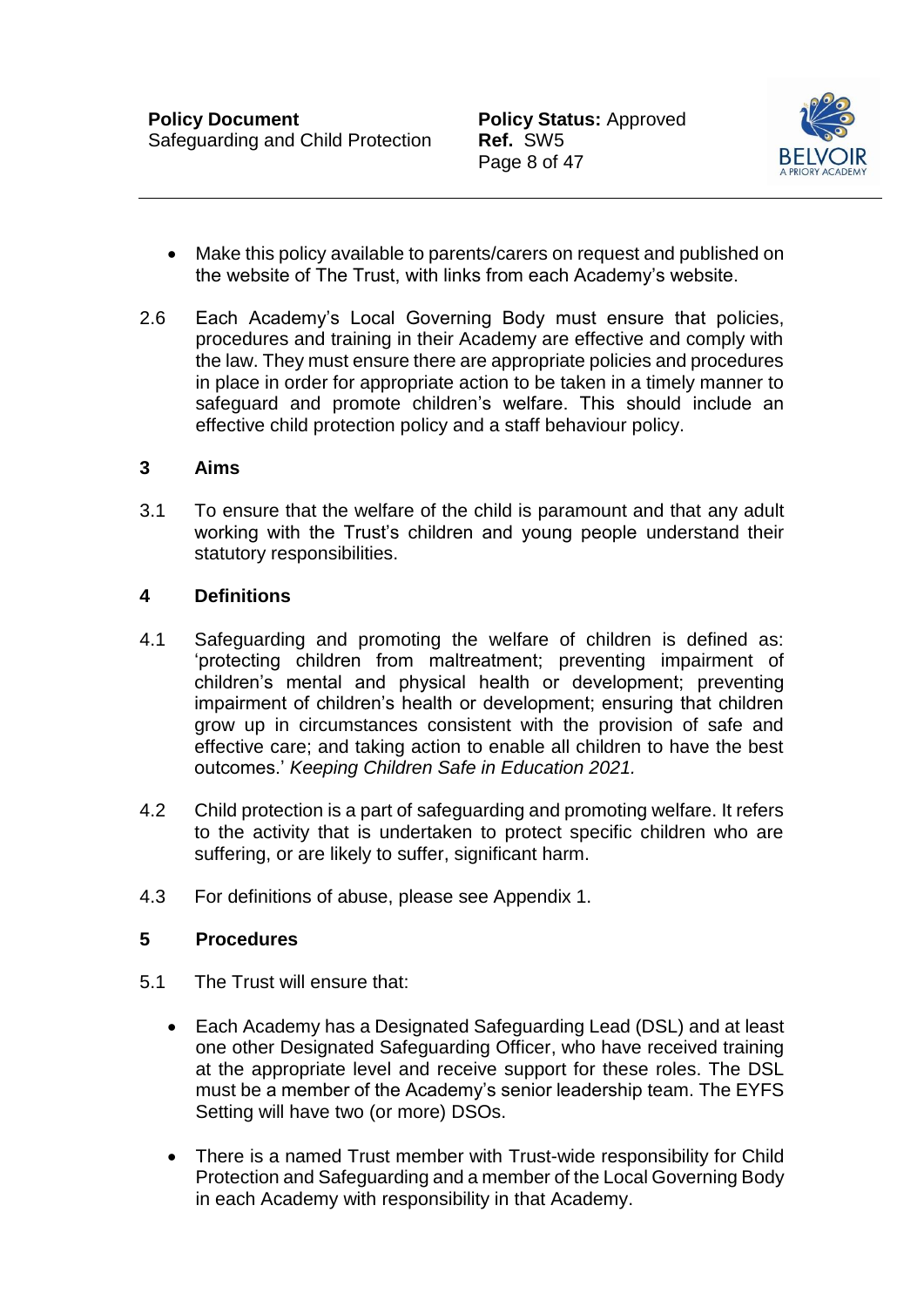

- Make this policy available to parents/carers on request and published on the website of The Trust, with links from each Academy's website.
- 2.6 Each Academy's Local Governing Body must ensure that policies, procedures and training in their Academy are effective and comply with the law. They must ensure there are appropriate policies and procedures in place in order for appropriate action to be taken in a timely manner to safeguard and promote children's welfare. This should include an effective child protection policy and a staff behaviour policy.

#### **3 Aims**

3.1 To ensure that the welfare of the child is paramount and that any adult working with the Trust's children and young people understand their statutory responsibilities.

### <span id="page-8-0"></span>**4 Definitions**

- 4.1 Safeguarding and promoting the welfare of children is defined as: 'protecting children from maltreatment; preventing impairment of children's mental and physical health or development; preventing impairment of children's health or development; ensuring that children grow up in circumstances consistent with the provision of safe and effective care; and taking action to enable all children to have the best outcomes.' *Keeping Children Safe in Education 2021.*
- 4.2 Child protection is a part of safeguarding and promoting welfare. It refers to the activity that is undertaken to protect specific children who are suffering, or are likely to suffer, significant harm.
- 4.3 For definitions of abuse, please see Appendix 1.

# <span id="page-8-1"></span>**5 Procedures**

- 5.1 The Trust will ensure that:
	- Each Academy has a Designated Safeguarding Lead (DSL) and at least one other Designated Safeguarding Officer, who have received training at the appropriate level and receive support for these roles. The DSL must be a member of the Academy's senior leadership team. The EYFS Setting will have two (or more) DSOs.
	- There is a named Trust member with Trust-wide responsibility for Child Protection and Safeguarding and a member of the Local Governing Body in each Academy with responsibility in that Academy.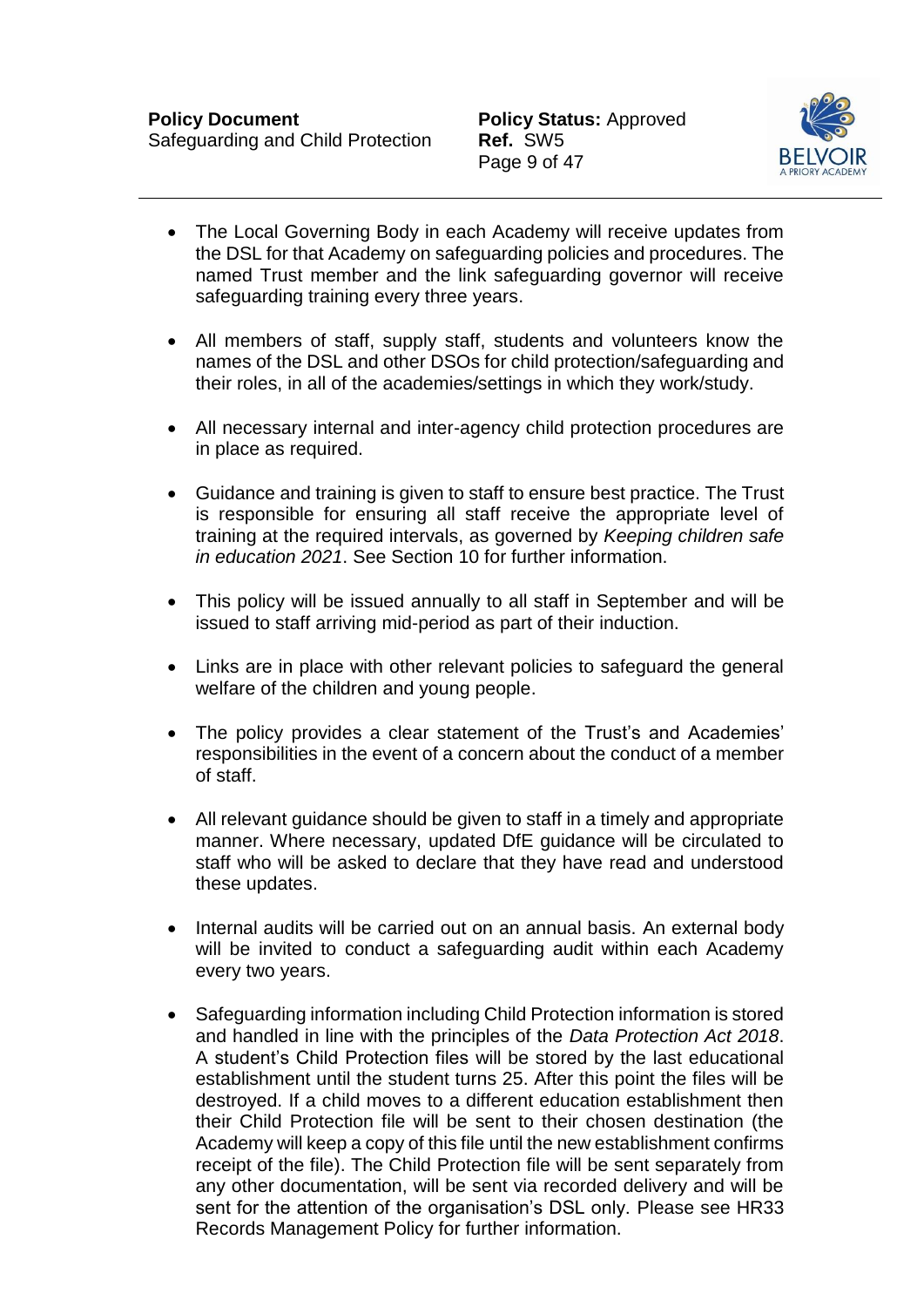

- The Local Governing Body in each Academy will receive updates from the DSL for that Academy on safeguarding policies and procedures. The named Trust member and the link safeguarding governor will receive safeguarding training every three years.
- All members of staff, supply staff, students and volunteers know the names of the DSL and other DSOs for child protection/safeguarding and their roles, in all of the academies/settings in which they work/study.
- All necessary internal and inter-agency child protection procedures are in place as required.
- Guidance and training is given to staff to ensure best practice. The Trust is responsible for ensuring all staff receive the appropriate level of training at the required intervals, as governed by *Keeping children safe in education 2021*. See Section 10 for further information.
- This policy will be issued annually to all staff in September and will be issued to staff arriving mid-period as part of their induction.
- Links are in place with other relevant policies to safeguard the general welfare of the children and young people.
- The policy provides a clear statement of the Trust's and Academies' responsibilities in the event of a concern about the conduct of a member of staff.
- All relevant guidance should be given to staff in a timely and appropriate manner. Where necessary, updated DfE guidance will be circulated to staff who will be asked to declare that they have read and understood these updates.
- Internal audits will be carried out on an annual basis. An external body will be invited to conduct a safeguarding audit within each Academy every two years.
- Safeguarding information including Child Protection information is stored and handled in line with the principles of the *Data Protection Act 2018*. A student's Child Protection files will be stored by the last educational establishment until the student turns 25. After this point the files will be destroyed. If a child moves to a different education establishment then their Child Protection file will be sent to their chosen destination (the Academy will keep a copy of this file until the new establishment confirms receipt of the file). The Child Protection file will be sent separately from any other documentation, will be sent via recorded delivery and will be sent for the attention of the organisation's DSL only. Please see HR33 Records Management Policy for further information.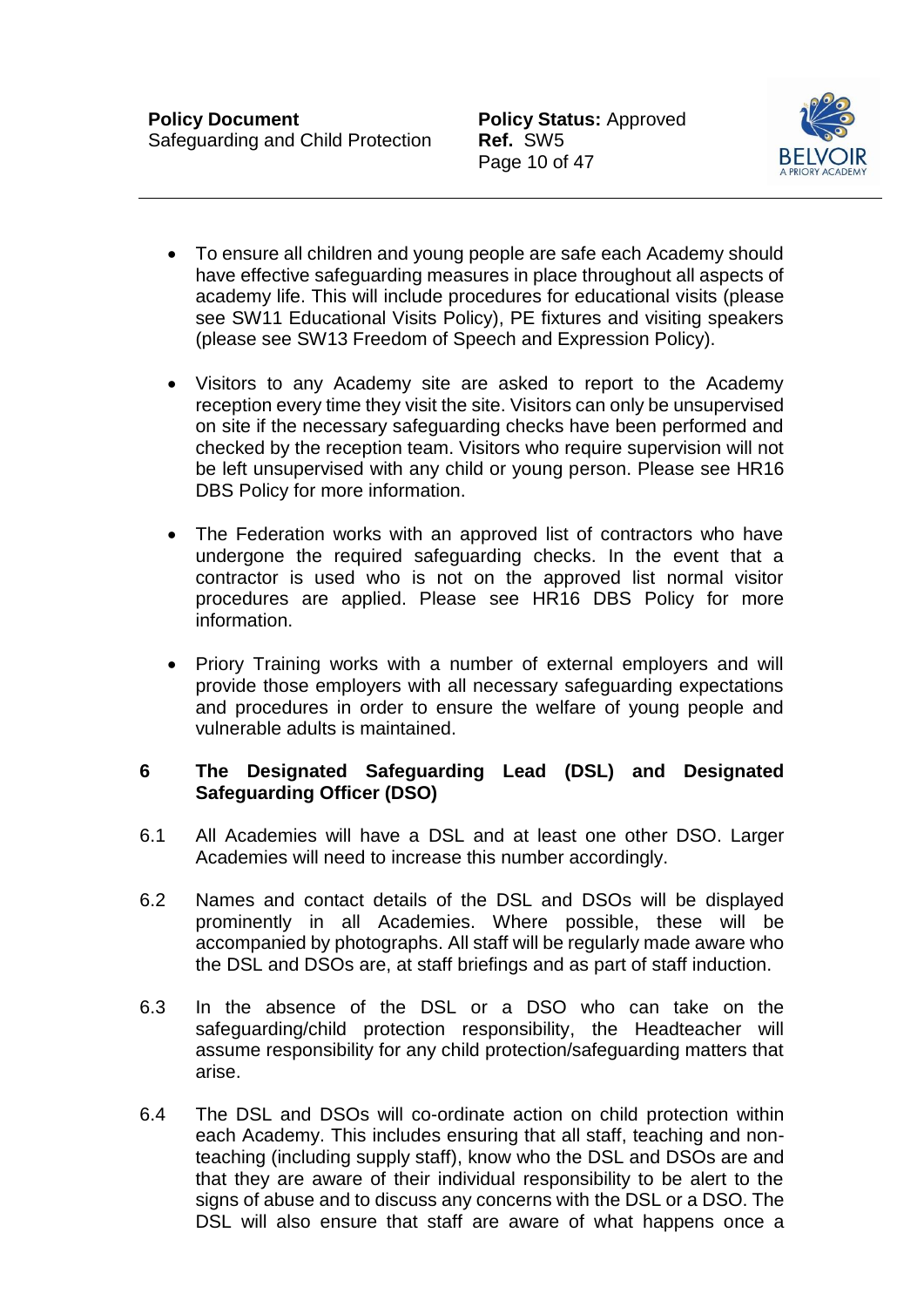Page 10 of 47



- To ensure all children and young people are safe each Academy should have effective safeguarding measures in place throughout all aspects of academy life. This will include procedures for educational visits (please see SW11 Educational Visits Policy), PE fixtures and visiting speakers (please see SW13 Freedom of Speech and Expression Policy).
- Visitors to any Academy site are asked to report to the Academy reception every time they visit the site. Visitors can only be unsupervised on site if the necessary safeguarding checks have been performed and checked by the reception team. Visitors who require supervision will not be left unsupervised with any child or young person. Please see HR16 DBS Policy for more information.
- The Federation works with an approved list of contractors who have undergone the required safeguarding checks. In the event that a contractor is used who is not on the approved list normal visitor procedures are applied. Please see HR16 DBS Policy for more information.
- Priory Training works with a number of external employers and will provide those employers with all necessary safeguarding expectations and procedures in order to ensure the welfare of young people and vulnerable adults is maintained.

### <span id="page-10-0"></span>**6 The Designated Safeguarding Lead (DSL) and Designated Safeguarding Officer (DSO)**

- 6.1 All Academies will have a DSL and at least one other DSO. Larger Academies will need to increase this number accordingly.
- 6.2 Names and contact details of the DSL and DSOs will be displayed prominently in all Academies. Where possible, these will be accompanied by photographs. All staff will be regularly made aware who the DSL and DSOs are, at staff briefings and as part of staff induction.
- 6.3 In the absence of the DSL or a DSO who can take on the safeguarding/child protection responsibility, the Headteacher will assume responsibility for any child protection/safeguarding matters that arise.
- 6.4 The DSL and DSOs will co-ordinate action on child protection within each Academy. This includes ensuring that all staff, teaching and nonteaching (including supply staff), know who the DSL and DSOs are and that they are aware of their individual responsibility to be alert to the signs of abuse and to discuss any concerns with the DSL or a DSO. The DSL will also ensure that staff are aware of what happens once a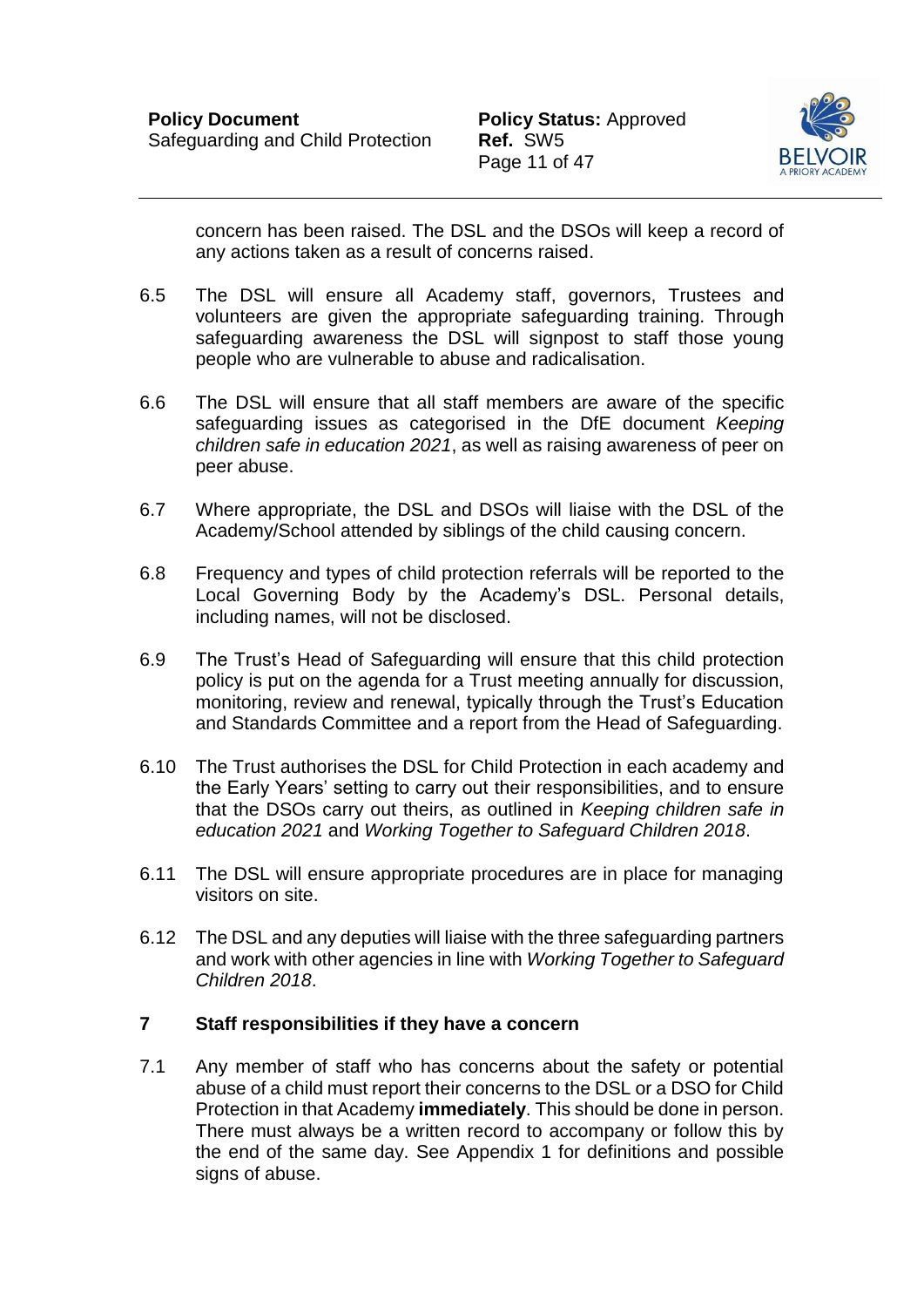

concern has been raised. The DSL and the DSOs will keep a record of any actions taken as a result of concerns raised.

- 6.5 The DSL will ensure all Academy staff, governors, Trustees and volunteers are given the appropriate safeguarding training. Through safeguarding awareness the DSL will signpost to staff those young people who are vulnerable to abuse and radicalisation.
- 6.6 The DSL will ensure that all staff members are aware of the specific safeguarding issues as categorised in the DfE document *Keeping children safe in education 2021*, as well as raising awareness of peer on peer abuse.
- 6.7 Where appropriate, the DSL and DSOs will liaise with the DSL of the Academy/School attended by siblings of the child causing concern.
- 6.8 Frequency and types of child protection referrals will be reported to the Local Governing Body by the Academy's DSL. Personal details, including names, will not be disclosed.
- 6.9 The Trust's Head of Safeguarding will ensure that this child protection policy is put on the agenda for a Trust meeting annually for discussion, monitoring, review and renewal, typically through the Trust's Education and Standards Committee and a report from the Head of Safeguarding.
- 6.10 The Trust authorises the DSL for Child Protection in each academy and the Early Years' setting to carry out their responsibilities, and to ensure that the DSOs carry out theirs, as outlined in *Keeping children safe in education 2021* and *Working Together to Safeguard Children 2018*.
- 6.11 The DSL will ensure appropriate procedures are in place for managing visitors on site.
- 6.12 The DSL and any deputies will liaise with the three safeguarding partners and work with other agencies in line with *Working Together to Safeguard Children 2018*.

#### <span id="page-11-0"></span>**7 Staff responsibilities if they have a concern**

7.1 Any member of staff who has concerns about the safety or potential abuse of a child must report their concerns to the DSL or a DSO for Child Protection in that Academy **immediately**. This should be done in person. There must always be a written record to accompany or follow this by the end of the same day. See Appendix 1 for definitions and possible signs of abuse.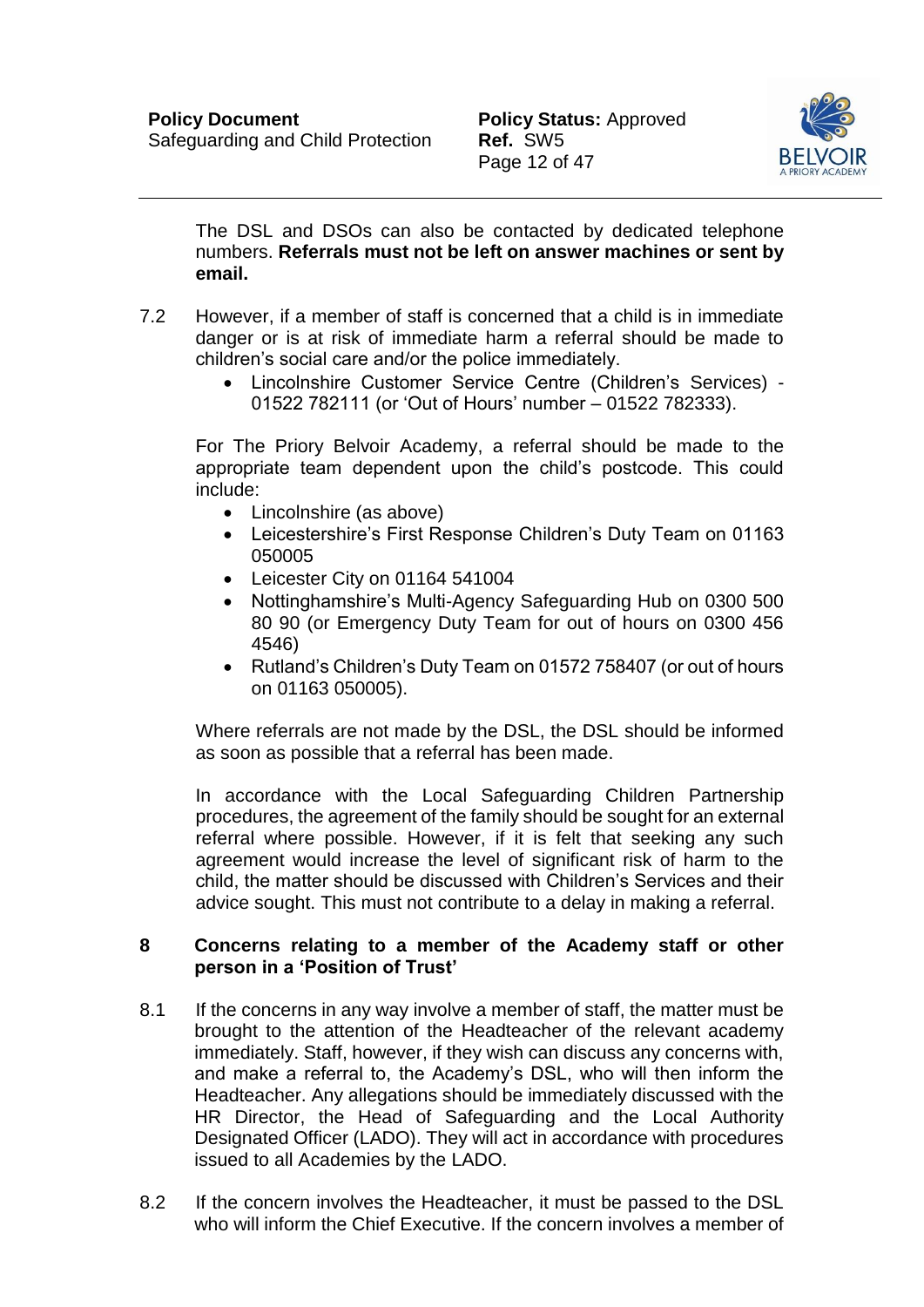

The DSL and DSOs can also be contacted by dedicated telephone numbers. **Referrals must not be left on answer machines or sent by email.** 

- 7.2 However, if a member of staff is concerned that a child is in immediate danger or is at risk of immediate harm a referral should be made to children's social care and/or the police immediately.
	- Lincolnshire Customer Service Centre (Children's Services) 01522 782111 (or 'Out of Hours' number – 01522 782333).

For The Priory Belvoir Academy, a referral should be made to the appropriate team dependent upon the child's postcode. This could include:

- Lincolnshire (as above)
- Leicestershire's First Response Children's Duty Team on 01163 050005
- Leicester City on 01164 541004
- Nottinghamshire's Multi-Agency Safeguarding Hub on 0300 500 80 90 (or Emergency Duty Team for out of hours on 0300 456 4546)
- Rutland's Children's Duty Team on 01572 758407 (or out of hours on 01163 050005).

Where referrals are not made by the DSL, the DSL should be informed as soon as possible that a referral has been made.

In accordance with the Local Safeguarding Children Partnership procedures, the agreement of the family should be sought for an external referral where possible. However, if it is felt that seeking any such agreement would increase the level of significant risk of harm to the child, the matter should be discussed with Children's Services and their advice sought. This must not contribute to a delay in making a referral.

#### <span id="page-12-0"></span>**8 Concerns relating to a member of the Academy staff or other person in a 'Position of Trust'**

- 8.1 If the concerns in any way involve a member of staff, the matter must be brought to the attention of the Headteacher of the relevant academy immediately. Staff, however, if they wish can discuss any concerns with, and make a referral to, the Academy's DSL, who will then inform the Headteacher. Any allegations should be immediately discussed with the HR Director, the Head of Safeguarding and the Local Authority Designated Officer (LADO). They will act in accordance with procedures issued to all Academies by the LADO.
- 8.2 If the concern involves the Headteacher, it must be passed to the DSL who will inform the Chief Executive. If the concern involves a member of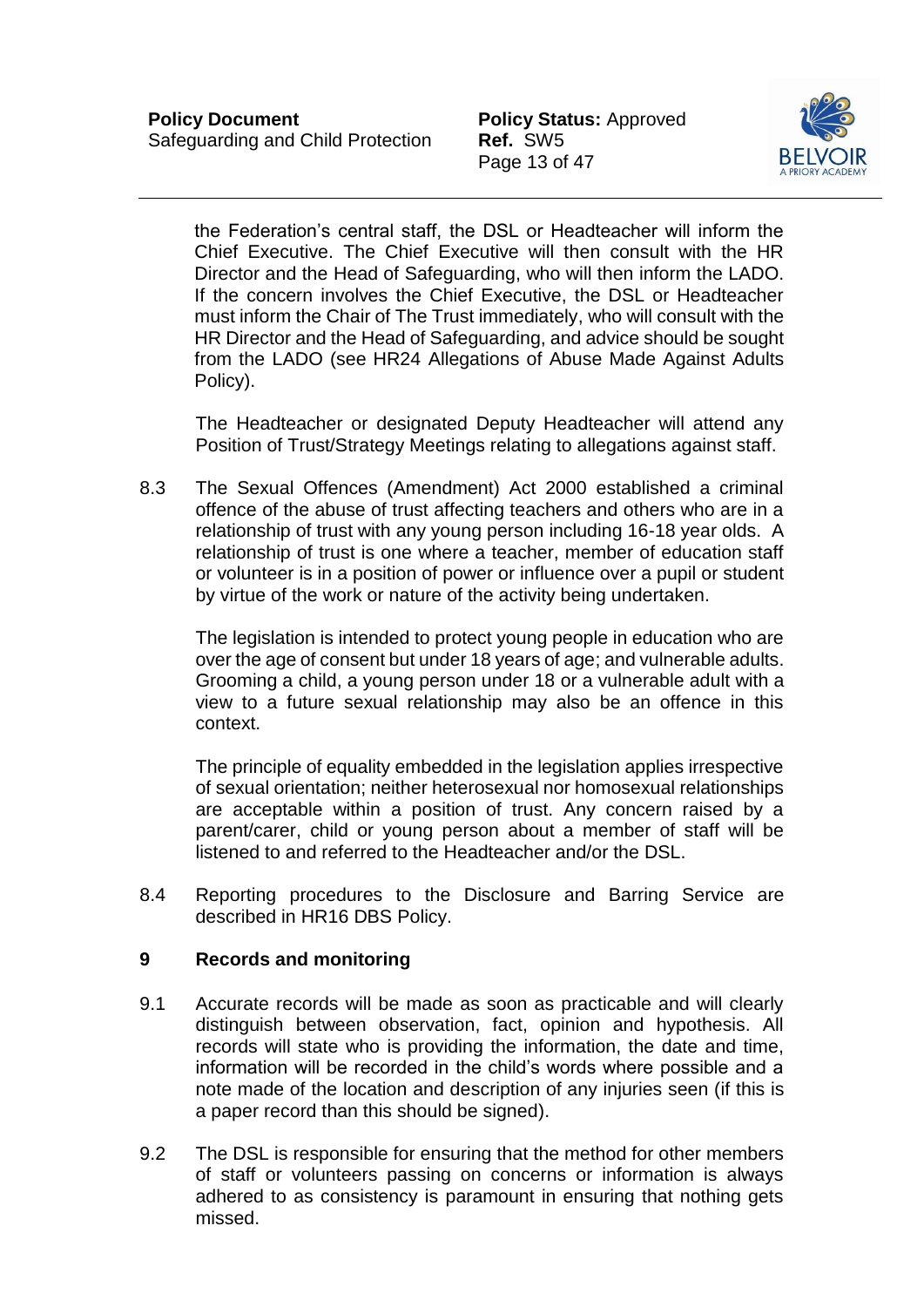Page 13 of 47



the Federation's central staff, the DSL or Headteacher will inform the Chief Executive. The Chief Executive will then consult with the HR Director and the Head of Safeguarding, who will then inform the LADO. If the concern involves the Chief Executive, the DSL or Headteacher must inform the Chair of The Trust immediately, who will consult with the HR Director and the Head of Safeguarding, and advice should be sought from the LADO (see HR24 Allegations of Abuse Made Against Adults Policy).

The Headteacher or designated Deputy Headteacher will attend any Position of Trust/Strategy Meetings relating to allegations against staff.

8.3 The Sexual Offences (Amendment) Act 2000 established a criminal offence of the abuse of trust affecting teachers and others who are in a relationship of trust with any young person including 16-18 year olds. A relationship of trust is one where a teacher, member of education staff or volunteer is in a position of power or influence over a pupil or student by virtue of the work or nature of the activity being undertaken.

The legislation is intended to protect young people in education who are over the age of consent but under 18 years of age; and vulnerable adults. Grooming a child, a young person under 18 or a vulnerable adult with a view to a future sexual relationship may also be an offence in this context.

The principle of equality embedded in the legislation applies irrespective of sexual orientation; neither heterosexual nor homosexual relationships are acceptable within a position of trust. Any concern raised by a parent/carer, child or young person about a member of staff will be listened to and referred to the Headteacher and/or the DSL.

8.4 Reporting procedures to the Disclosure and Barring Service are described in HR16 DBS Policy.

#### <span id="page-13-0"></span>**9 Records and monitoring**

- 9.1 Accurate records will be made as soon as practicable and will clearly distinguish between observation, fact, opinion and hypothesis. All records will state who is providing the information, the date and time, information will be recorded in the child's words where possible and a note made of the location and description of any injuries seen (if this is a paper record than this should be signed).
- 9.2 The DSL is responsible for ensuring that the method for other members of staff or volunteers passing on concerns or information is always adhered to as consistency is paramount in ensuring that nothing gets missed.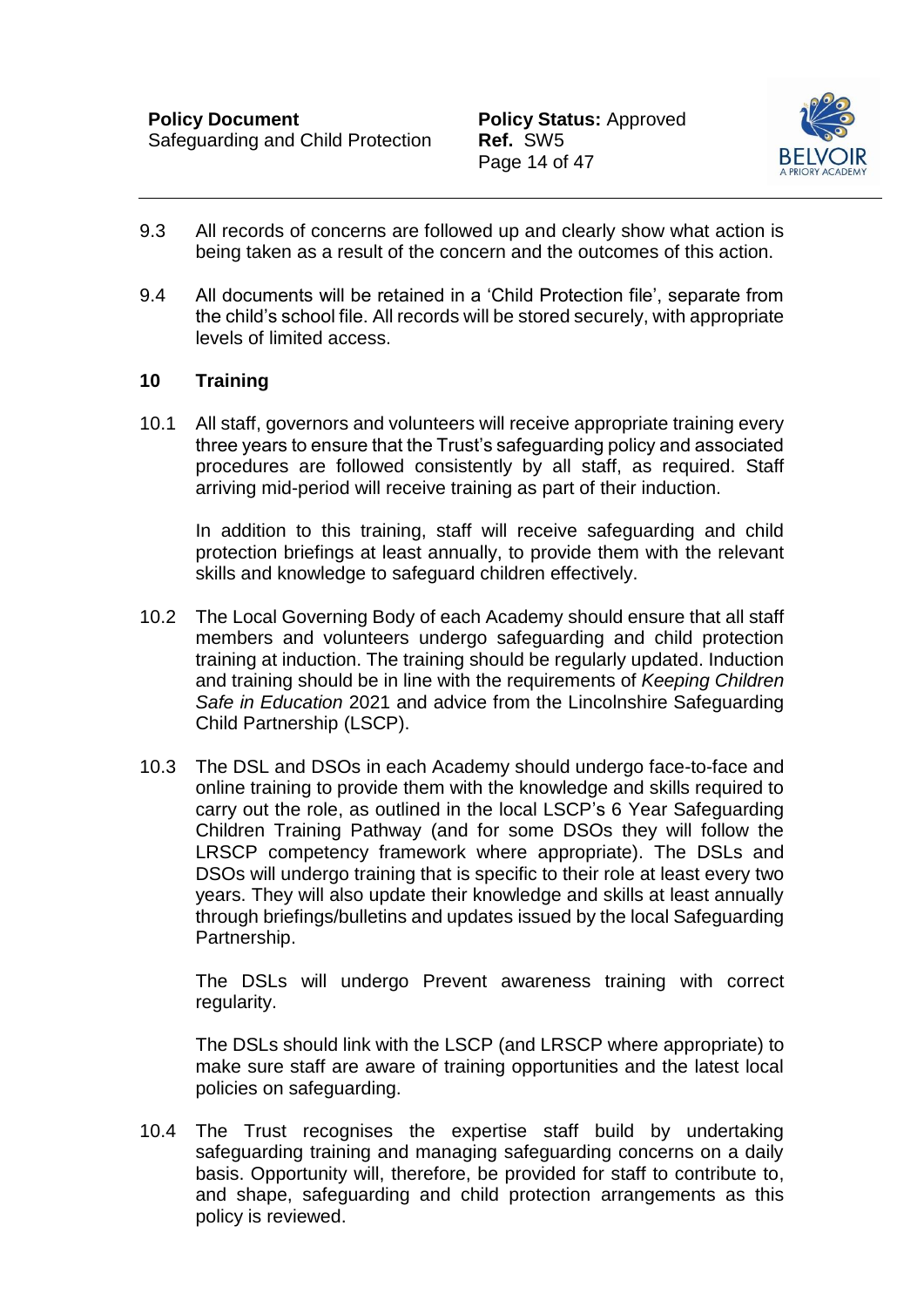

- 9.3 All records of concerns are followed up and clearly show what action is being taken as a result of the concern and the outcomes of this action.
- 9.4 All documents will be retained in a 'Child Protection file', separate from the child's school file. All records will be stored securely, with appropriate levels of limited access.

# <span id="page-14-0"></span>**10 Training**

10.1 All staff, governors and volunteers will receive appropriate training every three years to ensure that the Trust's safeguarding policy and associated procedures are followed consistently by all staff, as required. Staff arriving mid-period will receive training as part of their induction.

In addition to this training, staff will receive safeguarding and child protection briefings at least annually, to provide them with the relevant skills and knowledge to safeguard children effectively.

- 10.2 The Local Governing Body of each Academy should ensure that all staff members and volunteers undergo safeguarding and child protection training at induction. The training should be regularly updated. Induction and training should be in line with the requirements of *Keeping Children Safe in Education* 2021 and advice from the Lincolnshire Safeguarding Child Partnership (LSCP).
- 10.3 The DSL and DSOs in each Academy should undergo face-to-face and online training to provide them with the knowledge and skills required to carry out the role, as outlined in the local LSCP's 6 Year Safeguarding Children Training Pathway (and for some DSOs they will follow the LRSCP competency framework where appropriate). The DSLs and DSOs will undergo training that is specific to their role at least every two years. They will also update their knowledge and skills at least annually through briefings/bulletins and updates issued by the local Safeguarding Partnership.

The DSLs will undergo Prevent awareness training with correct regularity.

The DSLs should link with the LSCP (and LRSCP where appropriate) to make sure staff are aware of training opportunities and the latest local policies on safeguarding.

10.4 The Trust recognises the expertise staff build by undertaking safeguarding training and managing safeguarding concerns on a daily basis. Opportunity will, therefore, be provided for staff to contribute to, and shape, safeguarding and child protection arrangements as this policy is reviewed.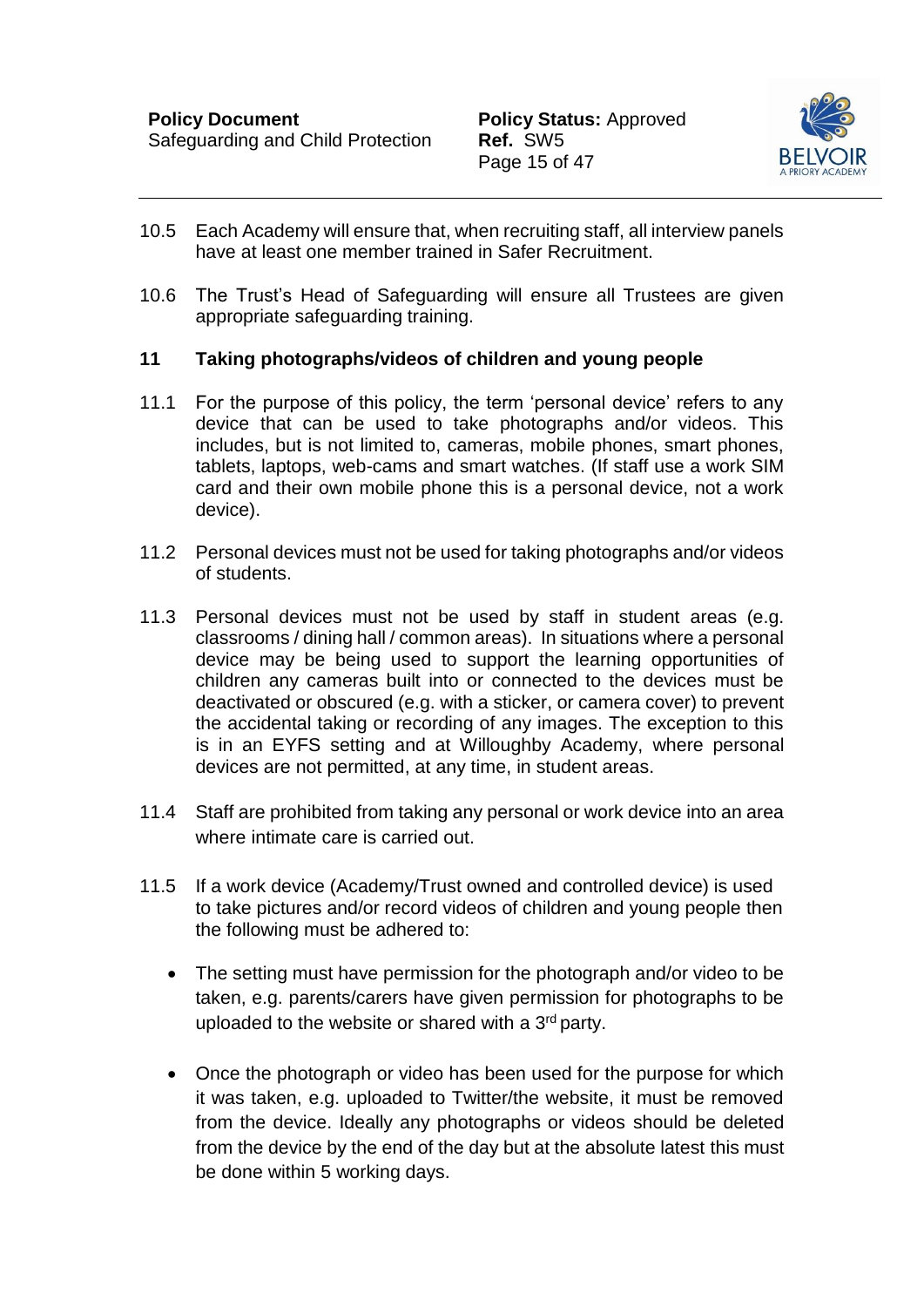

- 10.5 Each Academy will ensure that, when recruiting staff, all interview panels have at least one member trained in Safer Recruitment.
- 10.6 The Trust's Head of Safeguarding will ensure all Trustees are given appropriate safeguarding training.

### <span id="page-15-0"></span>**11 Taking photographs/videos of children and young people**

- 11.1 For the purpose of this policy, the term 'personal device' refers to any device that can be used to take photographs and/or videos. This includes, but is not limited to, cameras, mobile phones, smart phones, tablets, laptops, web-cams and smart watches. (If staff use a work SIM card and their own mobile phone this is a personal device, not a work device).
- 11.2 Personal devices must not be used for taking photographs and/or videos of students.
- 11.3 Personal devices must not be used by staff in student areas (e.g. classrooms / dining hall / common areas). In situations where a personal device may be being used to support the learning opportunities of children any cameras built into or connected to the devices must be deactivated or obscured (e.g. with a sticker, or camera cover) to prevent the accidental taking or recording of any images. The exception to this is in an EYFS setting and at Willoughby Academy, where personal devices are not permitted, at any time, in student areas.
- 11.4 Staff are prohibited from taking any personal or work device into an area where intimate care is carried out.
- 11.5 If a work device (Academy/Trust owned and controlled device) is used to take pictures and/or record videos of children and young people then the following must be adhered to:
	- The setting must have permission for the photograph and/or video to be taken, e.g. parents/carers have given permission for photographs to be uploaded to the website or shared with a  $3<sup>rd</sup>$  party.
	- Once the photograph or video has been used for the purpose for which it was taken, e.g. uploaded to Twitter/the website, it must be removed from the device. Ideally any photographs or videos should be deleted from the device by the end of the day but at the absolute latest this must be done within 5 working days.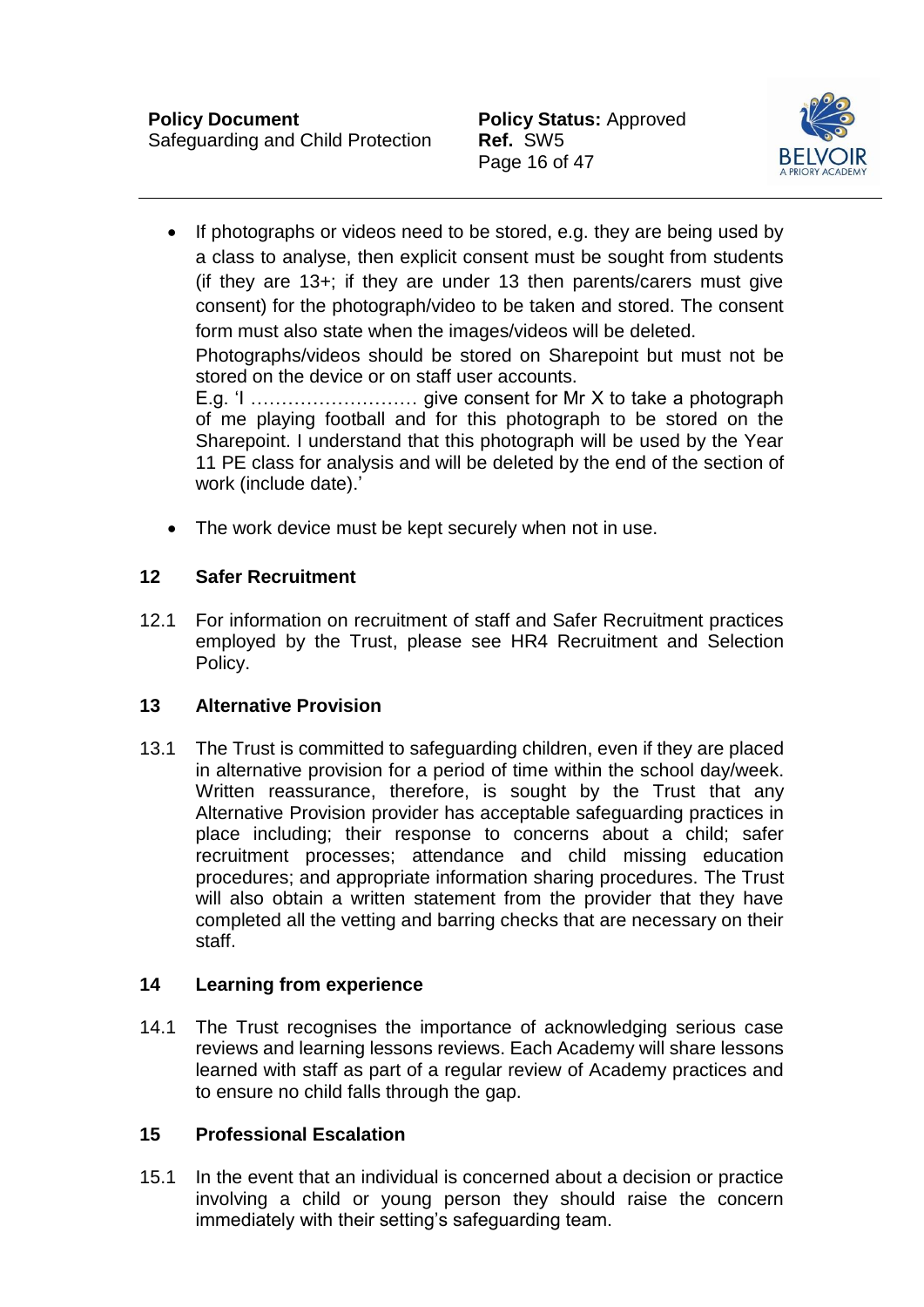

- If photographs or videos need to be stored, e.g. they are being used by a class to analyse, then explicit consent must be sought from students (if they are  $13+$ ; if they are under 13 then parents/carers must give consent) for the photograph/video to be taken and stored. The consent form must also state when the images/videos will be deleted. Photographs/videos should be stored on Sharepoint but must not be stored on the device or on staff user accounts. E.g. 'I ……………………… give consent for Mr X to take a photograph of me playing football and for this photograph to be stored on the Sharepoint. I understand that this photograph will be used by the Year 11 PE class for analysis and will be deleted by the end of the section of work (include date).'
- The work device must be kept securely when not in use.

# <span id="page-16-0"></span>**12 Safer Recruitment**

12.1 For information on recruitment of staff and Safer Recruitment practices employed by the Trust, please see HR4 Recruitment and Selection Policy.

# <span id="page-16-1"></span>**13 Alternative Provision**

13.1 The Trust is committed to safeguarding children, even if they are placed in alternative provision for a period of time within the school day/week. Written reassurance, therefore, is sought by the Trust that any Alternative Provision provider has acceptable safeguarding practices in place including; their response to concerns about a child; safer recruitment processes; attendance and child missing education procedures; and appropriate information sharing procedures. The Trust will also obtain a written statement from the provider that they have completed all the vetting and barring checks that are necessary on their staff.

# <span id="page-16-2"></span>**14 Learning from experience**

14.1 The Trust recognises the importance of acknowledging serious case reviews and learning lessons reviews. Each Academy will share lessons learned with staff as part of a regular review of Academy practices and to ensure no child falls through the gap.

# <span id="page-16-3"></span>**15 Professional Escalation**

15.1 In the event that an individual is concerned about a decision or practice involving a child or young person they should raise the concern immediately with their setting's safeguarding team.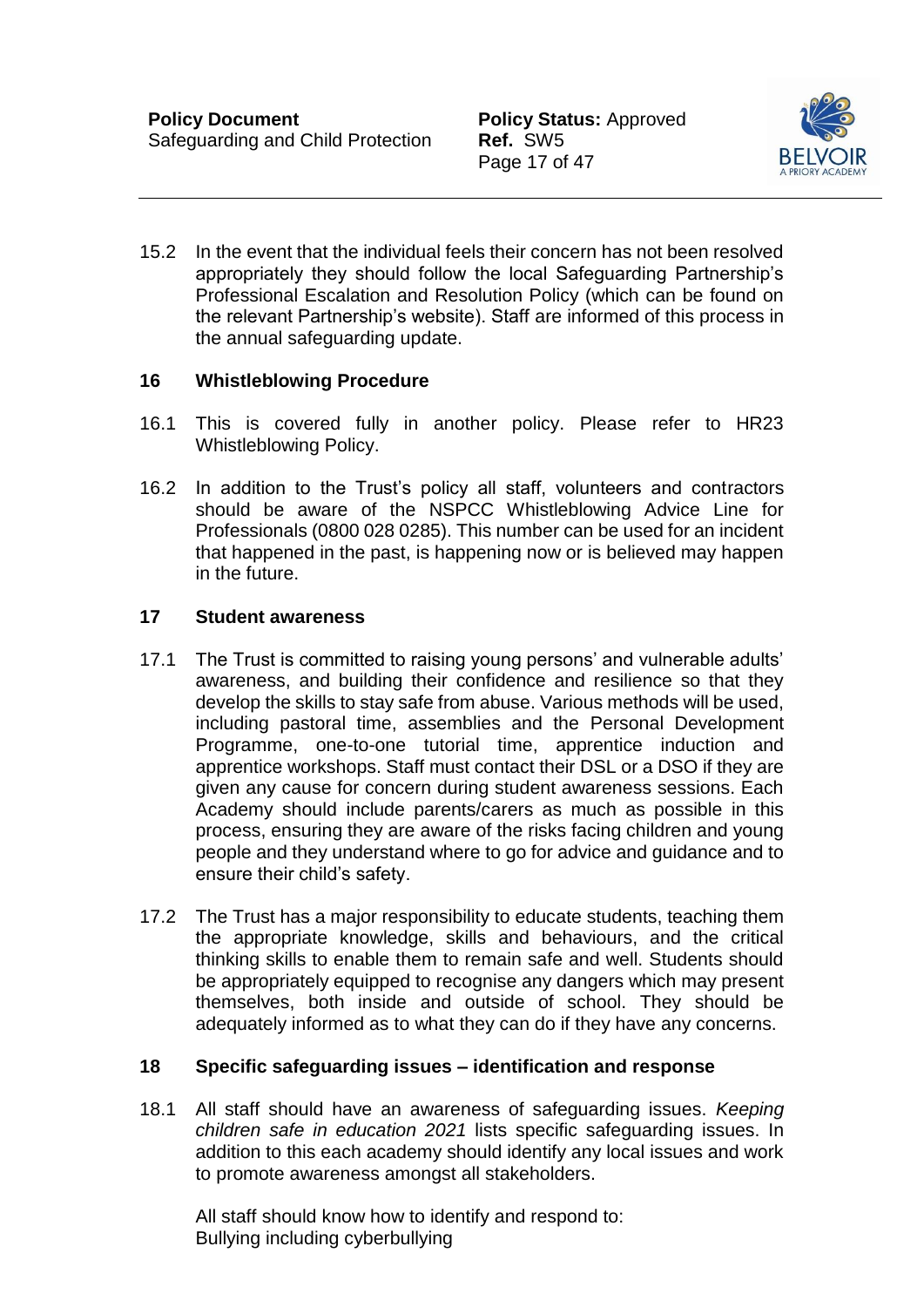Page 17 of 47



15.2 In the event that the individual feels their concern has not been resolved appropriately they should follow the local Safeguarding Partnership's Professional Escalation and Resolution Policy (which can be found on the relevant Partnership's website). Staff are informed of this process in the annual safeguarding update.

# <span id="page-17-0"></span>**16 Whistleblowing Procedure**

- 16.1 This is covered fully in another policy. Please refer to HR23 Whistleblowing Policy.
- 16.2 In addition to the Trust's policy all staff, volunteers and contractors should be aware of the NSPCC Whistleblowing Advice Line for Professionals (0800 028 0285). This number can be used for an incident that happened in the past, is happening now or is believed may happen in the future.

#### <span id="page-17-1"></span>**17 Student awareness**

- 17.1 The Trust is committed to raising young persons' and vulnerable adults' awareness, and building their confidence and resilience so that they develop the skills to stay safe from abuse. Various methods will be used, including pastoral time, assemblies and the Personal Development Programme, one-to-one tutorial time, apprentice induction and apprentice workshops. Staff must contact their DSL or a DSO if they are given any cause for concern during student awareness sessions. Each Academy should include parents/carers as much as possible in this process, ensuring they are aware of the risks facing children and young people and they understand where to go for advice and guidance and to ensure their child's safety.
- 17.2 The Trust has a major responsibility to educate students, teaching them the appropriate knowledge, skills and behaviours, and the critical thinking skills to enable them to remain safe and well. Students should be appropriately equipped to recognise any dangers which may present themselves, both inside and outside of school. They should be adequately informed as to what they can do if they have any concerns.

# <span id="page-17-2"></span>**18 Specific safeguarding issues – identification and response**

18.1 All staff should have an awareness of safeguarding issues. *Keeping children safe in education 2021* lists specific safeguarding issues. In addition to this each academy should identify any local issues and work to promote awareness amongst all stakeholders.

All staff should know how to identify and respond to: Bullying including cyberbullying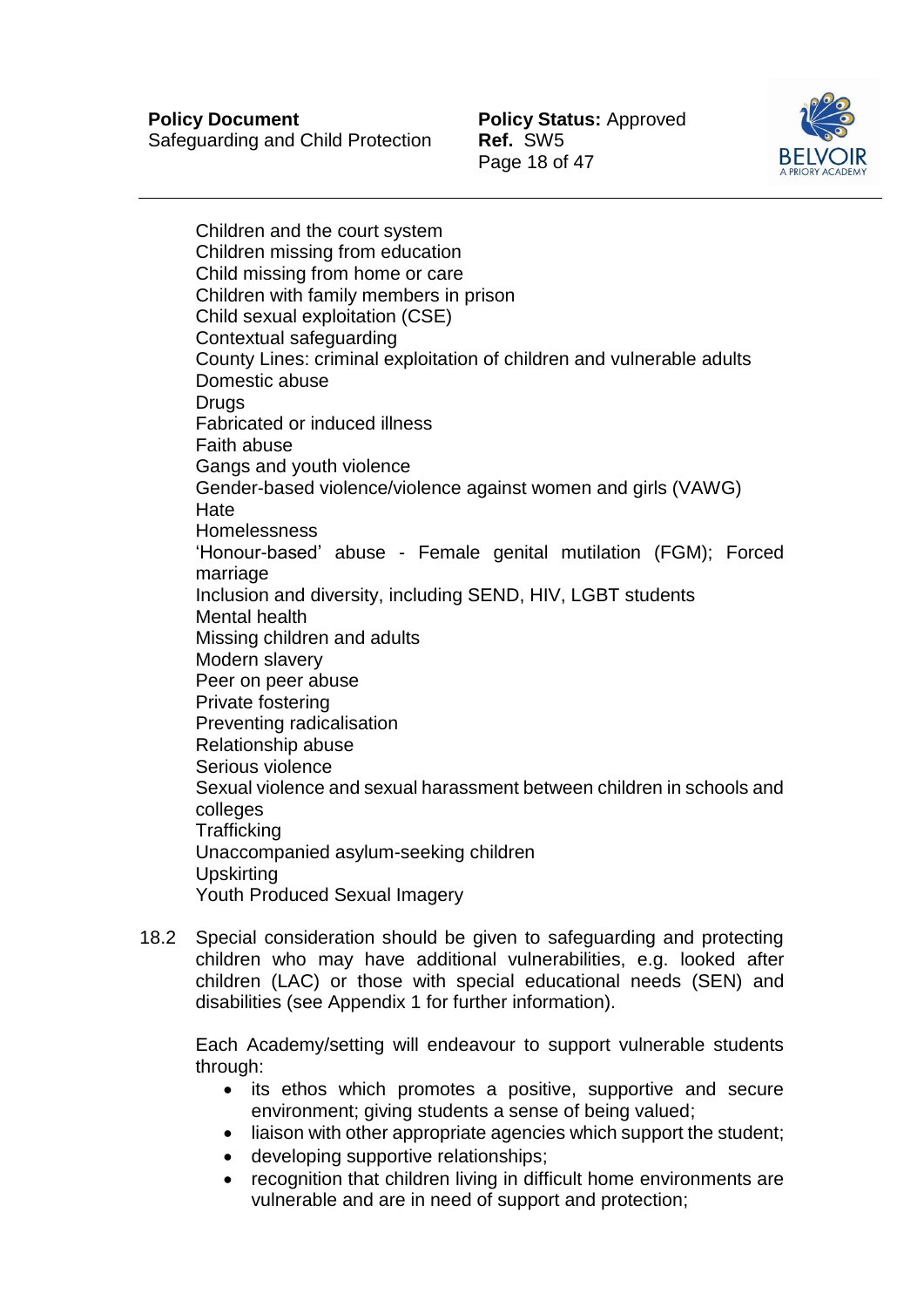

Children and the court system Children missing from education Child missing from home or care Children with family members in prison Child sexual exploitation (CSE) Contextual safeguarding County Lines: criminal exploitation of children and vulnerable adults Domestic abuse **Drugs** Fabricated or induced illness Faith abuse Gangs and youth violence Gender-based violence/violence against women and girls (VAWG) **Hate** Homelessness 'Honour-based' abuse - Female genital mutilation (FGM); Forced marriage Inclusion and diversity, including SEND, HIV, LGBT students Mental health Missing children and adults Modern slavery Peer on peer abuse Private fostering Preventing radicalisation Relationship abuse Serious violence Sexual violence and sexual harassment between children in schools and colleges **Trafficking** Unaccompanied asylum-seeking children **Upskirting** Youth Produced Sexual Imagery

18.2 Special consideration should be given to safeguarding and protecting children who may have additional vulnerabilities, e.g. looked after children (LAC) or those with special educational needs (SEN) and disabilities (see Appendix 1 for further information).

Each Academy/setting will endeavour to support vulnerable students through:

- its ethos which promotes a positive, supportive and secure environment; giving students a sense of being valued;
- liaison with other appropriate agencies which support the student;
- developing supportive relationships;
- recognition that children living in difficult home environments are vulnerable and are in need of support and protection;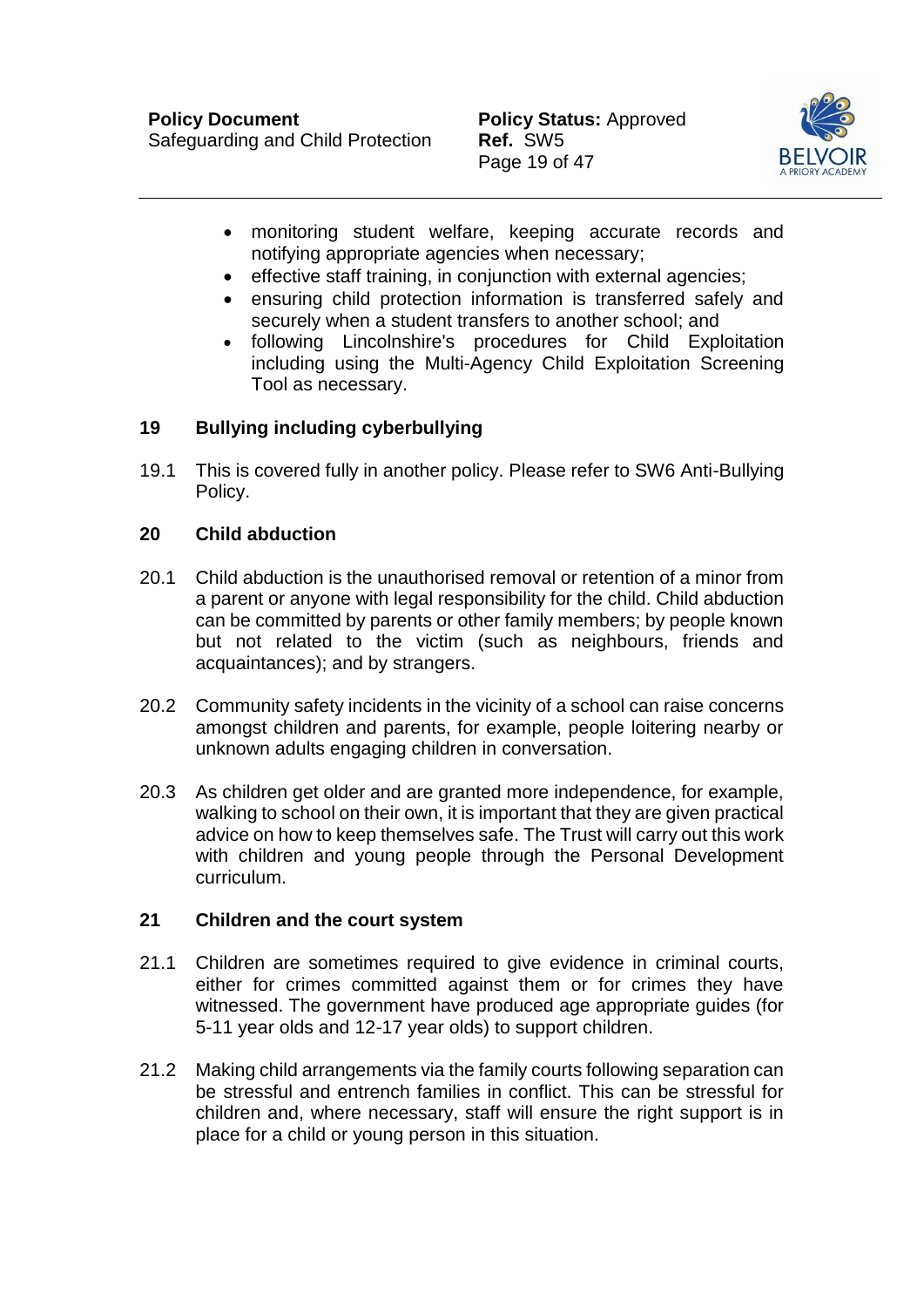Safeguarding and Child Protection **Ref.** SW5



- monitoring student welfare, keeping accurate records and notifying appropriate agencies when necessary;
- effective staff training, in conjunction with external agencies;
- ensuring child protection information is transferred safely and securely when a student transfers to another school; and
- following Lincolnshire's procedures for Child Exploitation including using the Multi-Agency Child Exploitation Screening Tool as necessary.

# <span id="page-19-0"></span>**19 Bullying including cyberbullying**

19.1 This is covered fully in another policy. Please refer to SW6 Anti-Bullying Policy.

# <span id="page-19-1"></span>**20 Child abduction**

- 20.1 Child abduction is the unauthorised removal or retention of a minor from a parent or anyone with legal responsibility for the child. Child abduction can be committed by parents or other family members; by people known but not related to the victim (such as neighbours, friends and acquaintances); and by strangers.
- 20.2 Community safety incidents in the vicinity of a school can raise concerns amongst children and parents, for example, people loitering nearby or unknown adults engaging children in conversation.
- 20.3 As children get older and are granted more independence, for example, walking to school on their own, it is important that they are given practical advice on how to keep themselves safe. The Trust will carry out this work with children and young people through the Personal Development curriculum.

# <span id="page-19-2"></span>**21 Children and the court system**

- 21.1 Children are sometimes required to give evidence in criminal courts, either for crimes committed against them or for crimes they have witnessed. The government have produced age appropriate guides (for 5-11 year olds and 12-17 year olds) to support children.
- 21.2 Making child arrangements via the family courts following separation can be stressful and entrench families in conflict. This can be stressful for children and, where necessary, staff will ensure the right support is in place for a child or young person in this situation.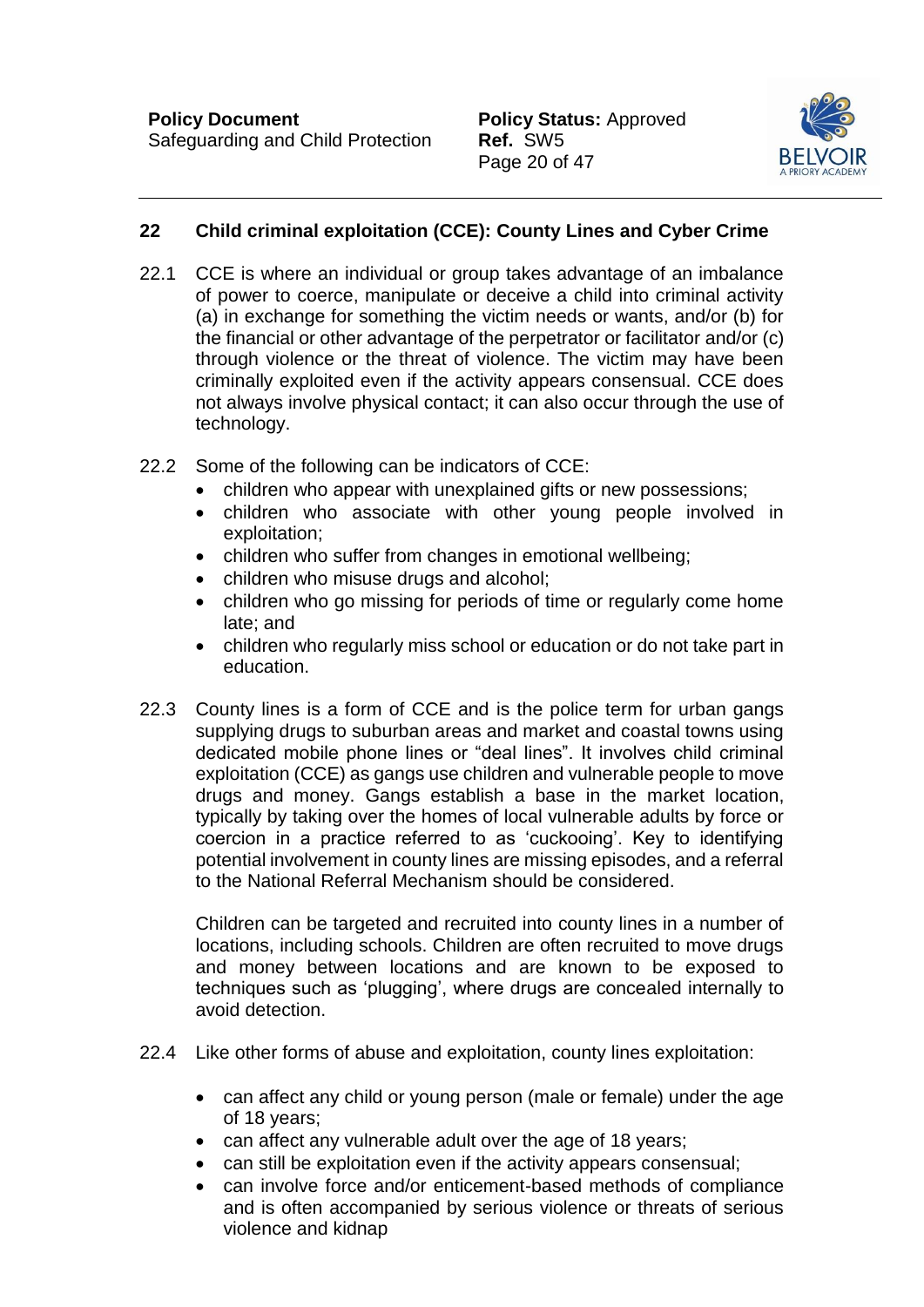

# <span id="page-20-0"></span>**22 Child criminal exploitation (CCE): County Lines and Cyber Crime**

- 22.1 CCE is where an individual or group takes advantage of an imbalance of power to coerce, manipulate or deceive a child into criminal activity (a) in exchange for something the victim needs or wants, and/or (b) for the financial or other advantage of the perpetrator or facilitator and/or (c) through violence or the threat of violence. The victim may have been criminally exploited even if the activity appears consensual. CCE does not always involve physical contact; it can also occur through the use of technology.
- 22.2 Some of the following can be indicators of CCE:
	- children who appear with unexplained gifts or new possessions;
	- children who associate with other young people involved in exploitation;
	- children who suffer from changes in emotional wellbeing:
	- children who misuse drugs and alcohol;
	- children who go missing for periods of time or regularly come home late; and
	- children who regularly miss school or education or do not take part in education.
- 22.3 County lines is a form of CCE and is the police term for urban gangs supplying drugs to suburban areas and market and coastal towns using dedicated mobile phone lines or "deal lines". It involves child criminal exploitation (CCE) as gangs use children and vulnerable people to move drugs and money. Gangs establish a base in the market location, typically by taking over the homes of local vulnerable adults by force or coercion in a practice referred to as 'cuckooing'. Key to identifying potential involvement in county lines are missing episodes, and a referral to the National Referral Mechanism should be considered.

Children can be targeted and recruited into county lines in a number of locations, including schools. Children are often recruited to move drugs and money between locations and are known to be exposed to techniques such as 'plugging', where drugs are concealed internally to avoid detection.

- 22.4 Like other forms of abuse and exploitation, county lines exploitation:
	- can affect any child or young person (male or female) under the age of 18 years;
	- can affect any vulnerable adult over the age of 18 years;
	- can still be exploitation even if the activity appears consensual;
	- can involve force and/or enticement-based methods of compliance and is often accompanied by serious violence or threats of serious violence and kidnap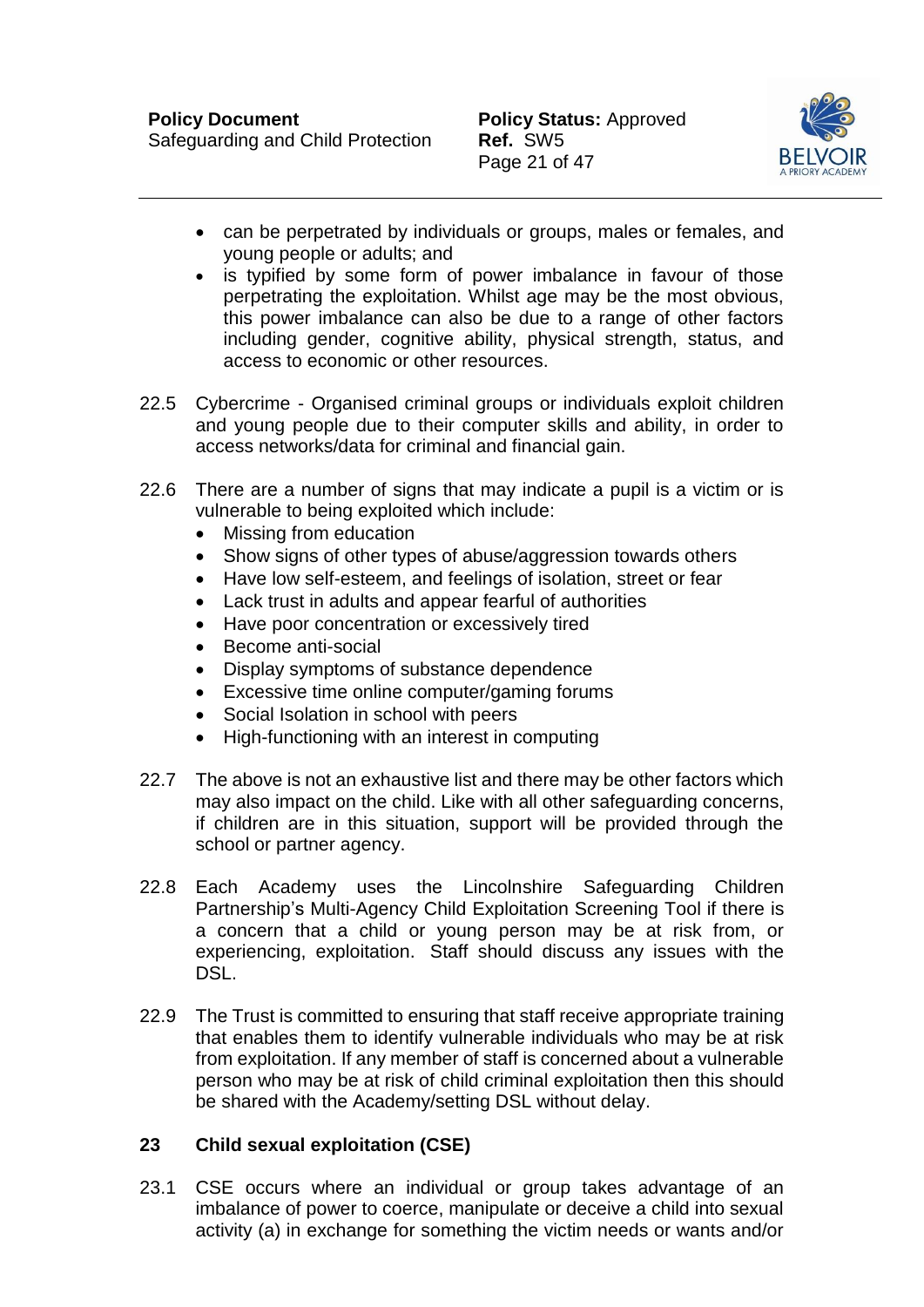

- can be perpetrated by individuals or groups, males or females, and young people or adults; and
- is typified by some form of power imbalance in favour of those perpetrating the exploitation. Whilst age may be the most obvious, this power imbalance can also be due to a range of other factors including gender, cognitive ability, physical strength, status, and access to economic or other resources.
- 22.5 Cybercrime Organised criminal groups or individuals exploit children and young people due to their computer skills and ability, in order to access networks/data for criminal and financial gain.
- 22.6 There are a number of signs that may indicate a pupil is a victim or is vulnerable to being exploited which include:
	- Missing from education
	- Show signs of other types of abuse/aggression towards others
	- Have low self-esteem, and feelings of isolation, street or fear
	- Lack trust in adults and appear fearful of authorities
	- Have poor concentration or excessively tired
	- Become anti-social
	- Display symptoms of substance dependence
	- Excessive time online computer/gaming forums
	- Social Isolation in school with peers
	- High-functioning with an interest in computing
- 22.7 The above is not an exhaustive list and there may be other factors which may also impact on the child. Like with all other safeguarding concerns, if children are in this situation, support will be provided through the school or partner agency.
- 22.8 Each Academy uses the Lincolnshire Safeguarding Children Partnership's Multi-Agency Child Exploitation Screening Tool if there is a concern that a child or young person may be at risk from, or experiencing, exploitation. Staff should discuss any issues with the DSL.
- 22.9 The Trust is committed to ensuring that staff receive appropriate training that enables them to identify vulnerable individuals who may be at risk from exploitation. If any member of staff is concerned about a vulnerable person who may be at risk of child criminal exploitation then this should be shared with the Academy/setting DSL without delay.

#### <span id="page-21-0"></span>**23 Child sexual exploitation (CSE)**

23.1 CSE occurs where an individual or group takes advantage of an imbalance of power to coerce, manipulate or deceive a child into sexual activity (a) in exchange for something the victim needs or wants and/or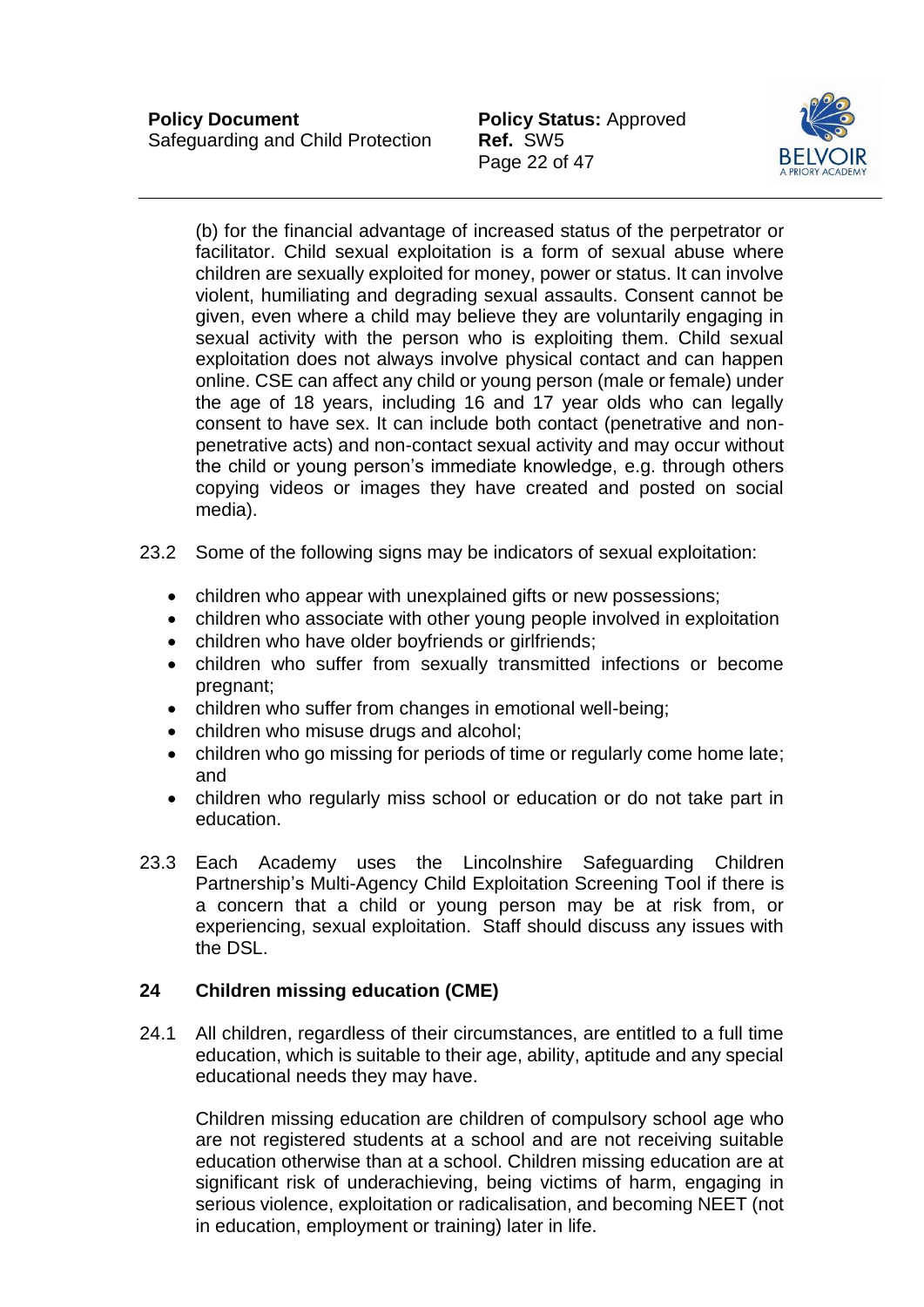Page 22 of 47



(b) for the financial advantage of increased status of the perpetrator or facilitator. Child sexual exploitation is a form of sexual abuse where children are sexually exploited for money, power or status. It can involve violent, humiliating and degrading sexual assaults. Consent cannot be given, even where a child may believe they are voluntarily engaging in sexual activity with the person who is exploiting them. Child sexual exploitation does not always involve physical contact and can happen online. CSE can affect any child or young person (male or female) under the age of 18 years, including 16 and 17 year olds who can legally consent to have sex. It can include both contact (penetrative and nonpenetrative acts) and non-contact sexual activity and may occur without the child or young person's immediate knowledge, e.g. through others copying videos or images they have created and posted on social media).

- 23.2 Some of the following signs may be indicators of sexual exploitation:
	- children who appear with unexplained gifts or new possessions;
	- children who associate with other young people involved in exploitation
	- children who have older boyfriends or girlfriends;
	- children who suffer from sexually transmitted infections or become pregnant;
	- children who suffer from changes in emotional well-being;
	- children who misuse drugs and alcohol;
	- children who go missing for periods of time or regularly come home late; and
	- children who regularly miss school or education or do not take part in education.
- 23.3 Each Academy uses the Lincolnshire Safeguarding Children Partnership's Multi-Agency Child Exploitation Screening Tool if there is a concern that a child or young person may be at risk from, or experiencing, sexual exploitation. Staff should discuss any issues with the DSL.

#### <span id="page-22-0"></span>**24 Children missing education (CME)**

24.1 All children, regardless of their circumstances, are entitled to a full time education, which is suitable to their age, ability, aptitude and any special educational needs they may have.

Children missing education are children of compulsory school age who are not registered students at a school and are not receiving suitable education otherwise than at a school. Children missing education are at significant risk of underachieving, being victims of harm, engaging in serious violence, exploitation or radicalisation, and becoming NEET (not in education, employment or training) later in life.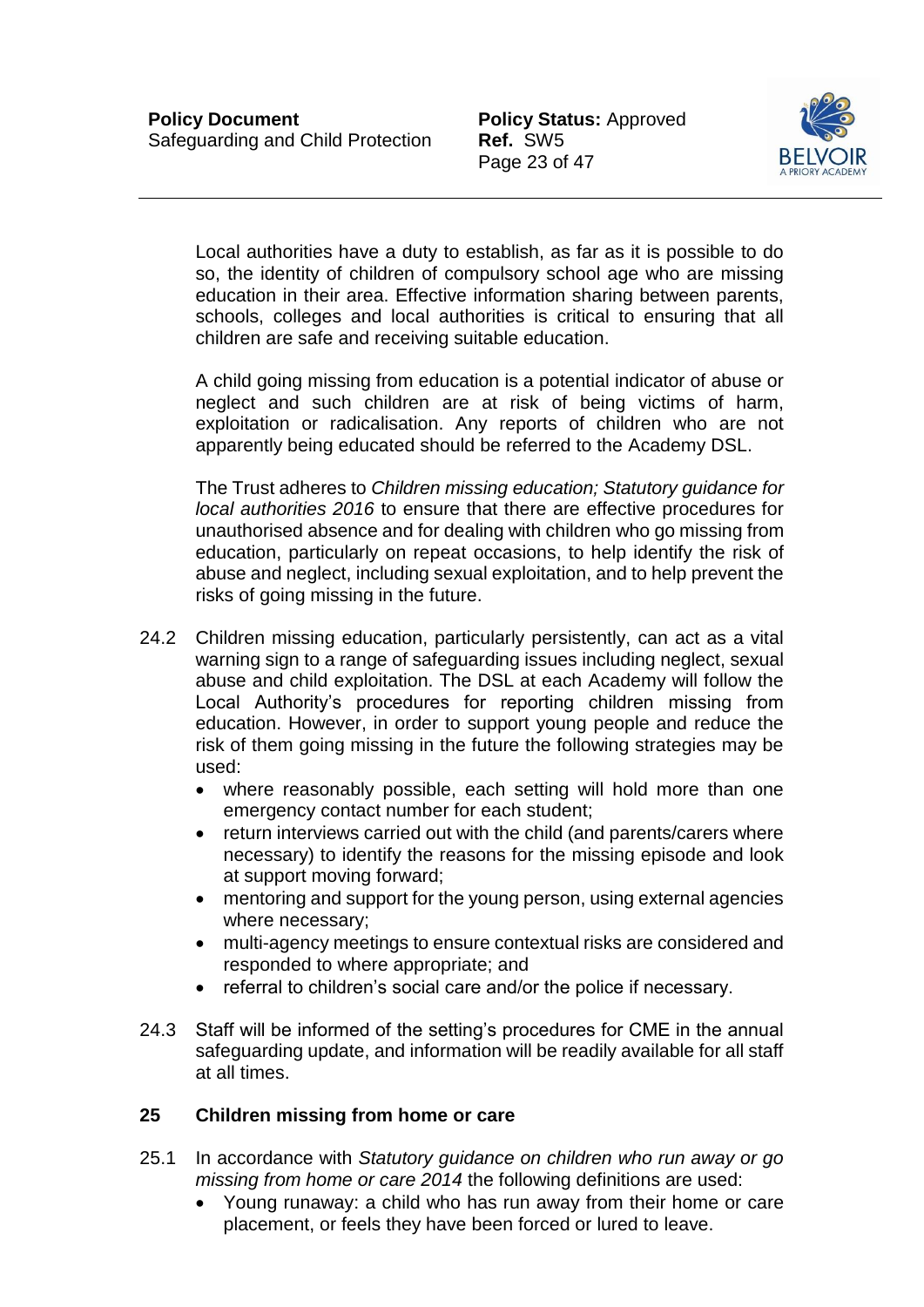

Local authorities have a duty to establish, as far as it is possible to do so, the identity of children of compulsory school age who are missing education in their area. Effective information sharing between parents, schools, colleges and local authorities is critical to ensuring that all children are safe and receiving suitable education.

A child going missing from education is a potential indicator of abuse or neglect and such children are at risk of being victims of harm, exploitation or radicalisation. Any reports of children who are not apparently being educated should be referred to the Academy DSL.

The Trust adheres to *Children missing education; Statutory guidance for local authorities 2016* to ensure that there are effective procedures for unauthorised absence and for dealing with children who go missing from education, particularly on repeat occasions, to help identify the risk of abuse and neglect, including sexual exploitation, and to help prevent the risks of going missing in the future.

- 24.2 Children missing education, particularly persistently, can act as a vital warning sign to a range of safeguarding issues including neglect, sexual abuse and child exploitation. The DSL at each Academy will follow the Local Authority's procedures for reporting children missing from education. However, in order to support young people and reduce the risk of them going missing in the future the following strategies may be used:
	- where reasonably possible, each setting will hold more than one emergency contact number for each student;
	- return interviews carried out with the child (and parents/carers where necessary) to identify the reasons for the missing episode and look at support moving forward;
	- mentoring and support for the young person, using external agencies where necessary;
	- multi-agency meetings to ensure contextual risks are considered and responded to where appropriate; and
	- referral to children's social care and/or the police if necessary.
- 24.3 Staff will be informed of the setting's procedures for CME in the annual safeguarding update, and information will be readily available for all staff at all times.

# <span id="page-23-0"></span>**25 Children missing from home or care**

- 25.1 In accordance with *Statutory guidance on children who run away or go missing from home or care 2014* the following definitions are used:
	- Young runaway: a child who has run away from their home or care placement, or feels they have been forced or lured to leave.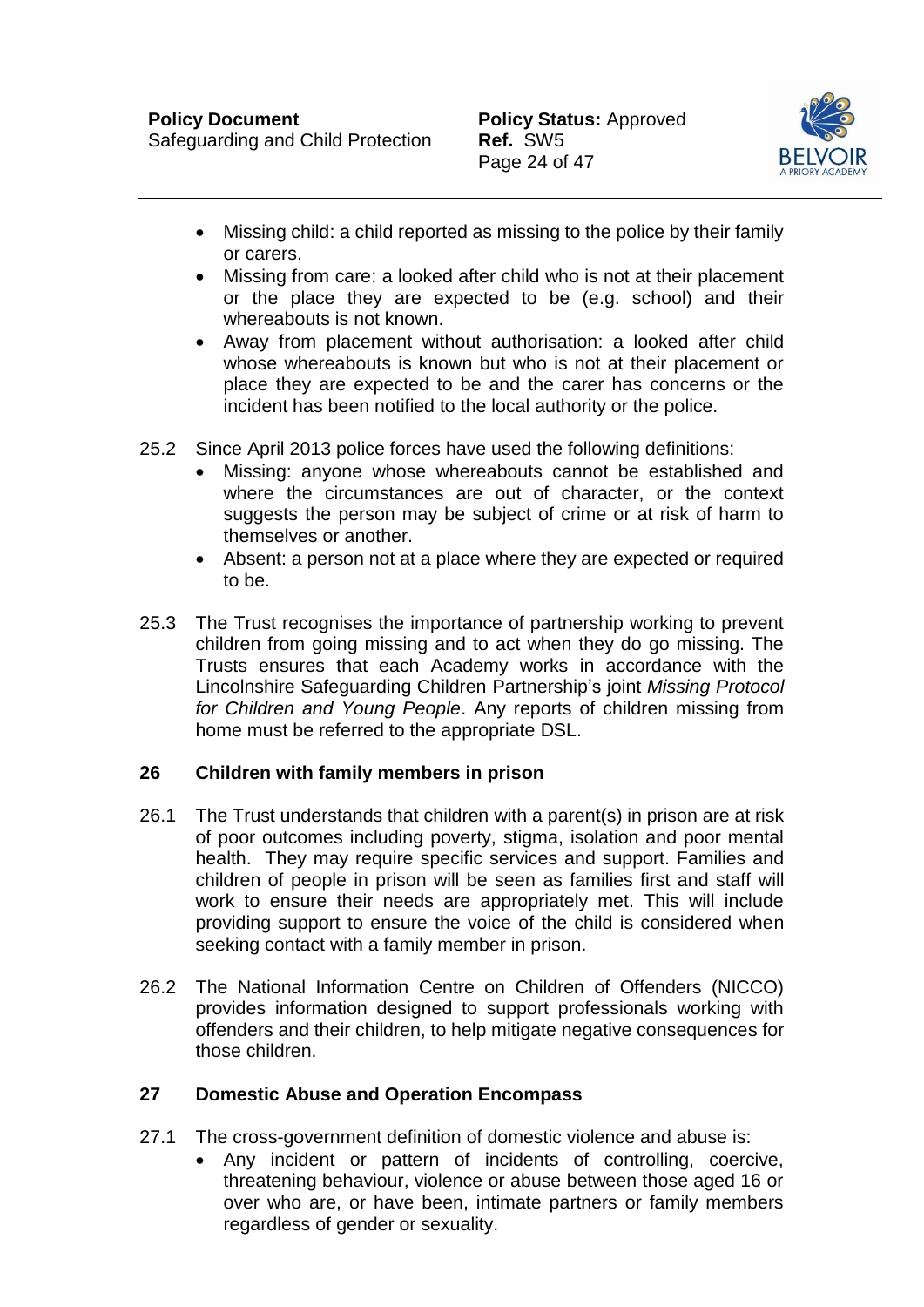

- Missing child: a child reported as missing to the police by their family or carers.
- Missing from care: a looked after child who is not at their placement or the place they are expected to be (e.g. school) and their whereabouts is not known.
- Away from placement without authorisation: a looked after child whose whereabouts is known but who is not at their placement or place they are expected to be and the carer has concerns or the incident has been notified to the local authority or the police.
- 25.2 Since April 2013 police forces have used the following definitions:
	- Missing: anyone whose whereabouts cannot be established and where the circumstances are out of character, or the context suggests the person may be subject of crime or at risk of harm to themselves or another.
	- Absent: a person not at a place where they are expected or required to be.
- 25.3 The Trust recognises the importance of partnership working to prevent children from going missing and to act when they do go missing. The Trusts ensures that each Academy works in accordance with the Lincolnshire Safeguarding Children Partnership's joint *Missing Protocol for Children and Young People*. Any reports of children missing from home must be referred to the appropriate DSL.

# <span id="page-24-0"></span>**26 Children with family members in prison**

- 26.1 The Trust understands that children with a parent(s) in prison are at risk of poor outcomes including poverty, stigma, isolation and poor mental health. They may require specific services and support. Families and children of people in prison will be seen as families first and staff will work to ensure their needs are appropriately met. This will include providing support to ensure the voice of the child is considered when seeking contact with a family member in prison.
- 26.2 The National Information Centre on Children of Offenders (NICCO) provides information designed to support professionals working with offenders and their children, to help mitigate negative consequences for those children.

#### <span id="page-24-1"></span>**27 Domestic Abuse and Operation Encompass**

- 27.1 The cross-government definition of domestic violence and abuse is:
	- Any incident or pattern of incidents of controlling, coercive, threatening behaviour, violence or abuse between those aged 16 or over who are, or have been, intimate partners or family members regardless of gender or sexuality.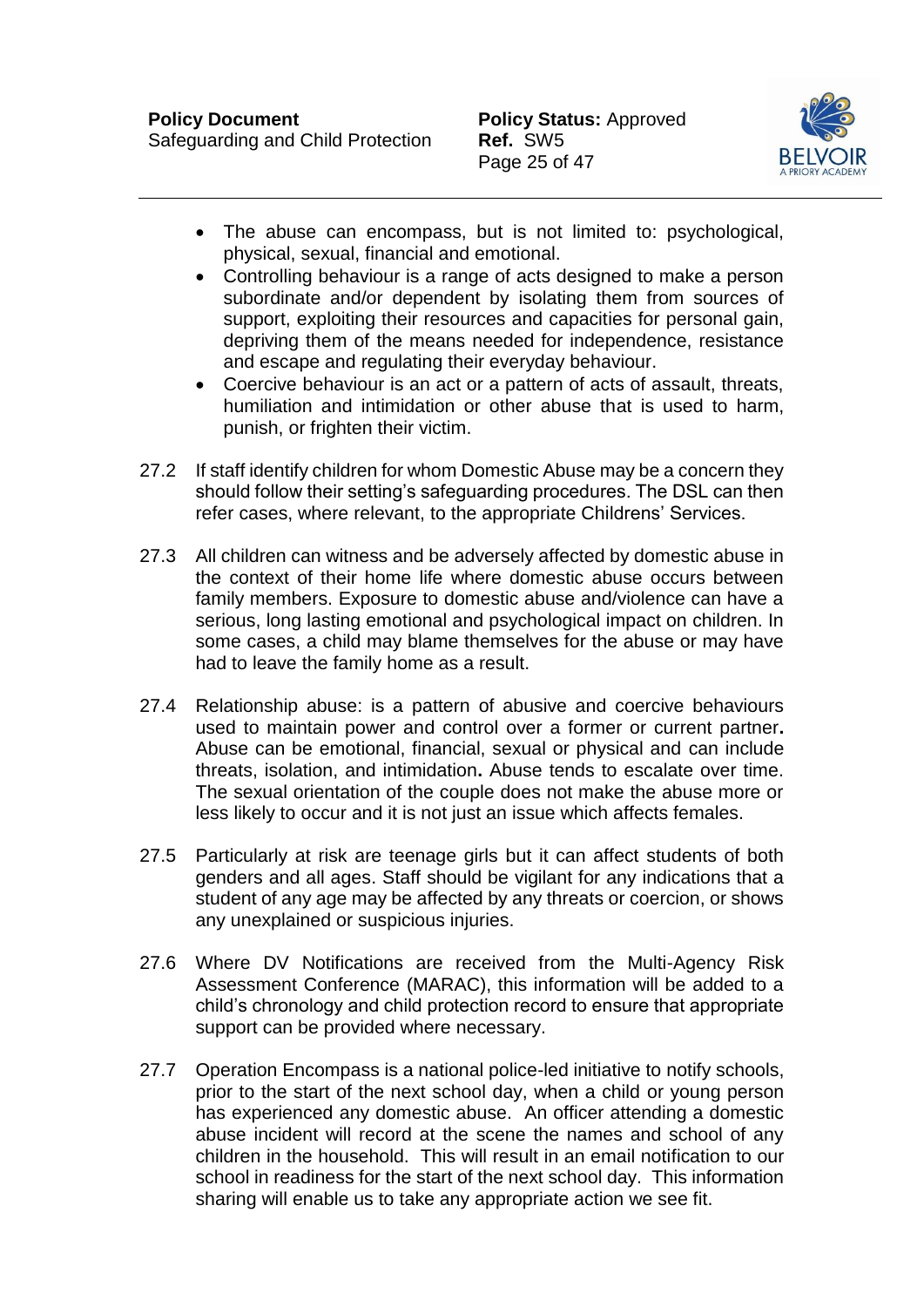

- The abuse can encompass, but is not limited to: psychological, physical, sexual, financial and emotional.
- Controlling behaviour is a range of acts designed to make a person subordinate and/or dependent by isolating them from sources of support, exploiting their resources and capacities for personal gain, depriving them of the means needed for independence, resistance and escape and regulating their everyday behaviour.
- Coercive behaviour is an act or a pattern of acts of assault, threats, humiliation and intimidation or other abuse that is used to harm, punish, or frighten their victim.
- 27.2 If staff identify children for whom Domestic Abuse may be a concern they should follow their setting's safeguarding procedures. The DSL can then refer cases, where relevant, to the appropriate Childrens' Services.
- 27.3 All children can witness and be adversely affected by domestic abuse in the context of their home life where domestic abuse occurs between family members. Exposure to domestic abuse and/violence can have a serious, long lasting emotional and psychological impact on children. In some cases, a child may blame themselves for the abuse or may have had to leave the family home as a result.
- 27.4 Relationship abuse: is a pattern of abusive and coercive behaviours used to maintain power and control over a former or current partner**.**  Abuse can be emotional, financial, sexual or physical and can include threats, isolation, and intimidation**.** Abuse tends to escalate over time. The sexual orientation of the couple does not make the abuse more or less likely to occur and it is not just an issue which affects females.
- 27.5 Particularly at risk are teenage girls but it can affect students of both genders and all ages. Staff should be vigilant for any indications that a student of any age may be affected by any threats or coercion, or shows any unexplained or suspicious injuries.
- 27.6 Where DV Notifications are received from the Multi-Agency Risk Assessment Conference (MARAC), this information will be added to a child's chronology and child protection record to ensure that appropriate support can be provided where necessary.
- 27.7 Operation Encompass is a national police-led initiative to notify schools, prior to the start of the next school day, when a child or young person has experienced any domestic abuse. An officer attending a domestic abuse incident will record at the scene the names and school of any children in the household. This will result in an email notification to our school in readiness for the start of the next school day. This information sharing will enable us to take any appropriate action we see fit.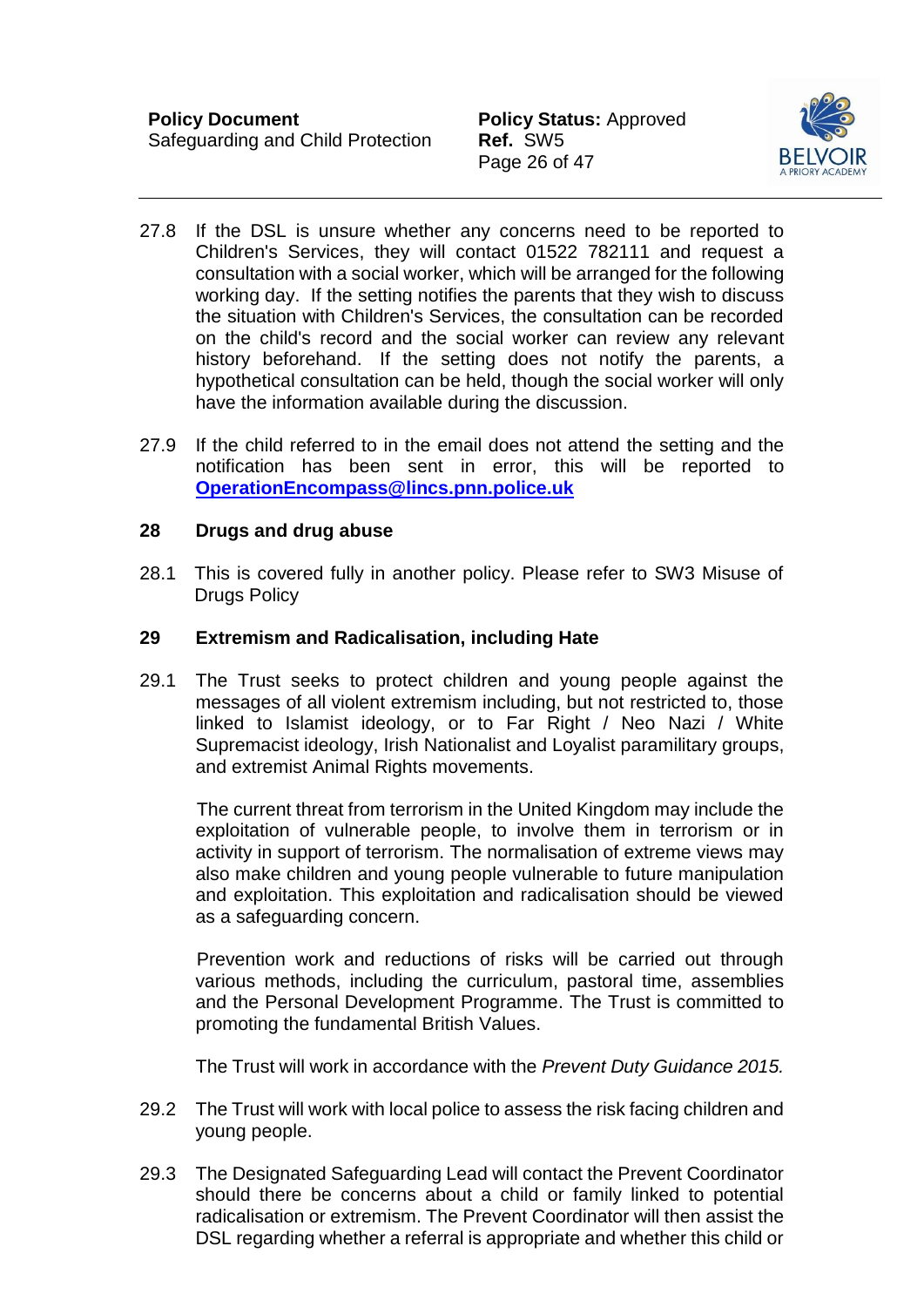

- 27.8 If the DSL is unsure whether any concerns need to be reported to Children's Services, they will contact 01522 782111 and request a consultation with a social worker, which will be arranged for the following working day. If the setting notifies the parents that they wish to discuss the situation with Children's Services, the consultation can be recorded on the child's record and the social worker can review any relevant history beforehand. If the setting does not notify the parents, a hypothetical consultation can be held, though the social worker will only have the information available during the discussion.
- 27.9 If the child referred to in the email does not attend the setting and the notification has been sent in error, this will be reported to **[OperationEncompass@lincs.pnn.police.uk](mailto:OperationEncompass@lincs.pnn.police.uk)**

#### <span id="page-26-0"></span>**28 Drugs and drug abuse**

28.1 This is covered fully in another policy. Please refer to SW3 Misuse of Drugs Policy

#### <span id="page-26-1"></span>**29 Extremism and Radicalisation, including Hate**

29.1 The Trust seeks to protect children and young people against the messages of all violent extremism including, but not restricted to, those linked to Islamist ideology, or to Far Right / Neo Nazi / White Supremacist ideology, Irish Nationalist and Loyalist paramilitary groups, and extremist Animal Rights movements.

 The current threat from terrorism in the United Kingdom may include the exploitation of vulnerable people, to involve them in terrorism or in activity in support of terrorism. The normalisation of extreme views may also make children and young people vulnerable to future manipulation and exploitation. This exploitation and radicalisation should be viewed as a safeguarding concern.

 Prevention work and reductions of risks will be carried out through various methods, including the curriculum, pastoral time, assemblies and the Personal Development Programme. The Trust is committed to promoting the fundamental British Values.

The Trust will work in accordance with the *Prevent Duty Guidance 2015.* 

- 29.2 The Trust will work with local police to assess the risk facing children and young people.
- 29.3 The Designated Safeguarding Lead will contact the Prevent Coordinator should there be concerns about a child or family linked to potential radicalisation or extremism. The Prevent Coordinator will then assist the DSL regarding whether a referral is appropriate and whether this child or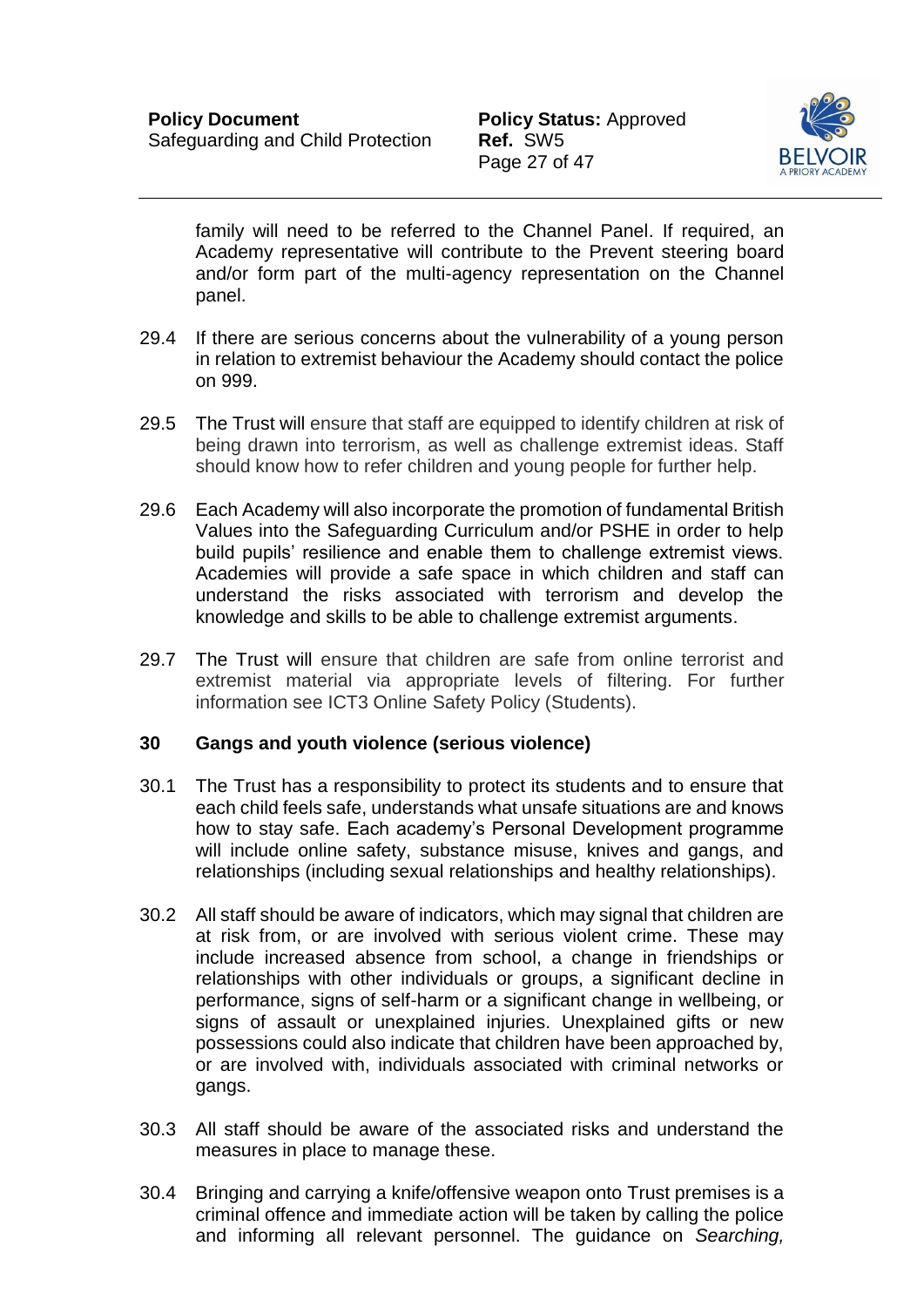

family will need to be referred to the Channel Panel. If required, an Academy representative will contribute to the Prevent steering board and/or form part of the multi-agency representation on the Channel panel.

- 29.4 If there are serious concerns about the vulnerability of a young person in relation to extremist behaviour the Academy should contact the police on 999.
- 29.5 The Trust will ensure that staff are equipped to identify children at risk of being drawn into terrorism, as well as challenge extremist ideas. Staff should know how to refer children and young people for further help.
- 29.6 Each Academy will also incorporate the promotion of fundamental British Values into the Safeguarding Curriculum and/or PSHE in order to help build pupils' resilience and enable them to challenge extremist views. Academies will provide a safe space in which children and staff can understand the risks associated with terrorism and develop the knowledge and skills to be able to challenge extremist arguments.
- 29.7 The Trust will ensure that children are safe from online terrorist and extremist material via appropriate levels of filtering. For further information see ICT3 Online Safety Policy (Students).

### <span id="page-27-0"></span>**30 Gangs and youth violence (serious violence)**

- 30.1 The Trust has a responsibility to protect its students and to ensure that each child feels safe, understands what unsafe situations are and knows how to stay safe. Each academy's Personal Development programme will include online safety, substance misuse, knives and gangs, and relationships (including sexual relationships and healthy relationships).
- 30.2 All staff should be aware of indicators, which may signal that children are at risk from, or are involved with serious violent crime. These may include increased absence from school, a change in friendships or relationships with other individuals or groups, a significant decline in performance, signs of self-harm or a significant change in wellbeing, or signs of assault or unexplained injuries. Unexplained gifts or new possessions could also indicate that children have been approached by, or are involved with, individuals associated with criminal networks or gangs.
- 30.3 All staff should be aware of the associated risks and understand the measures in place to manage these.
- 30.4 Bringing and carrying a knife/offensive weapon onto Trust premises is a criminal offence and immediate action will be taken by calling the police and informing all relevant personnel. The guidance on *Searching,*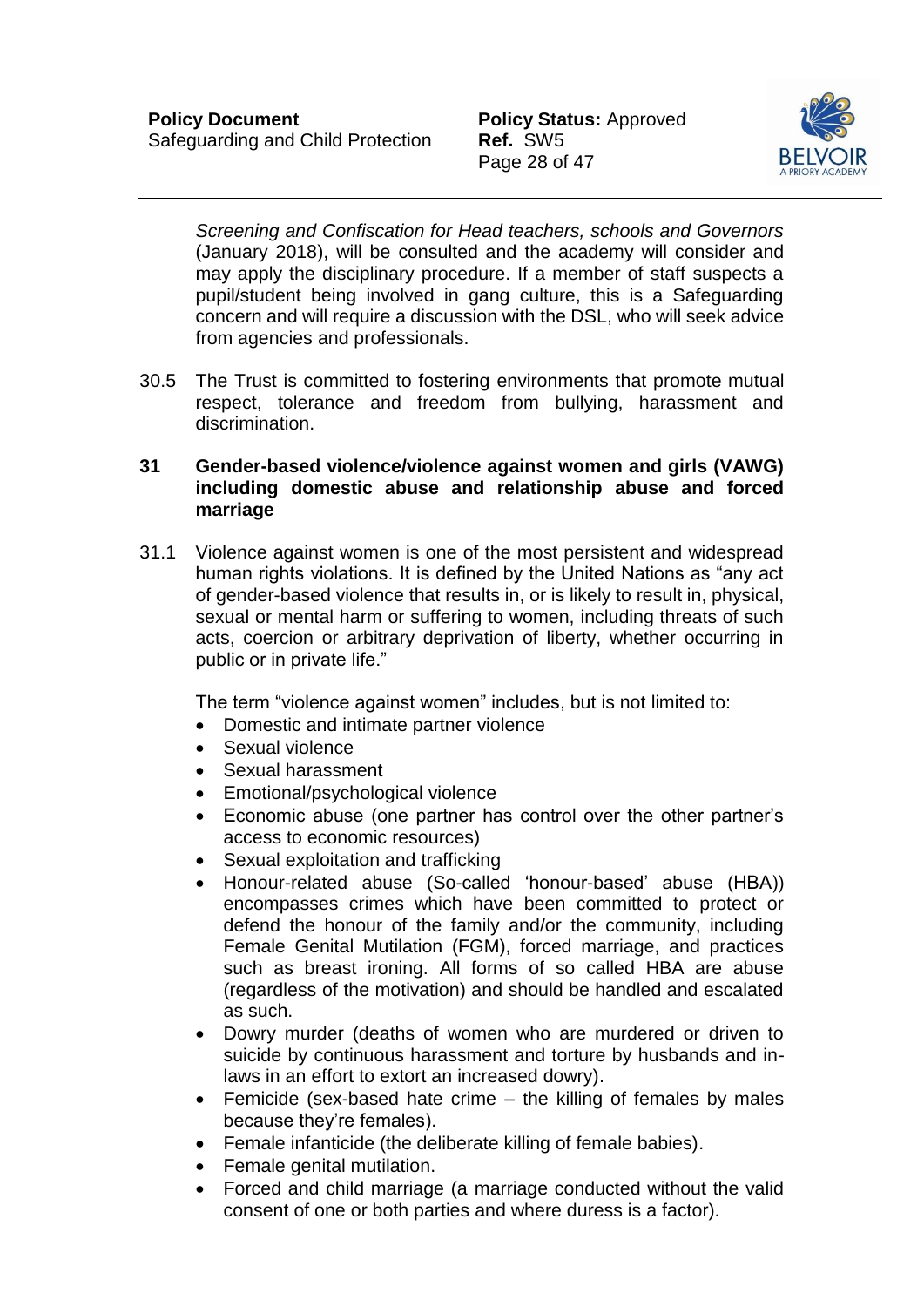

*Screening and Confiscation for Head teachers, schools and Governors* (January 2018), will be consulted and the academy will consider and may apply the disciplinary procedure. If a member of staff suspects a pupil/student being involved in gang culture, this is a Safeguarding concern and will require a discussion with the DSL, who will seek advice from agencies and professionals.

30.5 The Trust is committed to fostering environments that promote mutual respect, tolerance and freedom from bullying, harassment and discrimination.

### <span id="page-28-0"></span>**31 Gender-based violence/violence against women and girls (VAWG) including domestic abuse and relationship abuse and forced marriage**

31.1 Violence against women is one of the most persistent and widespread human rights violations. It is defined by the United Nations as "any act of gender-based violence that results in, or is likely to result in, physical, sexual or mental harm or suffering to women, including threats of such acts, coercion or arbitrary deprivation of liberty, whether occurring in public or in private life."

The term "violence against women" includes, but is not limited to:

- Domestic and intimate partner violence
- Sexual violence
- Sexual harassment
- Emotional/psychological violence
- Economic abuse (one partner has control over the other partner's access to economic resources)
- Sexual exploitation and trafficking
- Honour-related abuse (So-called 'honour-based' abuse (HBA)) encompasses crimes which have been committed to protect or defend the honour of the family and/or the community, including Female Genital Mutilation (FGM), forced marriage, and practices such as breast ironing. All forms of so called HBA are abuse (regardless of the motivation) and should be handled and escalated as such.
- Dowry murder (deaths of women who are murdered or driven to suicide by continuous harassment and torture by husbands and inlaws in an effort to extort an increased dowry).
- Femicide (sex-based hate crime the killing of females by males because they're females).
- Female infanticide (the deliberate killing of female babies).
- Female genital mutilation.
- Forced and child marriage (a marriage conducted without the valid consent of one or both parties and where duress is a factor).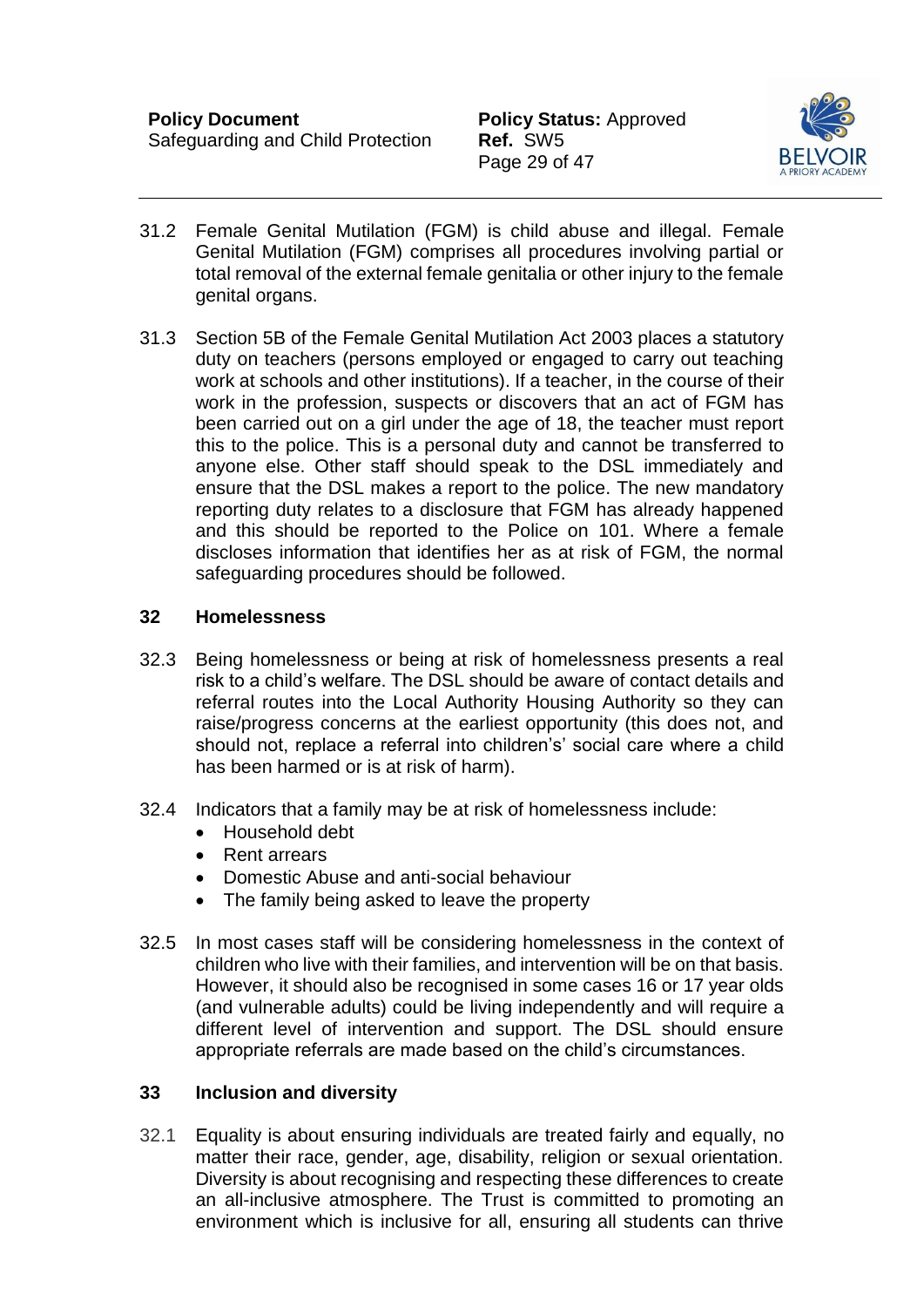

- 31.2 Female Genital Mutilation (FGM) is child abuse and illegal. Female Genital Mutilation (FGM) comprises all procedures involving partial or total removal of the external female genitalia or other injury to the female genital organs.
- 31.3 Section 5B of the Female Genital Mutilation Act 2003 places a statutory duty on teachers (persons employed or engaged to carry out teaching work at schools and other institutions). If a teacher, in the course of their work in the profession, suspects or discovers that an act of FGM has been carried out on a girl under the age of 18, the teacher must report this to the police. This is a personal duty and cannot be transferred to anyone else. Other staff should speak to the DSL immediately and ensure that the DSL makes a report to the police. The new mandatory reporting duty relates to a disclosure that FGM has already happened and this should be reported to the Police on 101. Where a female discloses information that identifies her as at risk of FGM, the normal safeguarding procedures should be followed.

### <span id="page-29-0"></span>**32 Homelessness**

- 32.3 Being homelessness or being at risk of homelessness presents a real risk to a child's welfare. The DSL should be aware of contact details and referral routes into the Local Authority Housing Authority so they can raise/progress concerns at the earliest opportunity (this does not, and should not, replace a referral into children's' social care where a child has been harmed or is at risk of harm).
- 32.4 Indicators that a family may be at risk of homelessness include:
	- Household debt
	- Rent arrears
	- Domestic Abuse and anti-social behaviour
	- The family being asked to leave the property
- 32.5 In most cases staff will be considering homelessness in the context of children who live with their families, and intervention will be on that basis. However, it should also be recognised in some cases 16 or 17 year olds (and vulnerable adults) could be living independently and will require a different level of intervention and support. The DSL should ensure appropriate referrals are made based on the child's circumstances.

#### <span id="page-29-1"></span>**33 Inclusion and diversity**

32.1 Equality is about ensuring individuals are treated fairly and equally, no matter their race, gender, age, disability, religion or sexual orientation. Diversity is about recognising and respecting these differences to create an all-inclusive atmosphere. The Trust is committed to promoting an environment which is inclusive for all, ensuring all students can thrive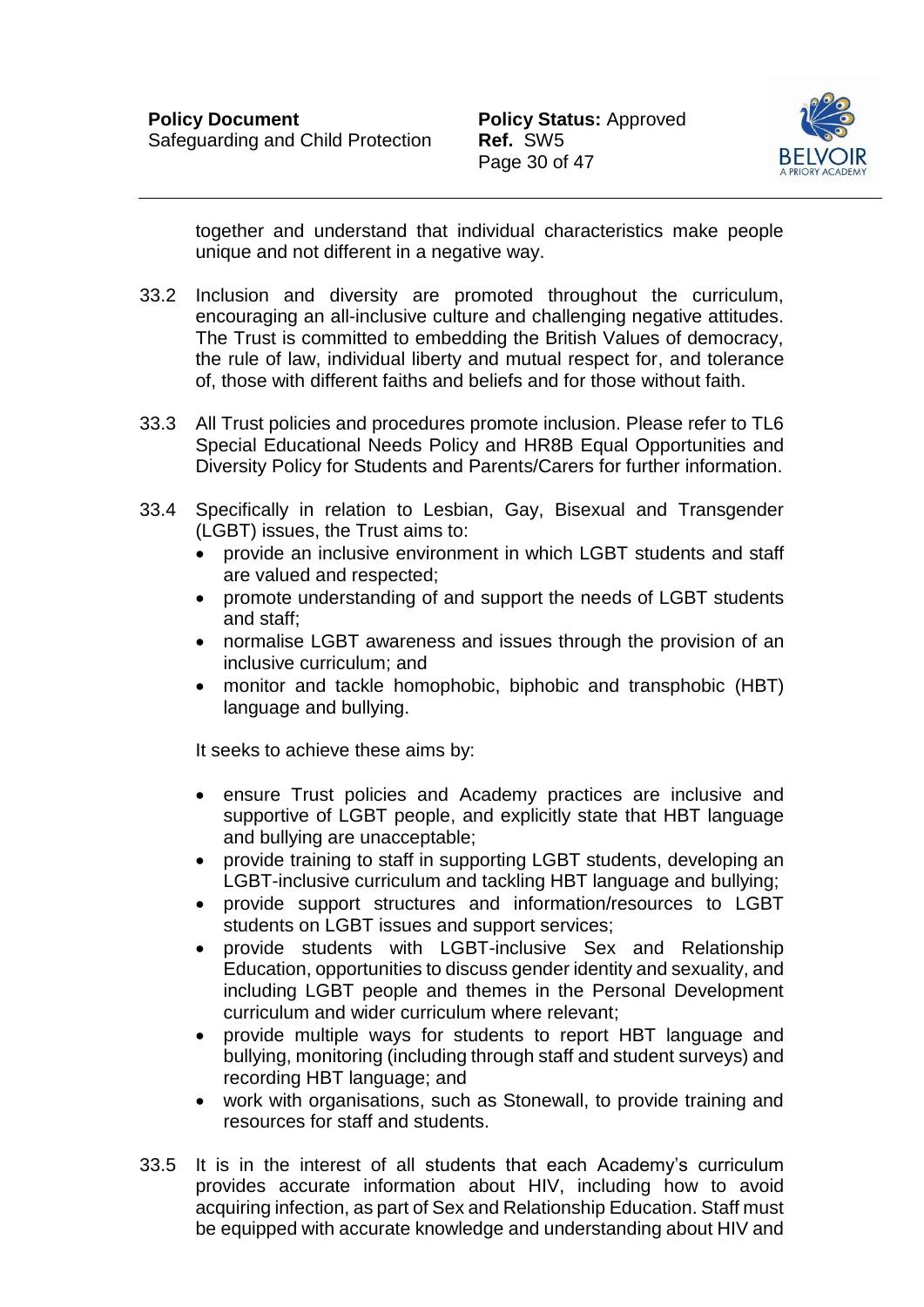

together and understand that individual characteristics make people unique and not different in a negative way.

- 33.2 Inclusion and diversity are promoted throughout the curriculum, encouraging an all-inclusive culture and challenging negative attitudes. The Trust is committed to embedding the British Values of democracy, the rule of law, individual liberty and mutual respect for, and tolerance of, those with different faiths and beliefs and for those without faith.
- 33.3 All Trust policies and procedures promote inclusion. Please refer to TL6 Special Educational Needs Policy and HR8B Equal Opportunities and Diversity Policy for Students and Parents/Carers for further information.
- 33.4 Specifically in relation to Lesbian, Gay, Bisexual and Transgender (LGBT) issues, the Trust aims to:
	- provide an inclusive environment in which LGBT students and staff are valued and respected;
	- promote understanding of and support the needs of LGBT students and staff;
	- normalise LGBT awareness and issues through the provision of an inclusive curriculum; and
	- monitor and tackle homophobic, biphobic and transphobic (HBT) language and bullying.

It seeks to achieve these aims by:

- ensure Trust policies and Academy practices are inclusive and supportive of LGBT people, and explicitly state that HBT language and bullying are unacceptable;
- provide training to staff in supporting LGBT students, developing an LGBT-inclusive curriculum and tackling HBT language and bullying;
- provide support structures and information/resources to LGBT students on LGBT issues and support services;
- provide students with LGBT-inclusive Sex and Relationship Education, opportunities to discuss gender identity and sexuality, and including LGBT people and themes in the Personal Development curriculum and wider curriculum where relevant;
- provide multiple ways for students to report HBT language and bullying, monitoring (including through staff and student surveys) and recording HBT language; and
- work with organisations, such as Stonewall, to provide training and resources for staff and students.
- 33.5 It is in the interest of all students that each Academy's curriculum provides accurate information about HIV, including how to avoid acquiring infection, as part of Sex and Relationship Education. Staff must be equipped with accurate knowledge and understanding about HIV and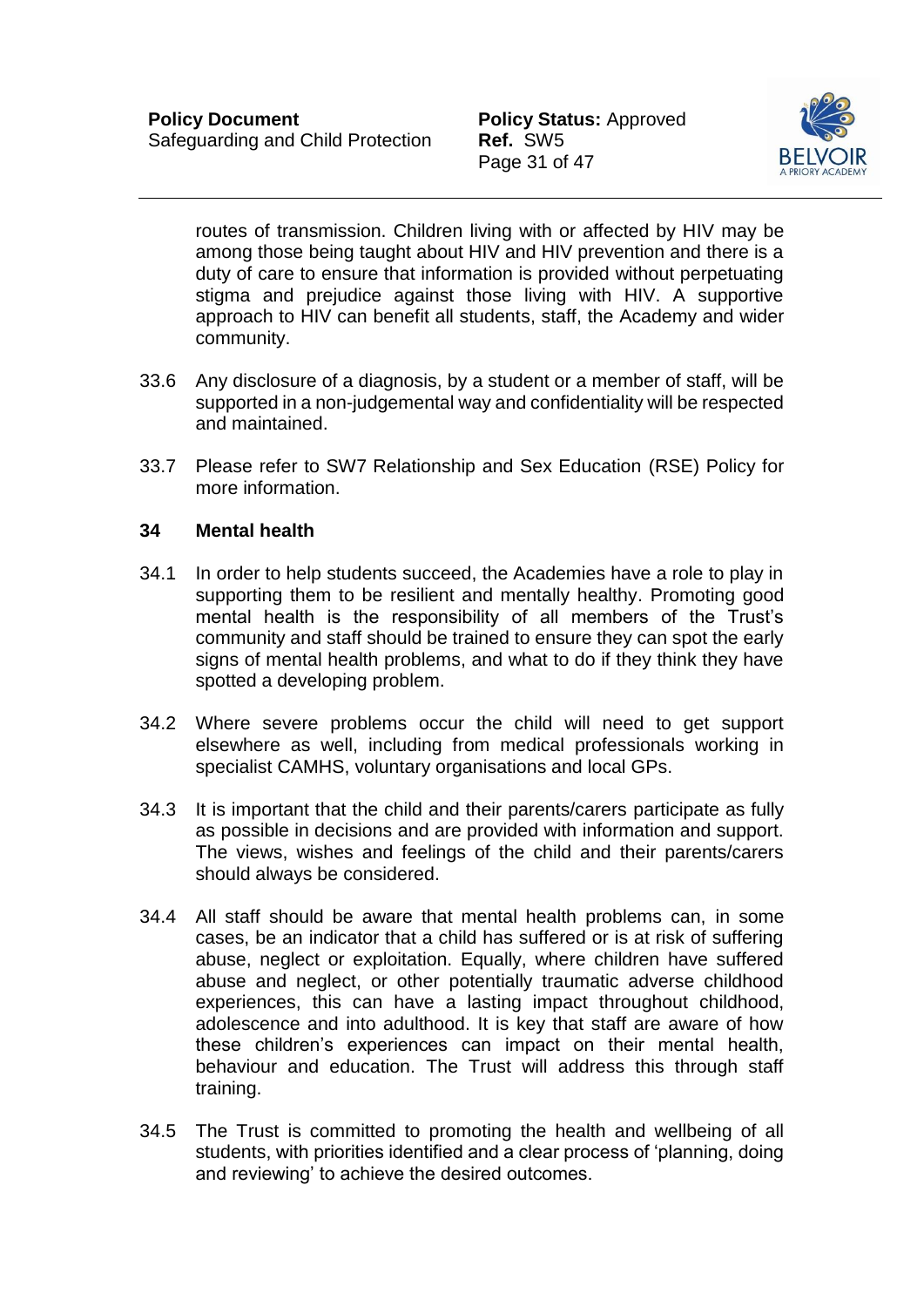

routes of transmission. Children living with or affected by HIV may be among those being taught about HIV and HIV prevention and there is a duty of care to ensure that information is provided without perpetuating stigma and prejudice against those living with HIV. A supportive approach to HIV can benefit all students, staff, the Academy and wider community.

- 33.6 Any disclosure of a diagnosis, by a student or a member of staff, will be supported in a non-judgemental way and confidentiality will be respected and maintained.
- 33.7 Please refer to SW7 Relationship and Sex Education (RSE) Policy for more information.

### <span id="page-31-0"></span>**34 Mental health**

- 34.1 In order to help students succeed, the Academies have a role to play in supporting them to be resilient and mentally healthy. Promoting good mental health is the responsibility of all members of the Trust's community and staff should be trained to ensure they can spot the early signs of mental health problems, and what to do if they think they have spotted a developing problem.
- 34.2 Where severe problems occur the child will need to get support elsewhere as well, including from medical professionals working in specialist CAMHS, voluntary organisations and local GPs.
- 34.3 It is important that the child and their parents/carers participate as fully as possible in decisions and are provided with information and support. The views, wishes and feelings of the child and their parents/carers should always be considered.
- 34.4 All staff should be aware that mental health problems can, in some cases, be an indicator that a child has suffered or is at risk of suffering abuse, neglect or exploitation. Equally, where children have suffered abuse and neglect, or other potentially traumatic adverse childhood experiences, this can have a lasting impact throughout childhood, adolescence and into adulthood. It is key that staff are aware of how these children's experiences can impact on their mental health, behaviour and education. The Trust will address this through staff training.
- 34.5 The Trust is committed to promoting the health and wellbeing of all students, with priorities identified and a clear process of 'planning, doing and reviewing' to achieve the desired outcomes.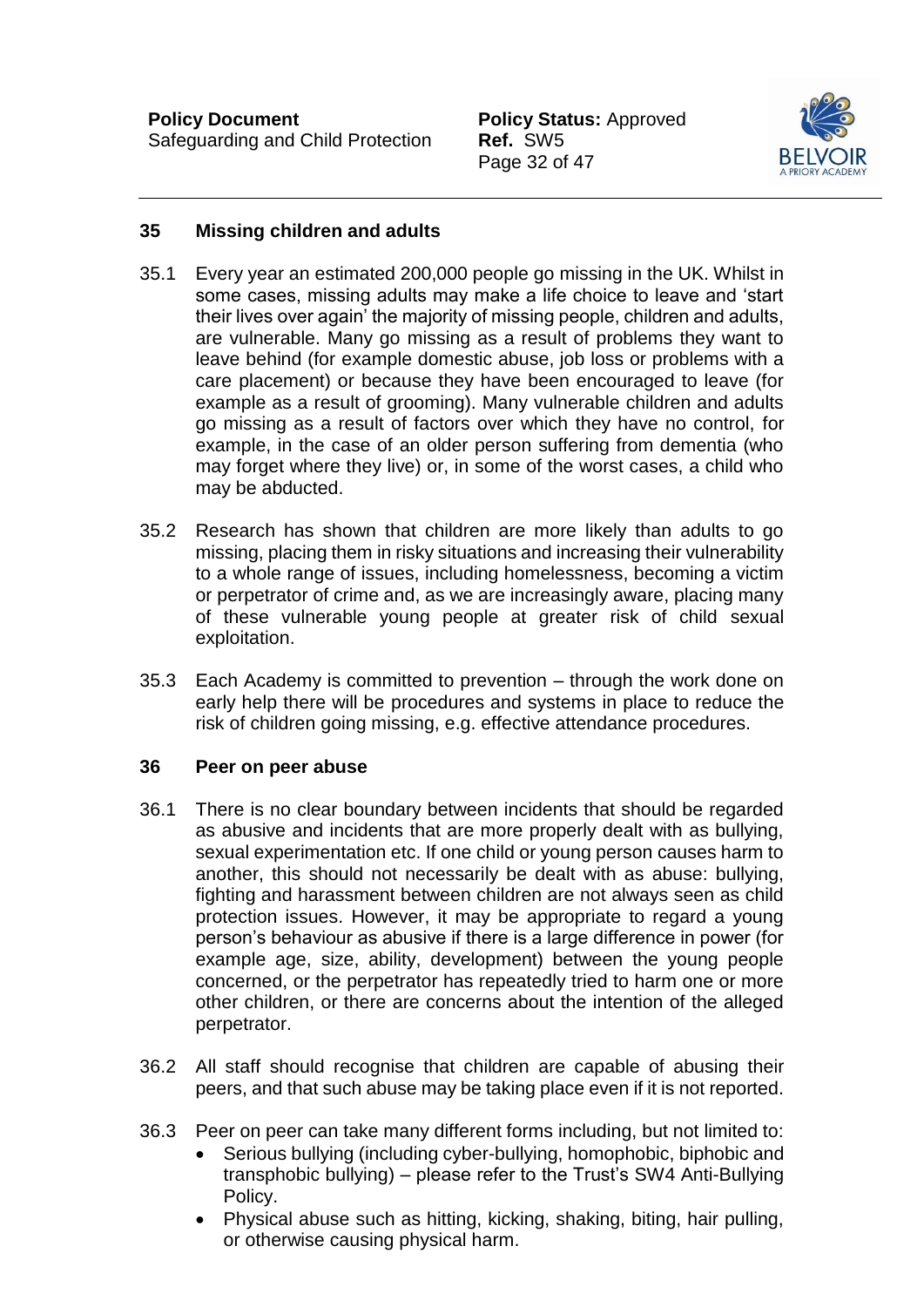Page 32 of 47



## <span id="page-32-0"></span>**35 Missing children and adults**

- 35.1 Every year an estimated 200,000 people go missing in the UK. Whilst in some cases, missing adults may make a life choice to leave and 'start their lives over again' the majority of missing people, children and adults, are vulnerable. Many go missing as a result of problems they want to leave behind (for example domestic abuse, job loss or problems with a care placement) or because they have been encouraged to leave (for example as a result of grooming). Many vulnerable children and adults go missing as a result of factors over which they have no control, for example, in the case of an older person suffering from dementia (who may forget where they live) or, in some of the worst cases, a child who may be abducted.
- 35.2 Research has shown that children are more likely than adults to go missing, placing them in risky situations and increasing their vulnerability to a whole range of issues, including homelessness, becoming a victim or perpetrator of crime and, as we are increasingly aware, placing many of these vulnerable young people at greater risk of child sexual exploitation.
- 35.3 Each Academy is committed to prevention through the work done on early help there will be procedures and systems in place to reduce the risk of children going missing, e.g. effective attendance procedures.

#### <span id="page-32-1"></span>**36 Peer on peer abuse**

- 36.1 There is no clear boundary between incidents that should be regarded as abusive and incidents that are more properly dealt with as bullying, sexual experimentation etc. If one child or young person causes harm to another, this should not necessarily be dealt with as abuse: bullying, fighting and harassment between children are not always seen as child protection issues. However, it may be appropriate to regard a young person's behaviour as abusive if there is a large difference in power (for example age, size, ability, development) between the young people concerned, or the perpetrator has repeatedly tried to harm one or more other children, or there are concerns about the intention of the alleged perpetrator.
- 36.2 All staff should recognise that children are capable of abusing their peers, and that such abuse may be taking place even if it is not reported.
- 36.3 Peer on peer can take many different forms including, but not limited to:
	- Serious bullying (including cyber-bullying, homophobic, biphobic and transphobic bullying) – please refer to the Trust's SW4 Anti-Bullying Policy.
	- Physical abuse such as hitting, kicking, shaking, biting, hair pulling, or otherwise causing physical harm.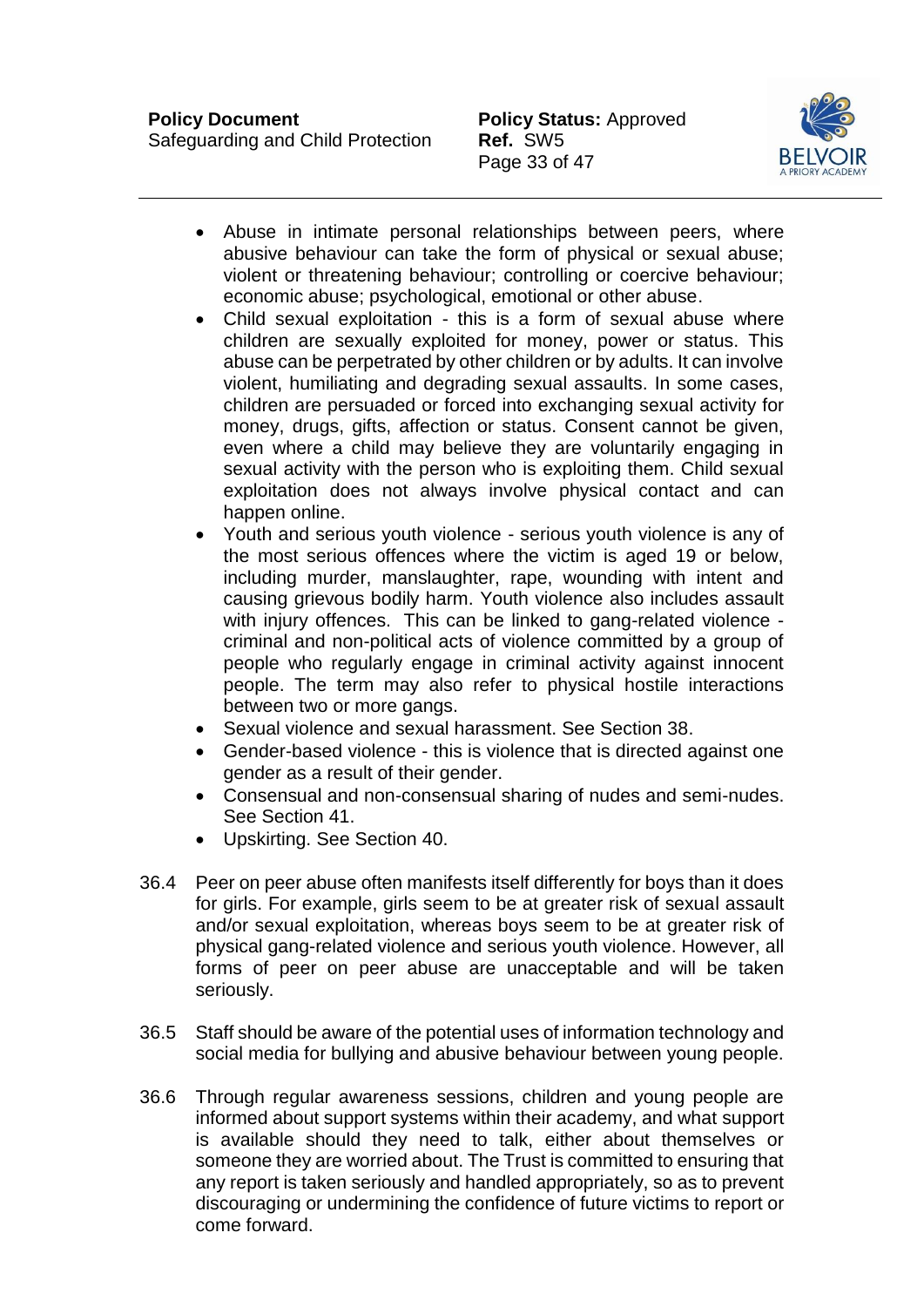

- Abuse in intimate personal relationships between peers, where abusive behaviour can take the form of physical or sexual abuse; violent or threatening behaviour; controlling or coercive behaviour; economic abuse; psychological, emotional or other abuse.
- Child sexual exploitation this is a form of sexual abuse where children are sexually exploited for money, power or status. This abuse can be perpetrated by other children or by adults. It can involve violent, humiliating and degrading sexual assaults. In some cases, children are persuaded or forced into exchanging sexual activity for money, drugs, gifts, affection or status. Consent cannot be given, even where a child may believe they are voluntarily engaging in sexual activity with the person who is exploiting them. Child sexual exploitation does not always involve physical contact and can happen online.
- Youth and serious youth violence serious youth violence is any of the most serious offences where the victim is aged 19 or below, including murder, manslaughter, rape, wounding with intent and causing grievous bodily harm. Youth violence also includes assault with injury offences. This can be linked to gang-related violence criminal and non-political acts of violence committed by a group of people who regularly engage in criminal activity against innocent people. The term may also refer to physical hostile interactions between two or more gangs.
- Sexual violence and sexual harassment. See Section 38.
- Gender-based violence this is violence that is directed against one gender as a result of their gender.
- Consensual and non-consensual sharing of nudes and semi-nudes. See Section 41.
- Upskirting. See Section 40.
- 36.4 Peer on peer abuse often manifests itself differently for boys than it does for girls. For example, girls seem to be at greater risk of sexual assault and/or sexual exploitation, whereas boys seem to be at greater risk of physical gang-related violence and serious youth violence. However, all forms of peer on peer abuse are unacceptable and will be taken seriously.
- 36.5 Staff should be aware of the potential uses of information technology and social media for bullying and abusive behaviour between young people.
- 36.6 Through regular awareness sessions, children and young people are informed about support systems within their academy, and what support is available should they need to talk, either about themselves or someone they are worried about. The Trust is committed to ensuring that any report is taken seriously and handled appropriately, so as to prevent discouraging or undermining the confidence of future victims to report or come forward.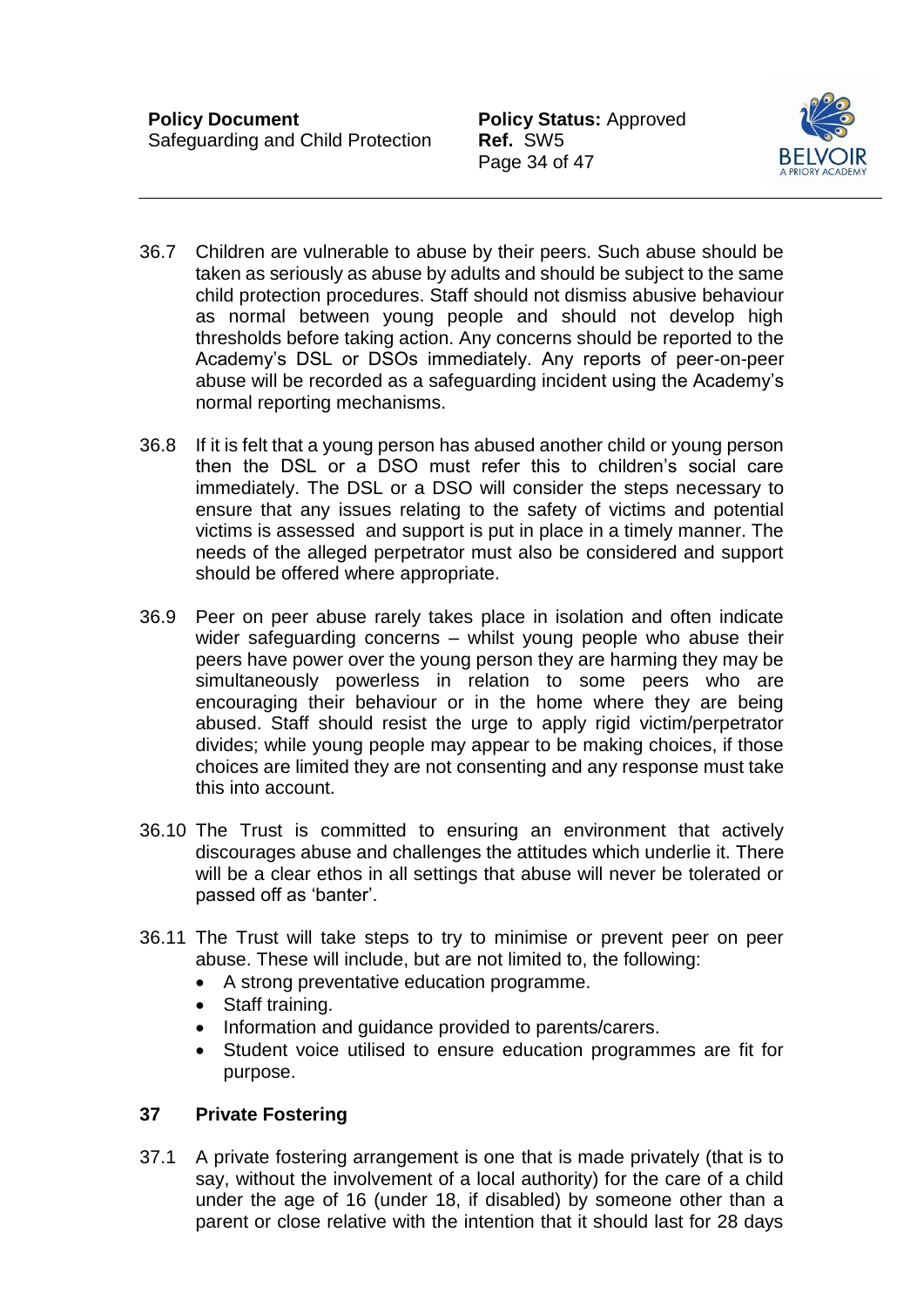Page 34 of 47



- 36.7 Children are vulnerable to abuse by their peers. Such abuse should be taken as seriously as abuse by adults and should be subject to the same child protection procedures. Staff should not dismiss abusive behaviour as normal between young people and should not develop high thresholds before taking action. Any concerns should be reported to the Academy's DSL or DSOs immediately. Any reports of peer-on-peer abuse will be recorded as a safeguarding incident using the Academy's normal reporting mechanisms.
- 36.8 If it is felt that a young person has abused another child or young person then the DSL or a DSO must refer this to children's social care immediately. The DSL or a DSO will consider the steps necessary to ensure that any issues relating to the safety of victims and potential victims is assessed and support is put in place in a timely manner. The needs of the alleged perpetrator must also be considered and support should be offered where appropriate.
- 36.9 Peer on peer abuse rarely takes place in isolation and often indicate wider safeguarding concerns – whilst young people who abuse their peers have power over the young person they are harming they may be simultaneously powerless in relation to some peers who are encouraging their behaviour or in the home where they are being abused. Staff should resist the urge to apply rigid victim/perpetrator divides; while young people may appear to be making choices, if those choices are limited they are not consenting and any response must take this into account.
- 36.10 The Trust is committed to ensuring an environment that actively discourages abuse and challenges the attitudes which underlie it. There will be a clear ethos in all settings that abuse will never be tolerated or passed off as 'banter'.
- 36.11 The Trust will take steps to try to minimise or prevent peer on peer abuse. These will include, but are not limited to, the following:
	- A strong preventative education programme.
	- Staff training.
	- Information and quidance provided to parents/carers.
	- Student voice utilised to ensure education programmes are fit for purpose.

# <span id="page-34-0"></span>**37 Private Fostering**

37.1 A private fostering arrangement is one that is made privately (that is to say, without the involvement of a local authority) for the care of a child under the age of 16 (under 18, if disabled) by someone other than a parent or close relative with the intention that it should last for 28 days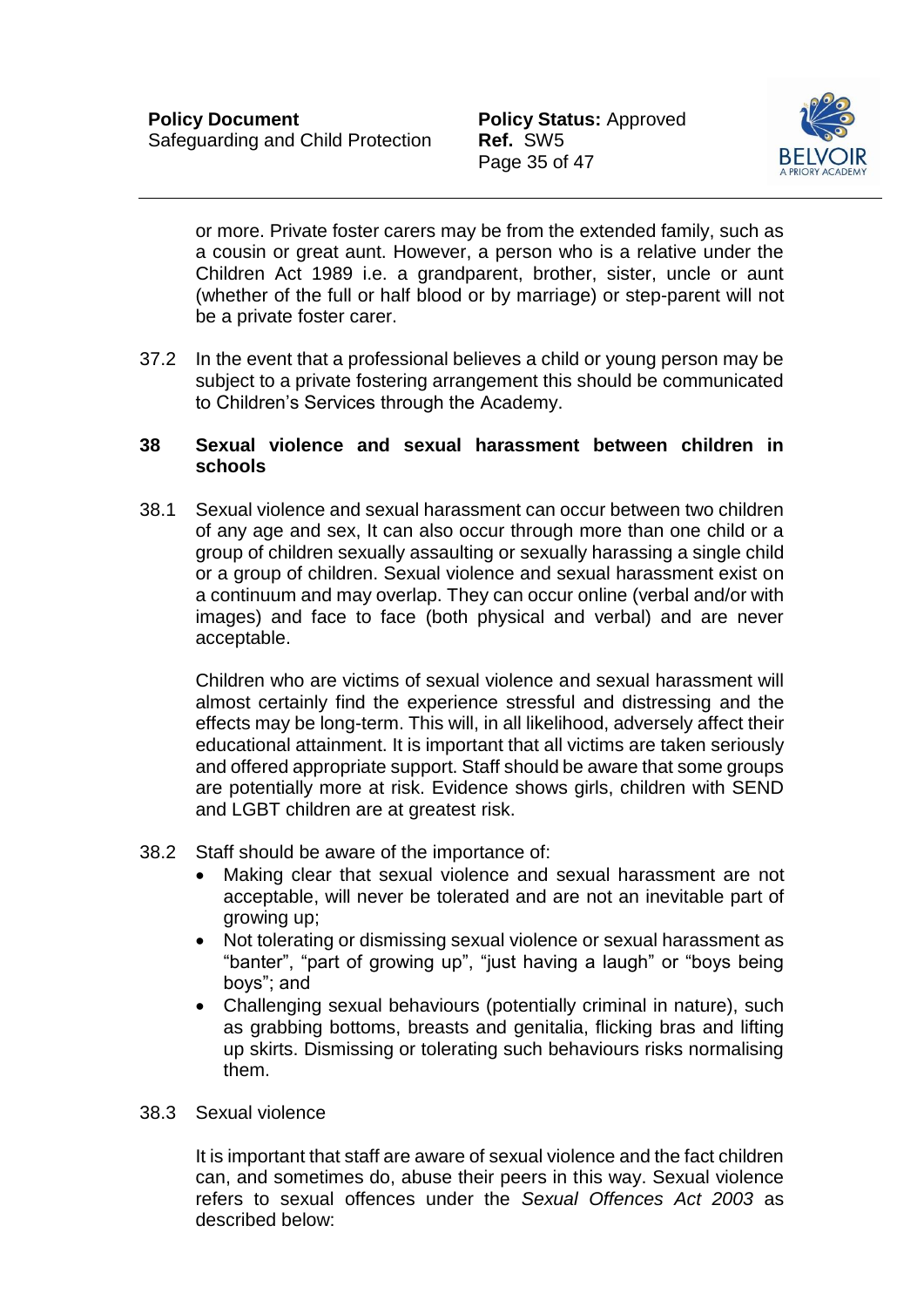

or more. Private foster carers may be from the extended family, such as a cousin or great aunt. However, a person who is a relative under the Children Act 1989 i.e. a grandparent, brother, sister, uncle or aunt (whether of the full or half blood or by marriage) or step-parent will not be a private foster carer.

37.2 In the event that a professional believes a child or young person may be subject to a private fostering arrangement this should be communicated to Children's Services through the Academy.

#### <span id="page-35-0"></span>**38 Sexual violence and sexual harassment between children in schools**

38.1 Sexual violence and sexual harassment can occur between two children of any age and sex, It can also occur through more than one child or a group of children sexually assaulting or sexually harassing a single child or a group of children. Sexual violence and sexual harassment exist on a continuum and may overlap. They can occur online (verbal and/or with images) and face to face (both physical and verbal) and are never acceptable.

Children who are victims of sexual violence and sexual harassment will almost certainly find the experience stressful and distressing and the effects may be long-term. This will, in all likelihood, adversely affect their educational attainment. It is important that all victims are taken seriously and offered appropriate support. Staff should be aware that some groups are potentially more at risk. Evidence shows girls, children with SEND and LGBT children are at greatest risk.

- 38.2 Staff should be aware of the importance of:
	- Making clear that sexual violence and sexual harassment are not acceptable, will never be tolerated and are not an inevitable part of growing up;
	- Not tolerating or dismissing sexual violence or sexual harassment as "banter", "part of growing up", "just having a laugh" or "boys being boys"; and
	- Challenging sexual behaviours (potentially criminal in nature), such as grabbing bottoms, breasts and genitalia, flicking bras and lifting up skirts. Dismissing or tolerating such behaviours risks normalising them.

#### 38.3 Sexual violence

It is important that staff are aware of sexual violence and the fact children can, and sometimes do, abuse their peers in this way. Sexual violence refers to sexual offences under the *Sexual Offences Act 2003* as described below: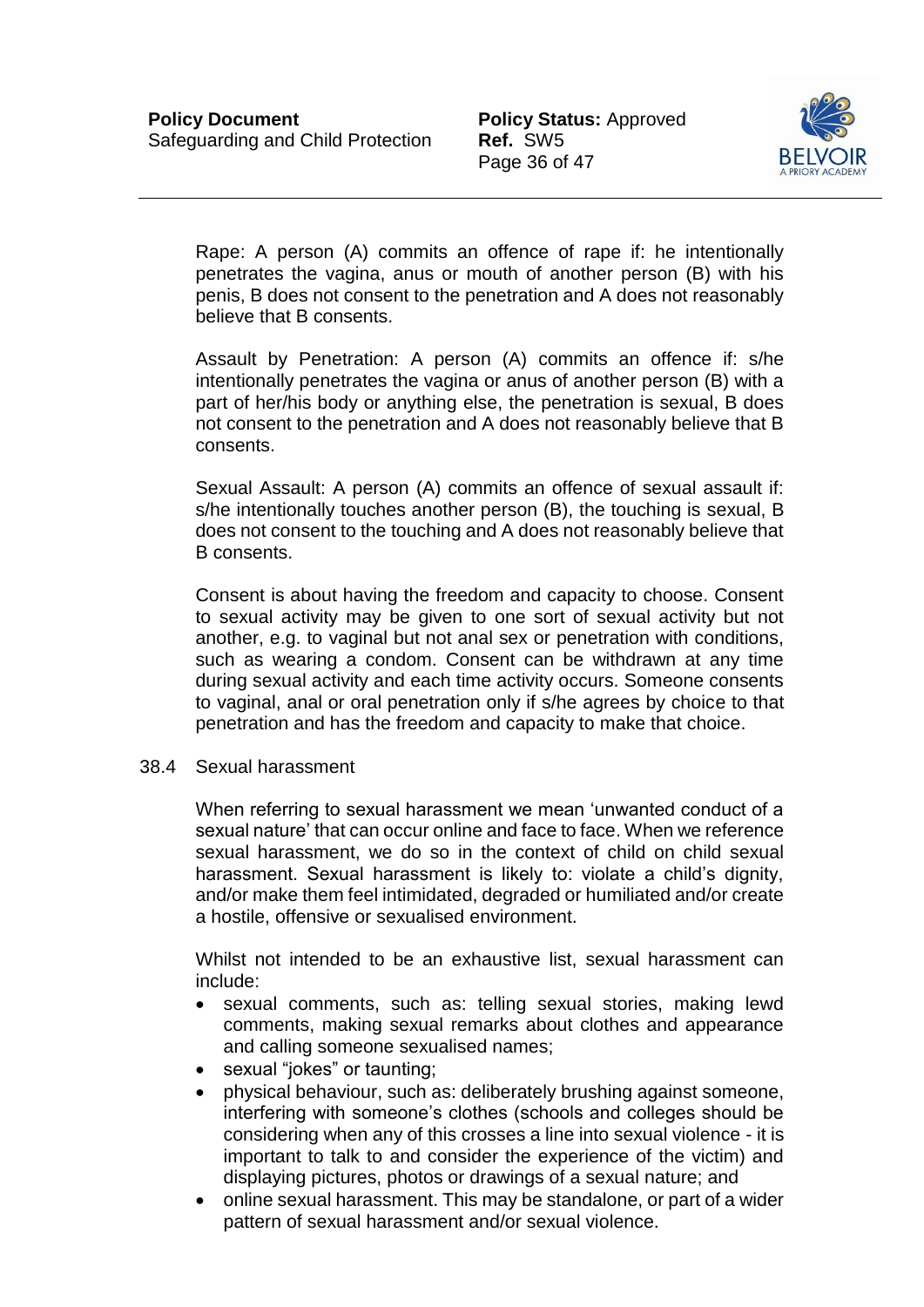

Rape: A person (A) commits an offence of rape if: he intentionally penetrates the vagina, anus or mouth of another person (B) with his penis, B does not consent to the penetration and A does not reasonably believe that B consents.

Assault by Penetration: A person (A) commits an offence if: s/he intentionally penetrates the vagina or anus of another person (B) with a part of her/his body or anything else, the penetration is sexual, B does not consent to the penetration and A does not reasonably believe that B consents.

Sexual Assault: A person (A) commits an offence of sexual assault if: s/he intentionally touches another person (B), the touching is sexual, B does not consent to the touching and A does not reasonably believe that B consents.

Consent is about having the freedom and capacity to choose. Consent to sexual activity may be given to one sort of sexual activity but not another, e.g. to vaginal but not anal sex or penetration with conditions, such as wearing a condom. Consent can be withdrawn at any time during sexual activity and each time activity occurs. Someone consents to vaginal, anal or oral penetration only if s/he agrees by choice to that penetration and has the freedom and capacity to make that choice.

38.4 Sexual harassment

When referring to sexual harassment we mean 'unwanted conduct of a sexual nature' that can occur online and face to face. When we reference sexual harassment, we do so in the context of child on child sexual harassment. Sexual harassment is likely to: violate a child's dignity, and/or make them feel intimidated, degraded or humiliated and/or create a hostile, offensive or sexualised environment.

Whilst not intended to be an exhaustive list, sexual harassment can include:

- sexual comments, such as: telling sexual stories, making lewd comments, making sexual remarks about clothes and appearance and calling someone sexualised names;
- sexual "jokes" or taunting;
- physical behaviour, such as: deliberately brushing against someone, interfering with someone's clothes (schools and colleges should be considering when any of this crosses a line into sexual violence - it is important to talk to and consider the experience of the victim) and displaying pictures, photos or drawings of a sexual nature; and
- online sexual harassment. This may be standalone, or part of a wider pattern of sexual harassment and/or sexual violence.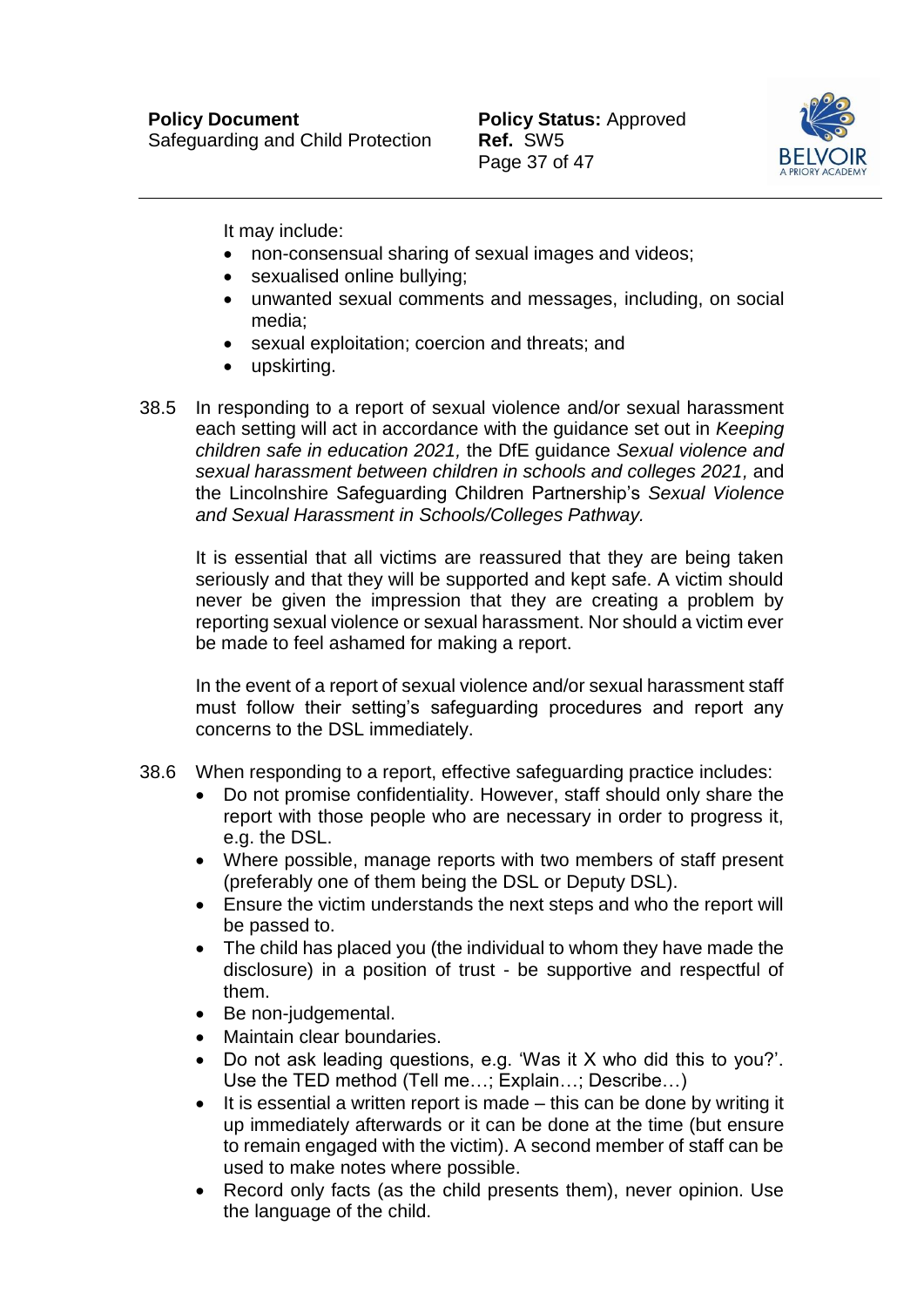

It may include:

- non-consensual sharing of sexual images and videos;
- sexualised online bullying;
- unwanted sexual comments and messages, including, on social media;
- sexual exploitation; coercion and threats; and
- upskirting.
- 38.5 In responding to a report of sexual violence and/or sexual harassment each setting will act in accordance with the guidance set out in *Keeping children safe in education 2021,* the DfE guidance *Sexual violence and sexual harassment between children in schools and colleges 2021,* and the Lincolnshire Safeguarding Children Partnership's *Sexual Violence and Sexual Harassment in Schools/Colleges Pathway.*

It is essential that all victims are reassured that they are being taken seriously and that they will be supported and kept safe. A victim should never be given the impression that they are creating a problem by reporting sexual violence or sexual harassment. Nor should a victim ever be made to feel ashamed for making a report.

In the event of a report of sexual violence and/or sexual harassment staff must follow their setting's safeguarding procedures and report any concerns to the DSL immediately.

- 38.6 When responding to a report, effective safeguarding practice includes:
	- Do not promise confidentiality. However, staff should only share the report with those people who are necessary in order to progress it, e.g. the DSL.
	- Where possible, manage reports with two members of staff present (preferably one of them being the DSL or Deputy DSL).
	- Ensure the victim understands the next steps and who the report will be passed to.
	- The child has placed you (the individual to whom they have made the disclosure) in a position of trust - be supportive and respectful of them.
	- Be non-judgemental.
	- Maintain clear boundaries.
	- Do not ask leading questions, e.g. 'Was it X who did this to you?'. Use the TED method (Tell me…; Explain…; Describe…)
	- $\bullet$  It is essential a written report is made this can be done by writing it up immediately afterwards or it can be done at the time (but ensure to remain engaged with the victim). A second member of staff can be used to make notes where possible.
	- Record only facts (as the child presents them), never opinion. Use the language of the child.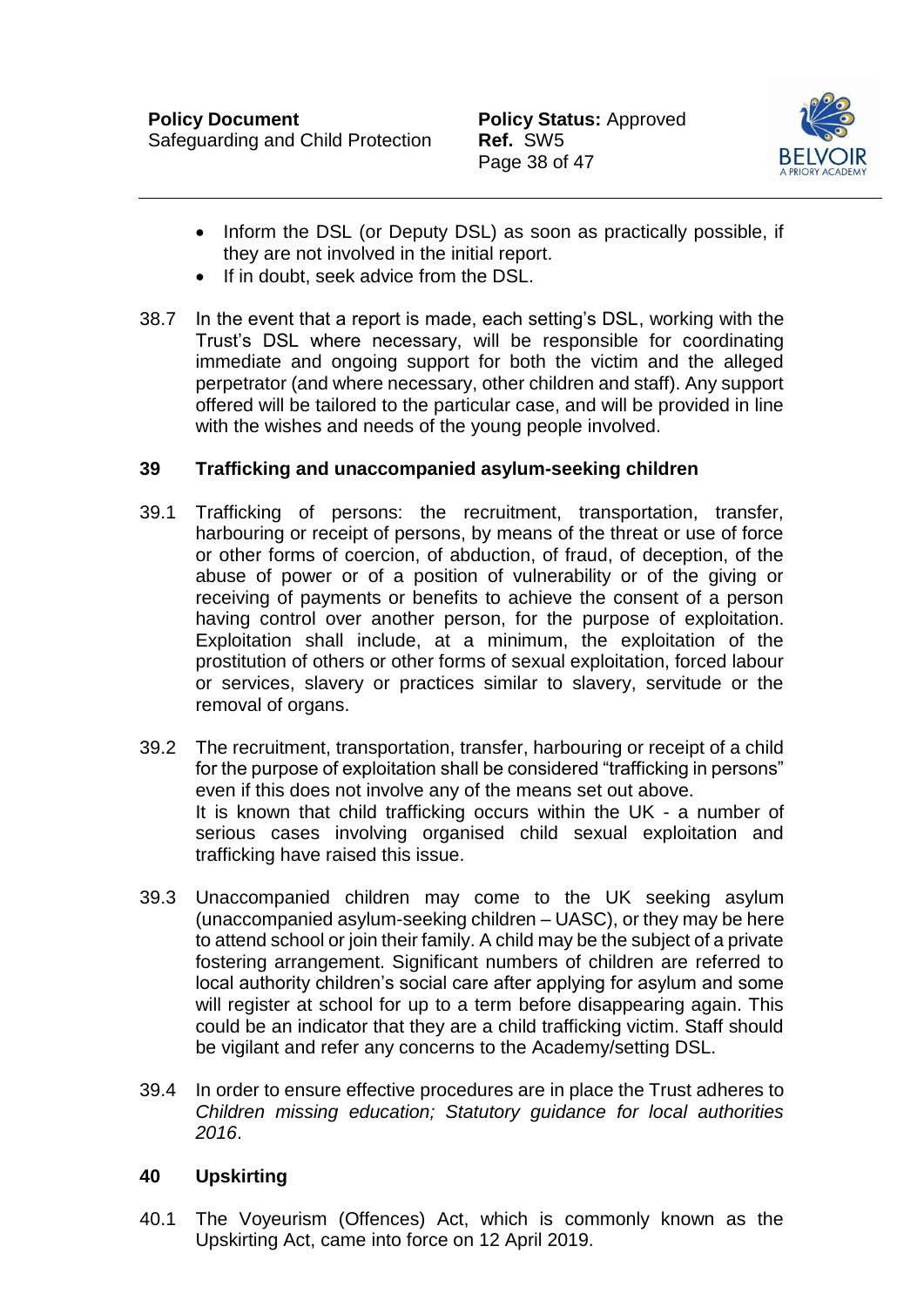

- Inform the DSL (or Deputy DSL) as soon as practically possible, if they are not involved in the initial report.
- If in doubt, seek advice from the DSL.
- 38.7 In the event that a report is made, each setting's DSL, working with the Trust's DSL where necessary, will be responsible for coordinating immediate and ongoing support for both the victim and the alleged perpetrator (and where necessary, other children and staff). Any support offered will be tailored to the particular case, and will be provided in line with the wishes and needs of the young people involved.

### <span id="page-38-0"></span>**39 Trafficking and unaccompanied asylum-seeking children**

- 39.1 Trafficking of persons: the recruitment, transportation, transfer, harbouring or receipt of persons, by means of the threat or use of force or other forms of coercion, of abduction, of fraud, of deception, of the abuse of power or of a position of vulnerability or of the giving or receiving of payments or benefits to achieve the consent of a person having control over another person, for the purpose of exploitation. Exploitation shall include, at a minimum, the exploitation of the prostitution of others or other forms of sexual exploitation, forced labour or services, slavery or practices similar to slavery, servitude or the removal of organs.
- 39.2 The recruitment, transportation, transfer, harbouring or receipt of a child for the purpose of exploitation shall be considered "trafficking in persons" even if this does not involve any of the means set out above. It is known that child trafficking occurs within the UK - a number of serious cases involving organised child sexual exploitation and trafficking have raised this issue.
- 39.3 Unaccompanied children may come to the UK seeking asylum (unaccompanied asylum-seeking children – UASC), or they may be here to attend school or join their family. A child may be the subject of a private fostering arrangement. Significant numbers of children are referred to local authority children's social care after applying for asylum and some will register at school for up to a term before disappearing again. This could be an indicator that they are a child trafficking victim. Staff should be vigilant and refer any concerns to the Academy/setting DSL.
- 39.4 In order to ensure effective procedures are in place the Trust adheres to *Children missing education; Statutory guidance for local authorities 2016*.

#### <span id="page-38-1"></span>**40 Upskirting**

40.1 The Voyeurism (Offences) Act, which is commonly known as the Upskirting Act, came into force on 12 April 2019.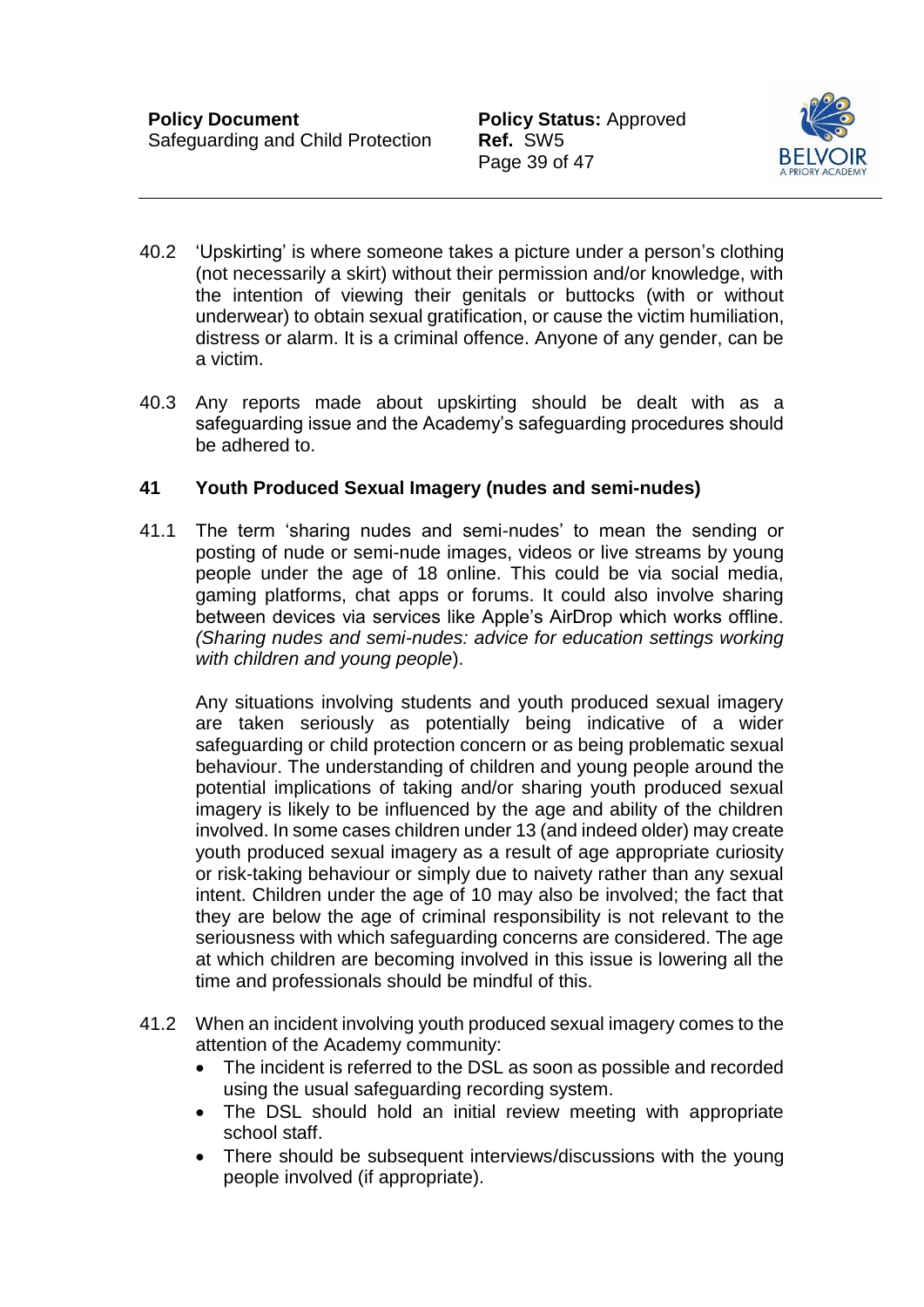Page 39 of 47



- 40.2 'Upskirting' is where someone takes a picture under a person's clothing (not necessarily a skirt) without their permission and/or knowledge, with the intention of viewing their genitals or buttocks (with or without underwear) to obtain sexual gratification, or cause the victim humiliation, distress or alarm. It is a criminal offence. Anyone of any gender, can be a victim.
- 40.3 Any reports made about upskirting should be dealt with as a safeguarding issue and the Academy's safeguarding procedures should be adhered to.

### <span id="page-39-0"></span>**41 Youth Produced Sexual Imagery (nudes and semi-nudes)**

41.1 The term 'sharing nudes and semi-nudes' to mean the sending or posting of nude or semi-nude images, videos or live streams by young people under the age of 18 online. This could be via social media, gaming platforms, chat apps or forums. It could also involve sharing between devices via services like Apple's AirDrop which works offline. *(Sharing nudes and semi-nudes: advice for education settings working with children and young people*).

Any situations involving students and youth produced sexual imagery are taken seriously as potentially being indicative of a wider safeguarding or child protection concern or as being problematic sexual behaviour. The understanding of children and young people around the potential implications of taking and/or sharing youth produced sexual imagery is likely to be influenced by the age and ability of the children involved. In some cases children under 13 (and indeed older) may create youth produced sexual imagery as a result of age appropriate curiosity or risk-taking behaviour or simply due to naivety rather than any sexual intent. Children under the age of 10 may also be involved; the fact that they are below the age of criminal responsibility is not relevant to the seriousness with which safeguarding concerns are considered. The age at which children are becoming involved in this issue is lowering all the time and professionals should be mindful of this.

- 41.2 When an incident involving youth produced sexual imagery comes to the attention of the Academy community:
	- The incident is referred to the DSL as soon as possible and recorded using the usual safeguarding recording system.
	- The DSL should hold an initial review meeting with appropriate school staff.
	- There should be subsequent interviews/discussions with the young people involved (if appropriate).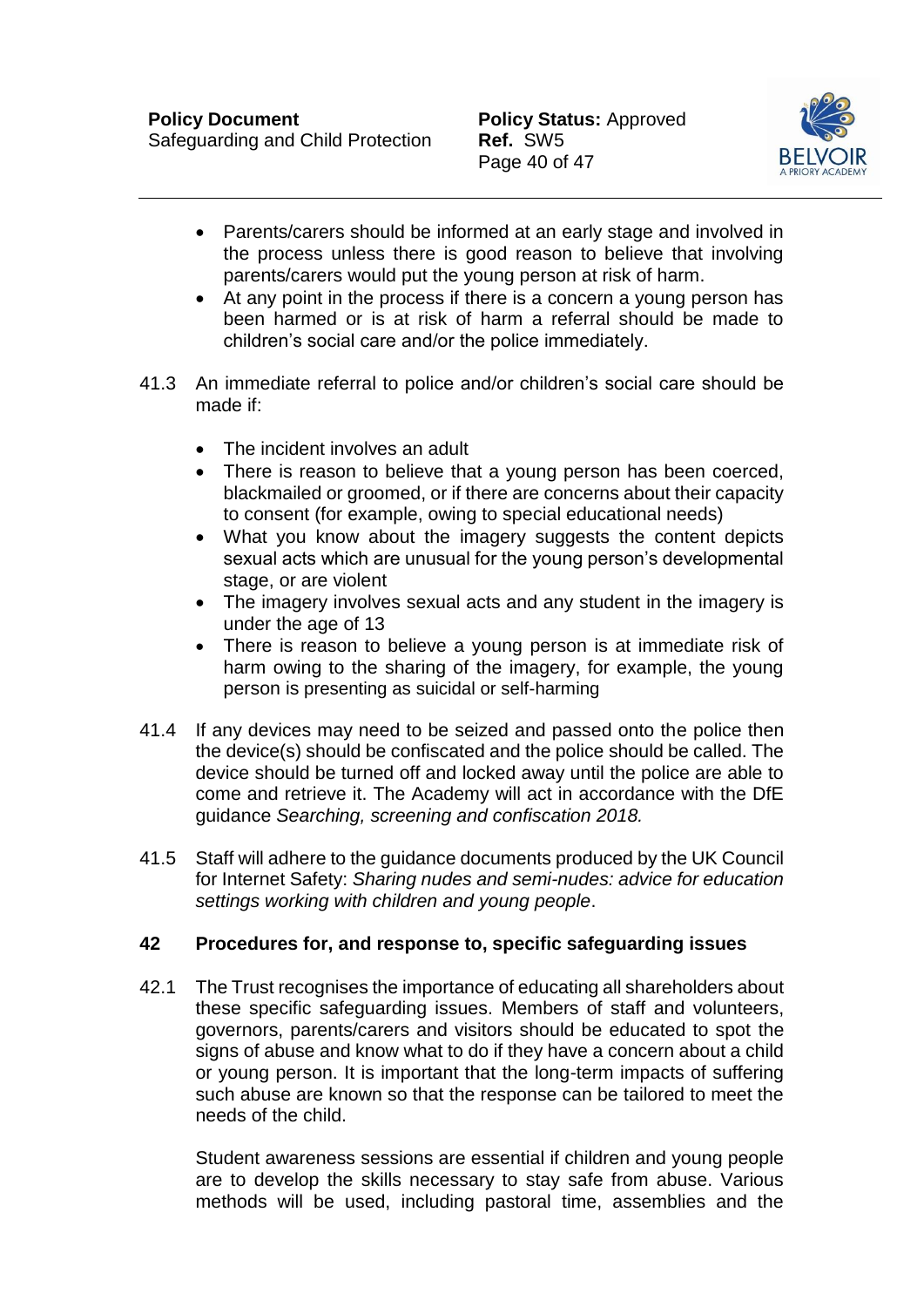

- Parents/carers should be informed at an early stage and involved in the process unless there is good reason to believe that involving parents/carers would put the young person at risk of harm.
- At any point in the process if there is a concern a young person has been harmed or is at risk of harm a referral should be made to children's social care and/or the police immediately.
- 41.3 An immediate referral to police and/or children's social care should be made if:
	- The incident involves an adult
	- There is reason to believe that a young person has been coerced, blackmailed or groomed, or if there are concerns about their capacity to consent (for example, owing to special educational needs)
	- What you know about the imagery suggests the content depicts sexual acts which are unusual for the young person's developmental stage, or are violent
	- The imagery involves sexual acts and any student in the imagery is under the age of 13
	- There is reason to believe a young person is at immediate risk of harm owing to the sharing of the imagery, for example, the young person is presenting as suicidal or self-harming
- 41.4 If any devices may need to be seized and passed onto the police then the device(s) should be confiscated and the police should be called. The device should be turned off and locked away until the police are able to come and retrieve it. The Academy will act in accordance with the DfE guidance *Searching, screening and confiscation 2018.*
- 41.5 Staff will adhere to the guidance documents produced by the UK Council for Internet Safety: *Sharing nudes and semi-nudes: advice for education settings working with children and young people*.

# <span id="page-40-0"></span>**42 Procedures for, and response to, specific safeguarding issues**

42.1 The Trust recognises the importance of educating all shareholders about these specific safeguarding issues. Members of staff and volunteers, governors, parents/carers and visitors should be educated to spot the signs of abuse and know what to do if they have a concern about a child or young person. It is important that the long-term impacts of suffering such abuse are known so that the response can be tailored to meet the needs of the child.

Student awareness sessions are essential if children and young people are to develop the skills necessary to stay safe from abuse. Various methods will be used, including pastoral time, assemblies and the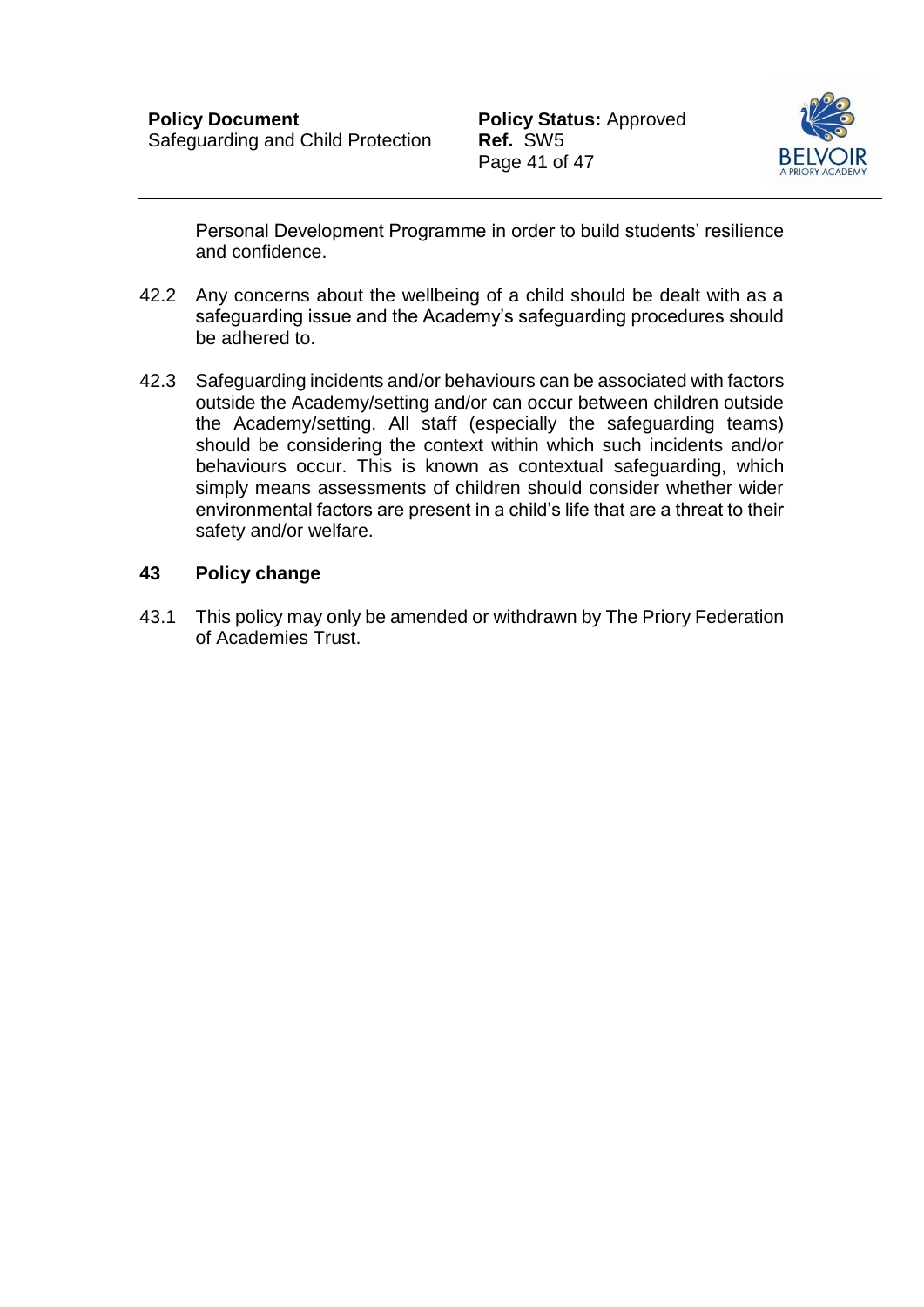

Personal Development Programme in order to build students' resilience and confidence.

- 42.2 Any concerns about the wellbeing of a child should be dealt with as a safeguarding issue and the Academy's safeguarding procedures should be adhered to.
- 42.3 Safeguarding incidents and/or behaviours can be associated with factors outside the Academy/setting and/or can occur between children outside the Academy/setting. All staff (especially the safeguarding teams) should be considering the context within which such incidents and/or behaviours occur. This is known as contextual safeguarding, which simply means assessments of children should consider whether wider environmental factors are present in a child's life that are a threat to their safety and/or welfare.

### **43 Policy change**

43.1 This policy may only be amended or withdrawn by The Priory Federation of Academies Trust.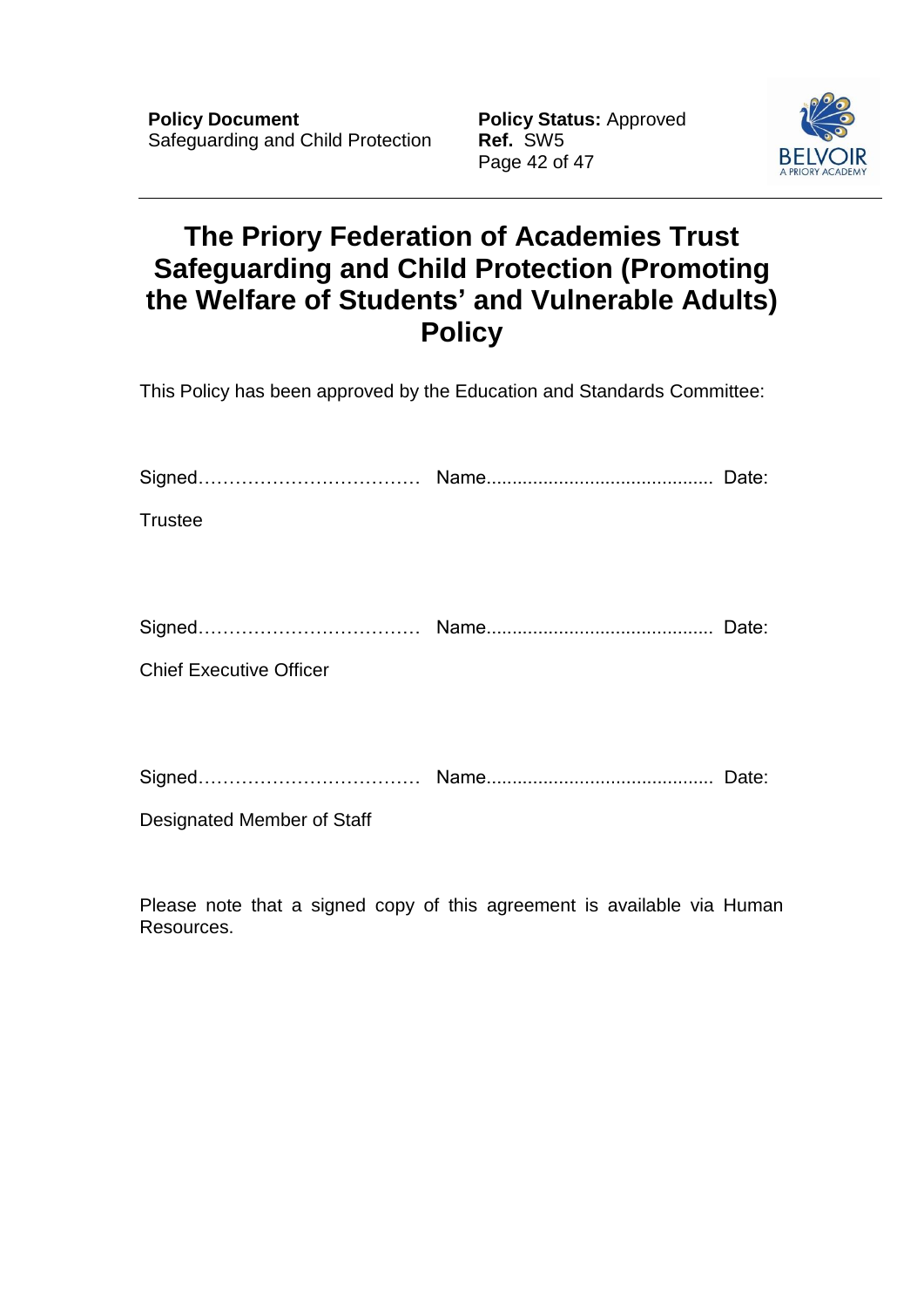Page 42 of 47



# **The Priory Federation of Academies Trust Safeguarding and Child Protection (Promoting the Welfare of Students' and Vulnerable Adults) Policy**

This Policy has been approved by the Education and Standards Committee:

| <b>Trustee</b>                 |       |
|--------------------------------|-------|
|                                |       |
|                                | Date: |
| <b>Chief Executive Officer</b> |       |
|                                |       |
|                                |       |
| Designated Member of Staff     |       |

Please note that a signed copy of this agreement is available via Human Resources.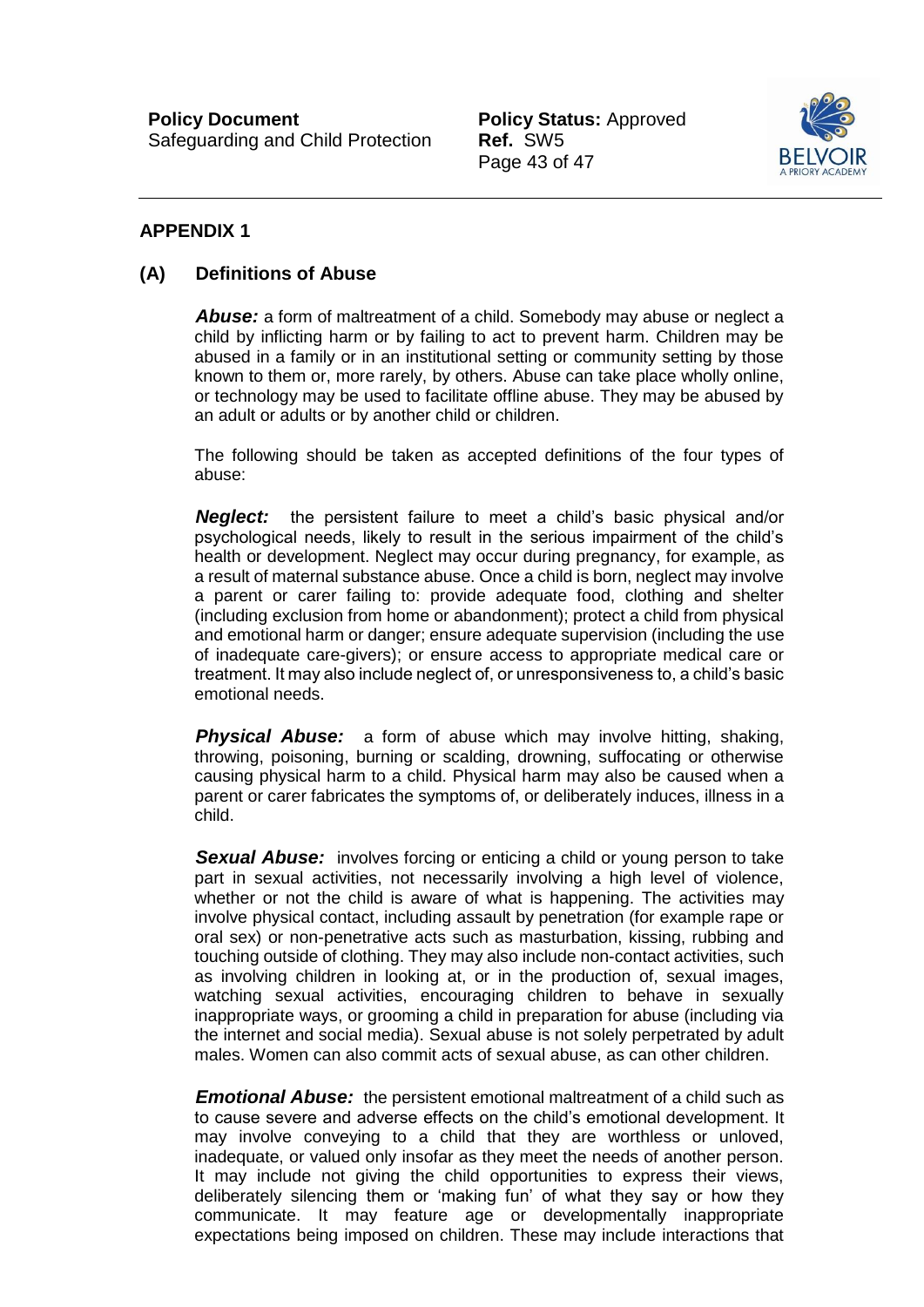Page 43 of 47



### <span id="page-43-0"></span>**APPENDIX 1**

#### **(A) Definitions of Abuse**

*Abuse:* a form of maltreatment of a child. Somebody may abuse or neglect a child by inflicting harm or by failing to act to prevent harm. Children may be abused in a family or in an institutional setting or community setting by those known to them or, more rarely, by others. Abuse can take place wholly online, or technology may be used to facilitate offline abuse. They may be abused by an adult or adults or by another child or children.

The following should be taken as accepted definitions of the four types of abuse:

*Neglect:* the persistent failure to meet a child's basic physical and/or psychological needs, likely to result in the serious impairment of the child's health or development. Neglect may occur during pregnancy, for example, as a result of maternal substance abuse. Once a child is born, neglect may involve a parent or carer failing to: provide adequate food, clothing and shelter (including exclusion from home or abandonment); protect a child from physical and emotional harm or danger; ensure adequate supervision (including the use of inadequate care-givers); or ensure access to appropriate medical care or treatment. It may also include neglect of, or unresponsiveness to, a child's basic emotional needs.

*Physical Abuse:* a form of abuse which may involve hitting, shaking, throwing, poisoning, burning or scalding, drowning, suffocating or otherwise causing physical harm to a child. Physical harm may also be caused when a parent or carer fabricates the symptoms of, or deliberately induces, illness in a child.

**Sexual Abuse:** involves forcing or enticing a child or young person to take part in sexual activities, not necessarily involving a high level of violence, whether or not the child is aware of what is happening. The activities may involve physical contact, including assault by penetration (for example rape or oral sex) or non-penetrative acts such as masturbation, kissing, rubbing and touching outside of clothing. They may also include non-contact activities, such as involving children in looking at, or in the production of, sexual images, watching sexual activities, encouraging children to behave in sexually inappropriate ways, or grooming a child in preparation for abuse (including via the internet and social media). Sexual abuse is not solely perpetrated by adult males. Women can also commit acts of sexual abuse, as can other children.

*Emotional Abuse:* the persistent emotional maltreatment of a child such as to cause severe and adverse effects on the child's emotional development. It may involve conveying to a child that they are worthless or unloved, inadequate, or valued only insofar as they meet the needs of another person. It may include not giving the child opportunities to express their views, deliberately silencing them or 'making fun' of what they say or how they communicate. It may feature age or developmentally inappropriate expectations being imposed on children. These may include interactions that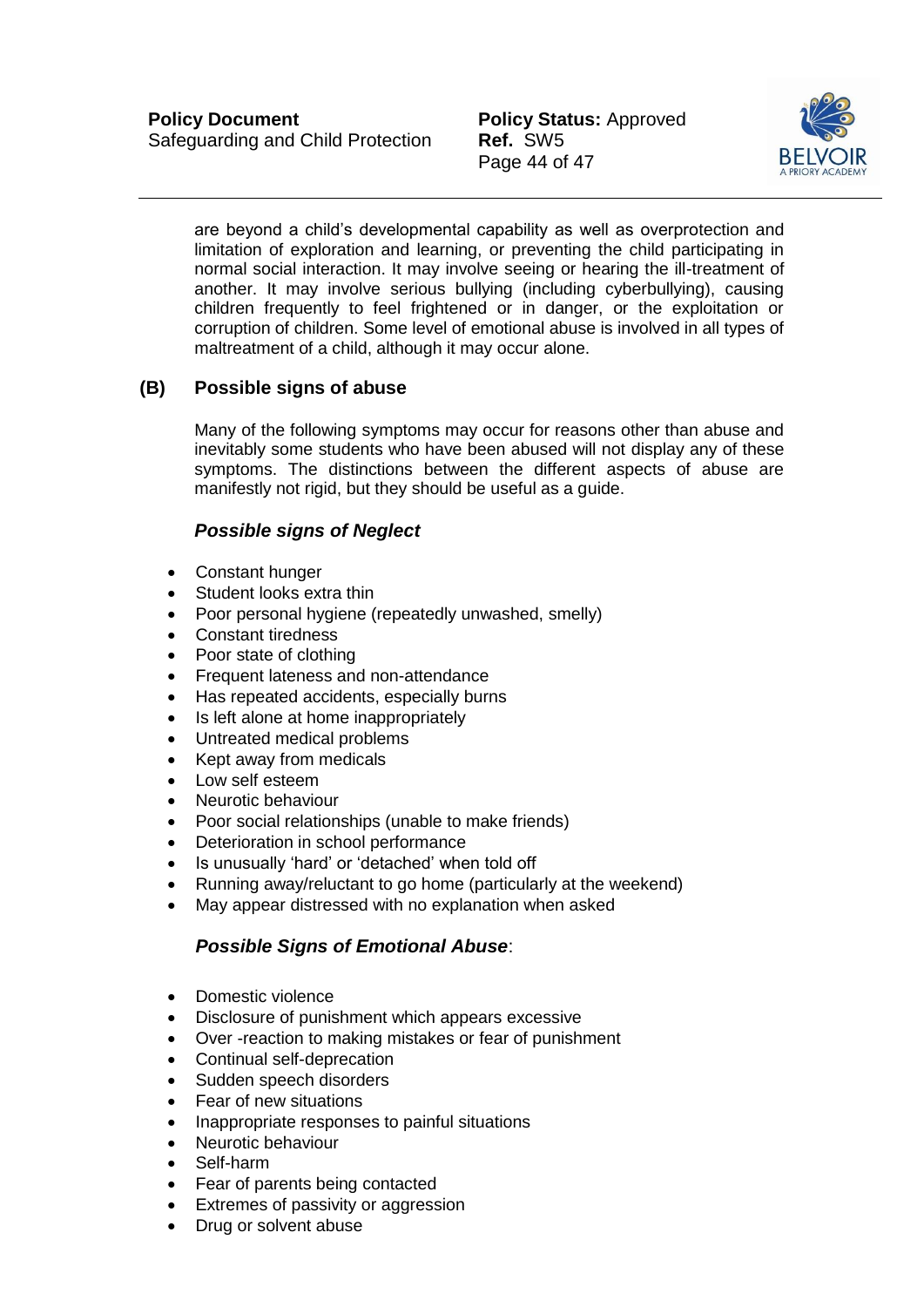Page 44 of 47



are beyond a child's developmental capability as well as overprotection and limitation of exploration and learning, or preventing the child participating in normal social interaction. It may involve seeing or hearing the ill-treatment of another. It may involve serious bullying (including cyberbullying), causing children frequently to feel frightened or in danger, or the exploitation or corruption of children. Some level of emotional abuse is involved in all types of maltreatment of a child, although it may occur alone.

### **(B) Possible signs of abuse**

Many of the following symptoms may occur for reasons other than abuse and inevitably some students who have been abused will not display any of these symptoms. The distinctions between the different aspects of abuse are manifestly not rigid, but they should be useful as a guide.

#### *Possible signs of Neglect*

- Constant hunger
- Student looks extra thin
- Poor personal hygiene (repeatedly unwashed, smelly)
- Constant tiredness
- Poor state of clothing
- Frequent lateness and non-attendance
- Has repeated accidents, especially burns
- Is left alone at home inappropriately
- Untreated medical problems
- Kept away from medicals
- Low self esteem
- Neurotic behaviour
- Poor social relationships (unable to make friends)
- Deterioration in school performance
- Is unusually 'hard' or 'detached' when told off
- Running away/reluctant to go home (particularly at the weekend)
- May appear distressed with no explanation when asked

#### *Possible Signs of Emotional Abuse*:

- Domestic violence
- Disclosure of punishment which appears excessive
- Over -reaction to making mistakes or fear of punishment
- Continual self-deprecation
- Sudden speech disorders
- Fear of new situations
- Inappropriate responses to painful situations
- Neurotic behaviour
- Self-harm
- Fear of parents being contacted
- Extremes of passivity or aggression
- Drug or solvent abuse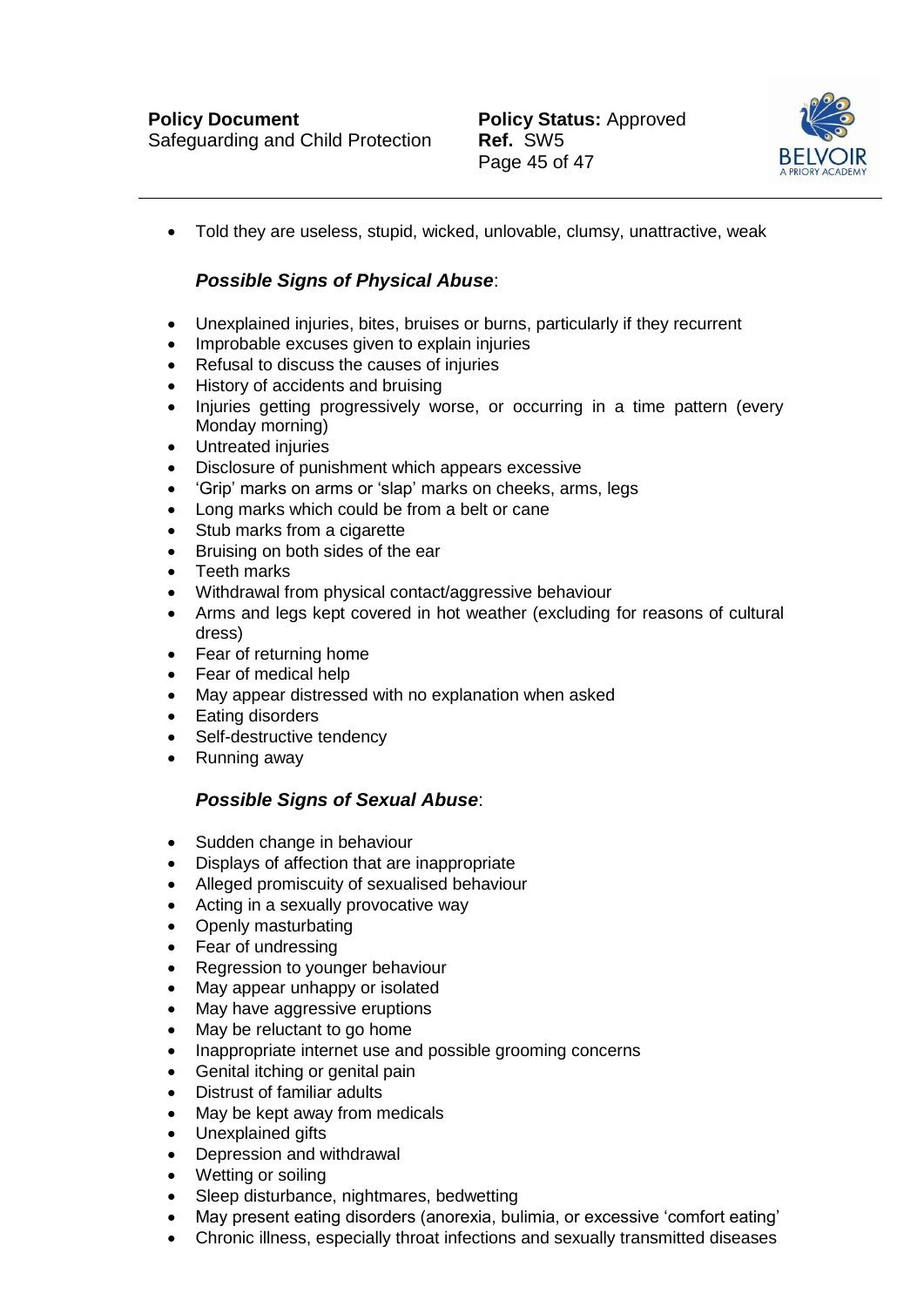

Told they are useless, stupid, wicked, unlovable, clumsy, unattractive, weak

### *Possible Signs of Physical Abuse*:

- Unexplained injuries, bites, bruises or burns, particularly if they recurrent
- Improbable excuses given to explain injuries
- Refusal to discuss the causes of injuries
- History of accidents and bruising
- Injuries getting progressively worse, or occurring in a time pattern (every Monday morning)
- Untreated injuries
- Disclosure of punishment which appears excessive
- 'Grip' marks on arms or 'slap' marks on cheeks, arms, legs
- Long marks which could be from a belt or cane
- Stub marks from a cigarette
- Bruising on both sides of the ear
- Teeth marks
- Withdrawal from physical contact/aggressive behaviour
- Arms and legs kept covered in hot weather (excluding for reasons of cultural dress)
- Fear of returning home
- Fear of medical help
- May appear distressed with no explanation when asked
- Eating disorders
- Self-destructive tendency
- Running away

#### *Possible Signs of Sexual Abuse*:

- Sudden change in behaviour
- Displays of affection that are inappropriate
- Alleged promiscuity of sexualised behaviour
- Acting in a sexually provocative way
- Openly masturbating
- Fear of undressing
- Regression to younger behaviour
- May appear unhappy or isolated
- May have aggressive eruptions
- May be reluctant to go home
- Inappropriate internet use and possible grooming concerns
- Genital itching or genital pain
- Distrust of familiar adults
- May be kept away from medicals
- Unexplained gifts
- Depression and withdrawal
- Wetting or soiling
- Sleep disturbance, nightmares, bedwetting
- May present eating disorders (anorexia, bulimia, or excessive 'comfort eating'
- Chronic illness, especially throat infections and sexually transmitted diseases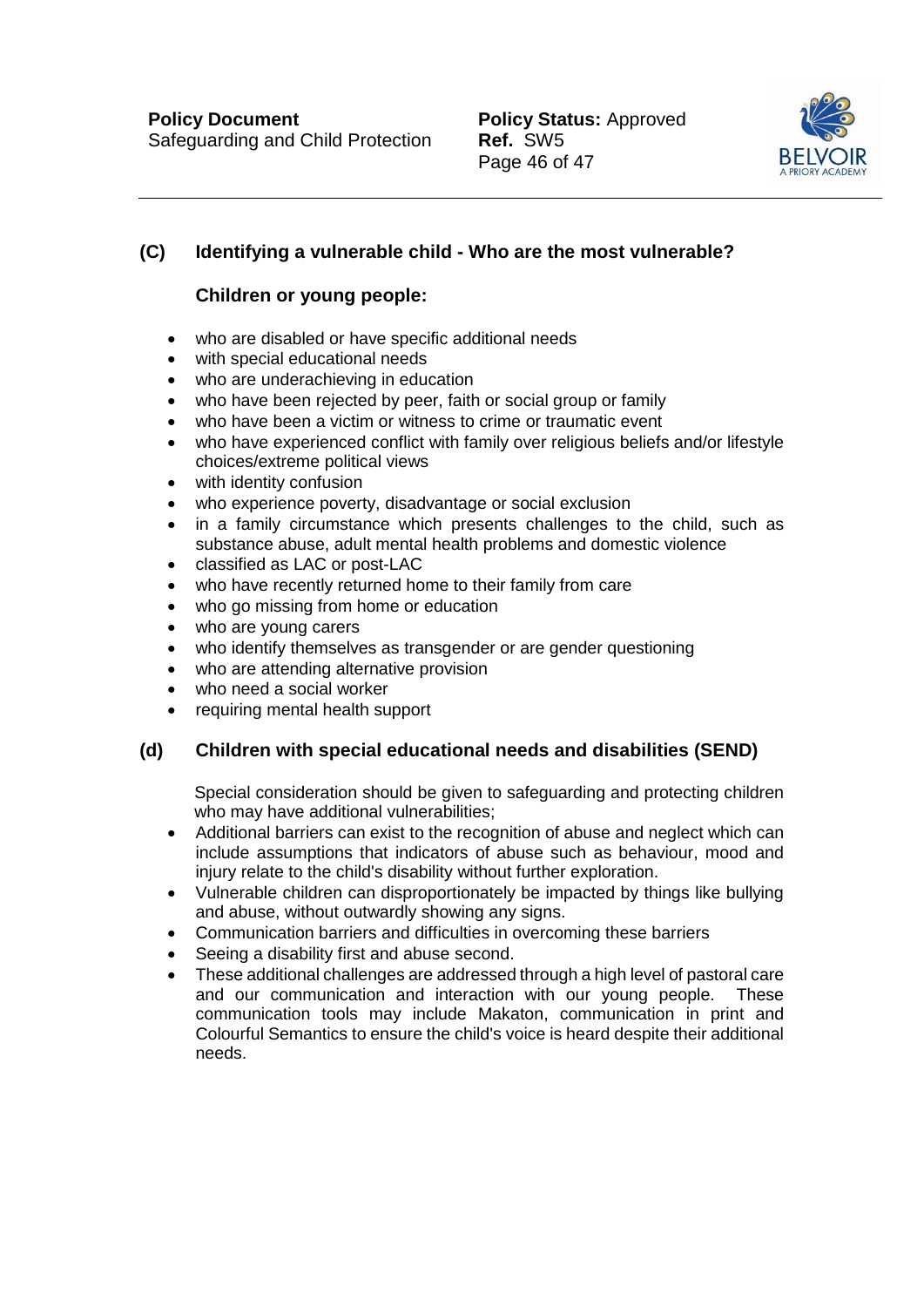

# **(C) Identifying a vulnerable child - Who are the most vulnerable?**

# **Children or young people:**

- who are disabled or have specific additional needs
- with special educational needs
- who are underachieving in education
- who have been rejected by peer, faith or social group or family
- who have been a victim or witness to crime or traumatic event
- who have experienced conflict with family over religious beliefs and/or lifestyle choices/extreme political views
- with identity confusion
- who experience poverty, disadvantage or social exclusion
- in a family circumstance which presents challenges to the child, such as substance abuse, adult mental health problems and domestic violence
- classified as LAC or post-LAC
- who have recently returned home to their family from care
- who go missing from home or education
- who are young carers
- who identify themselves as transgender or are gender questioning
- who are attending alternative provision
- who need a social worker
- requiring mental health support

# **(d) Children with special educational needs and disabilities (SEND)**

Special consideration should be given to safeguarding and protecting children who may have additional vulnerabilities;

- Additional barriers can exist to the recognition of abuse and neglect which can include assumptions that indicators of abuse such as behaviour, mood and injury relate to the child's disability without further exploration.
- Vulnerable children can disproportionately be impacted by things like bullying and abuse, without outwardly showing any signs.
- Communication barriers and difficulties in overcoming these barriers
- Seeing a disability first and abuse second.
- These additional challenges are addressed through a high level of pastoral care and our communication and interaction with our young people. These communication tools may include Makaton, communication in print and Colourful Semantics to ensure the child's voice is heard despite their additional needs.